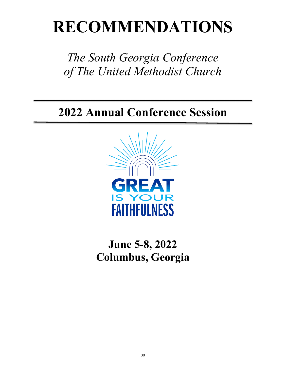# **RECOMMENDATIONS**

*The South Georgia Conference of The United Methodist Church* 

**2022 Annual Conference Session**



## **June 5-8, 2022 Columbus, Georgia**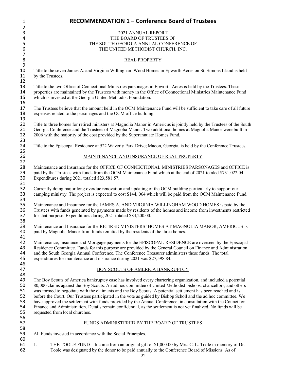| 1                | <b>RECOMMENDATION 1 – Conference Board of Trustees</b>                                                                |
|------------------|-----------------------------------------------------------------------------------------------------------------------|
| $\overline{2}$   |                                                                                                                       |
| 3                | 2021 ANNUAL REPORT                                                                                                    |
| $\pmb{4}$        | THE BOARD OF TRUSTEES OF                                                                                              |
| 5                | THE SOUTH GEORGIA ANNUAL CONFERENCE OF                                                                                |
| $\boldsymbol{6}$ | THE UNITED METHODIST CHURCH, INC.                                                                                     |
| $\overline{7}$   |                                                                                                                       |
| $\bf 8$          | <b>REAL PROPERTY</b>                                                                                                  |
| $\boldsymbol{9}$ | Title to the seven James A. and Virginia Willingham Wood Homes in Epworth Acres on St. Simons Island is held          |
| 10<br>11         | by the Trustees.                                                                                                      |
| 12               |                                                                                                                       |
| 13               | Title to the two Office of Connectional Ministries parsonages in Epworth Acres is held by the Trustees. These         |
| 14               | properties are maintained by the Trustees with money in the Office of Connectional Ministries Maintenance Fund        |
| 15               | which is invested at the Georgia United Methodist Foundation.                                                         |
| 16               |                                                                                                                       |
| 17               | The Trustees believe that the amount held in the OCM Maintenance Fund will be sufficient to take care of all future   |
| 18               | expenses related to the parsonages and the OCM office building.                                                       |
| 19               |                                                                                                                       |
| 20               | Title to three homes for retired ministers at Magnolia Manor in Americus is jointly held by the Trustees of the South |
| 21               | Georgia Conference and the Trustees of Magnolia Manor. Two additional homes at Magnolia Manor were built in           |
| 22               | 2006 with the majority of the cost provided by the Superannuate Homes Fund.                                           |
| 23               |                                                                                                                       |
| 24               | Title to the Episcopal Residence at 522 Waverly Park Drive; Macon, Georgia, is held by the Conference Trustees.       |
| 25               |                                                                                                                       |
| 26               | MAINTENANCE AND INSURANCE OF REAL PROPERTY                                                                            |
| 27               |                                                                                                                       |
| 28               | Maintenance and Insurance for the OFFICE OF CONNECTIONAL MINISTRIES PARSONAGES and OFFICE is                          |
| 29               | paid by the Trustees with funds from the OCM Maintenance Fund which at the end of 2021 totaled \$731,022.04.          |
| 30               | Expenditures during 2021 totaled \$23,581.57.                                                                         |
| 31<br>32         | Currently doing major long overdue renovation and updating of the OCM building particularly to support our            |
| 33               | camping ministry. The project is expected to cost \$144, 064 which will be paid from the OCM Maintenance Fund.        |
| 34               |                                                                                                                       |
| 35               | Maintenance and Insurance for the JAMES A. AND VIRGINIA WILLINGHAM WOOD HOMES is paid by the                          |
| 36               | Trustees with funds generated by payments made by residents of the homes and income from investments restricted       |
| 37               | for that purpose. Expenditures during 2021 totaled \$84,200.00.                                                       |
| 38               |                                                                                                                       |
| 39               | Maintenance and Insurance for the RETIRED MINISTERS' HOMES AT MAGNOLIA MANOR, AMERICUS is                             |
| 40               | paid by Magnolia Manor from funds remitted by the residents of the three homes.                                       |
| 41               |                                                                                                                       |
| 42               | Maintenance, Insurance and Mortgage payments for the EPISCOPAL RESIDENCE are overseen by the Episcopal                |
| 43               | Residence Committee. Funds for this purpose are provided by the General Council on Finance and Administration         |
| 44               | and the South Georgia Annual Conference. The Conference Treasurer administers these funds. The total                  |
| 45               | expenditures for maintenance and insurance during 2021 was \$27,598.84.                                               |
| 46               |                                                                                                                       |
| 47               | BOY SCOUTS OF AMERICA BANKRUPTCY                                                                                      |
| 48               |                                                                                                                       |
| 49               | The Boy Scouts of America bankruptcy case has involved every chartering organization, and included a potential        |
| 50               | 80,000 claims against the Boy Scouts. An ad hoc committee of United Methodist bishops, chancellors, and others        |
| 51               | was formed to negotiate with the claimants and the Boy Scouts. A potential settlement has been reached and is         |
| 52               | before the Court. Our Trustees participated in the vote as guided by Bishop Scholl and the ad hoc committee. We       |
| 53               | have approved the settlement with funds provided by the Annual Conference, in consultation with the Council on        |
| 54               | Finance and Administration. Details remain confidential, as the settlement is not yet finalized. No funds will be     |
| 55<br>56         | requested from local churches.                                                                                        |
| 57               | FUNDS ADMINISTERED BY THE BOARD OF TRUSTEES                                                                           |
| 58               |                                                                                                                       |
| 59               | All Funds invested in accordance with the Social Principles.                                                          |
| 60               |                                                                                                                       |
| 61               | THE TOOLE FUND – Income from an original gift of \$1,000.00 by Mrs. C. L. Toole in memory of Dr.<br>1.                |
| 62               | Toole was designated by the donor to be paid annually to the Conference Board of Missions. As of                      |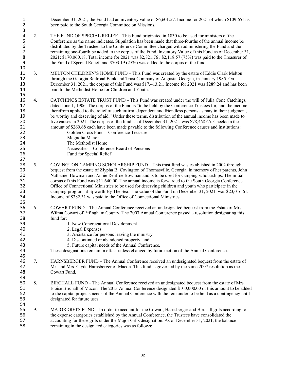| $\mathbf{1}$<br>$\overline{2}$<br>3                                  |    | December 31, 2021, the Fund had an inventory value of \$6,601.57. Income for 2021 of which \$109.65 has<br>been paid to the South Georgia Committee on Missions.                                                                                                                                                                                                                                                                                                                                                                                                                                                                                                                                                                                                                                           |
|----------------------------------------------------------------------|----|------------------------------------------------------------------------------------------------------------------------------------------------------------------------------------------------------------------------------------------------------------------------------------------------------------------------------------------------------------------------------------------------------------------------------------------------------------------------------------------------------------------------------------------------------------------------------------------------------------------------------------------------------------------------------------------------------------------------------------------------------------------------------------------------------------|
| $\overline{\mathbf{r}}$<br>5<br>6<br>$\overline{7}$<br>8<br>9<br>10  | 2. | THE FUND OF SPECIAL RELIEF – This Fund originated in 1830 to be used for ministers of the<br>Conference as the name indicates. Stipulation has been made that three-fourths of the annual income be<br>distributed by the Trustees to the Conference Committee charged with administering the Fund and the<br>remaining one-fourth be added to the corpus of the Fund. Inventory Value of this Fund as of December 31,<br>2021: \$170,060.18. Total income for 2021 was \$2,821.76 . \$2,118.57 (75%) was paid to the Treasurer of<br>the Fund of Special Relief, and \$703.19 (25%) was added to the corpus of the fund.                                                                                                                                                                                  |
| 11<br>12<br>13<br>14<br>15                                           | 3. | MELTON CHILDREN'S HOME FUND - This Fund was created by the estate of Eddie Clark Melton<br>through the Georgia Railroad Bank and Trust Company of Augusta, Georgia, in January 1985. On<br>December 31, 2021, the corpus of this Fund was \$17,413.21. Income for 2021 was \$289.24 and has been<br>paid to the Methodist Home for Children and Youth.                                                                                                                                                                                                                                                                                                                                                                                                                                                     |
| 16<br>17<br>18<br>19<br>20<br>21<br>22<br>23<br>24<br>25<br>26<br>27 | 4. | CATCHINGS ESTATE TRUST FUND – This Fund was created under the will of Julia Cone Catchings,<br>dated June 1, 1906. The corpus of the Fund is "to be held by the Conference Trustees for, and the income<br>therefrom applied to the relief of such infirm, dependent and friendless persons as may in their judgment,<br>be worthy and deserving of aid." Under these terms, distribution of the annual income has been made to<br>five causes in 2021. The corpus of the fund as of December 31, 2021, was \$78,468.65. Checks in the<br>amount of \$260.68 each have been made payable to the following Conference causes and institutions:<br>Golden Cross Fund - Conference Treasurer<br>Magnolia Manor<br>The Methodist Home<br>Necessities – Conference Board of Pensions<br>Fund for Special Relief |
| 28<br>29<br>30<br>31<br>32<br>33<br>34<br>35                         | 5. | COVINGTON CAMPING SCHOLARSHIP FUND – This trust fund was established in 2002 through a<br>bequest from the estate of Zlypha B. Covington of Thomasville, Georgia, in memory of her parents, John<br>Nathaniel Bowman and Annie Renfroe Bowman and is to be used for camping scholarships. The initial<br>corpus of this Fund was \$11,640.00. The annual income is forwarded to the South Georgia Conference<br>Office of Connectional Ministries to be used for deserving children and youth who participate in the<br>camping program at Epworth By The Sea. The value of the Fund on December 31, 2021, was \$23,016.61.<br>Income of \$382.31 was paid to the Office of Connectional Ministries.                                                                                                       |
| 36<br>37<br>38<br>39<br>40<br>41<br>42<br>43<br>44<br>45             | 6. | COWART FUND – The Annual Conference received an undesignated bequest from the Estate of Mrs.<br>Wilma Cowart of Effingham County. The 2007 Annual Conference passed a resolution designating this<br>fund for:<br>1. New Congregational Development<br>2. Legal Expenses<br>3. Assistance for persons leaving the ministry<br>4. Discontinued or abandoned property, and<br>5. Future capital needs of the Annual Conference.<br>These designations remain in effect unless changed by future action of the Annual Conference.                                                                                                                                                                                                                                                                             |
| 46<br>47<br>48                                                       | 7. | HARNSBERGER FUND – The Annual Conference received an undesignated bequest from the estate of<br>Mr. and Mrs. Clyde Harnsberger of Macon. This fund is governed by the same 2007 resolution as the<br>Cowart Fund.                                                                                                                                                                                                                                                                                                                                                                                                                                                                                                                                                                                          |
| 49<br>50<br>51<br>52<br>53<br>54                                     | 8. | BIRCHALL FUND – The Annual Conference received an undesignated bequest from the estate of Mrs.<br>Eloise Birchall of Macon. The 2013 Annual Conference designated \$100,000.00 of this amount to be added<br>to the capital projects needs of the Annual Conference with the remainder to be held as a contingency until<br>designated for future uses.                                                                                                                                                                                                                                                                                                                                                                                                                                                    |
| 55<br>56<br>57<br>58                                                 | 9. | MAJOR GIFTS FUND – In order to account for the Cowart, Harnsberger and Birchall gifts according to<br>the expense categories established by the Annual Conference, the Trustees have consolidated the<br>accounting for these gifts under the Major Gifts designation. As of December 31, 2021, the balance<br>remaining in the designated categories was as follows:                                                                                                                                                                                                                                                                                                                                                                                                                                      |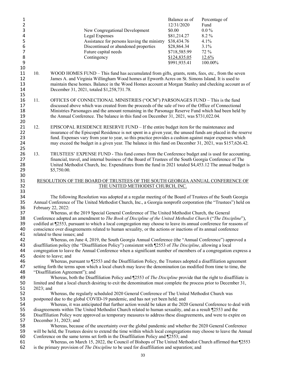| 1<br>$\overline{2}$<br>3<br>4<br>5<br>6<br>$\overline{7}$<br>8<br>9 |              | Contingency                                          | New Congregational Development<br>Legal Expenses<br>Assistance for persons leaving the ministry<br>Discontinued or abandoned properties<br>Future capital needs                                                                                                                                                                                                                                                                                                                                                                     | Balance as of<br>12/31/2020<br>\$0.00<br>\$81,214.27<br>\$38,434.76<br>\$28,864.34<br>\$718,585.99<br>\$124,835.05<br>\$991,935.41 | Percentage of<br>Fund<br>$0.0\%$<br>8.2%<br>4.1%<br>3.1%<br>72 %<br>12.6%<br>100.00% |
|---------------------------------------------------------------------|--------------|------------------------------------------------------|-------------------------------------------------------------------------------------------------------------------------------------------------------------------------------------------------------------------------------------------------------------------------------------------------------------------------------------------------------------------------------------------------------------------------------------------------------------------------------------------------------------------------------------|------------------------------------------------------------------------------------------------------------------------------------|--------------------------------------------------------------------------------------|
| 10<br>11<br>12<br>13<br>14<br>15                                    | 10.          | December 31, 2021, totaled \$1,258,731.78.           | WOOD HOMES FUND – This fund has accumulated from gifts, grants, rents, fees, etc., from the seven<br>James A. and Virginia Willingham Wood homes at Epworth Acres on St. Simons Island. It is used to<br>maintain these homes. Balance in the Wood Homes account at Morgan Stanley and checking account as of                                                                                                                                                                                                                       |                                                                                                                                    |                                                                                      |
| 16<br>17<br>18<br>19<br>20                                          | 11.          |                                                      | OFFICES OF CONNECTIONAL MINISTRIES ("OCM") PARSONAGES FUND - This is the fund<br>discussed above which was created from the proceeds of the sale of two of the Office of Connectional<br>Ministries Parsonages and the amount remaining in the Parsonage Reserve Fund which had been held by<br>the Annual Conference. The balance in this fund on December 31, 2021, was \$731,022.04.                                                                                                                                             |                                                                                                                                    |                                                                                      |
| 21<br>22<br>23<br>24<br>25                                          | 12.          |                                                      | EPISCOPAL RESIDENCE RESERVE FUND – If the entire budget item for the maintenance and<br>insurance of the Episcopal Residence is not spent in a given year, the unused funds are placed in the reserve<br>fund. Expenses vary from year to year, so this practice provides a cushion against major expenses which<br>may exceed the budget in a given year. The balance in this fund on December 31, 2021, was \$157,626.42.                                                                                                         |                                                                                                                                    |                                                                                      |
| 26<br>27<br>28<br>29<br>30                                          | 13.          | \$5,750.00.                                          | TRUSTEES' EXPENSE FUND - This fund comes from the Conference budget and is used for accounting,<br>financial, travel, and internal business of the Board of Trustees of the South Georgia Conference of The<br>United Methodist Church, Inc. Expenditures from the fund in 2021 totaled \$4,453.12 The annual budget is                                                                                                                                                                                                             |                                                                                                                                    |                                                                                      |
| 31<br>32                                                            |              |                                                      | RESOLUTION OF THE BOARD OF TRUSTEES OF THE SOUTH GEORGIA ANNUAL CONFERENCE OF<br>THE UNITED METHODIST CHURCH, INC.                                                                                                                                                                                                                                                                                                                                                                                                                  |                                                                                                                                    |                                                                                      |
| 33<br>34<br>35<br>36                                                |              | February 22, 2022:                                   | The following Resolution was adopted at a regular meeting of the Board of Trustees of the South Georgia<br>Annual Conference of The United Methodist Church, Inc., a Georgia nonprofit corporation (the "Trustees") held on                                                                                                                                                                                                                                                                                                         |                                                                                                                                    |                                                                                      |
| 37<br>38<br>39<br>40                                                |              |                                                      | Whereas, at the 2019 Special General Conference of The United Methodist Church, the General<br>Conference adopted an amendment to The Book of Discipline of the United Methodist Church ("The Discipline"),<br>codified at ¶2553, pursuant to which a local congregation may choose to leave its annual conference for reasons of<br>conscience over disagreements related to human sexuality, or the actions or inactions of its annual conference                                                                                 |                                                                                                                                    |                                                                                      |
| 41<br>42<br>43<br>44<br>45                                          |              | related to these issues; and<br>desire to leave; and | Whereas, on June 4, 2019, the South Georgia Annual Conference (the "Annual Conference") approved a<br>disaffiliation policy (the "Disaffiliation Policy") consistent with ¶2553 of The Discipline, allowing a local<br>congregation to leave the Annual Conference when a significant number of members of a congregation express a                                                                                                                                                                                                 |                                                                                                                                    |                                                                                      |
| 46<br>47<br>48<br>49                                                |              | "Disaffiliation Agreement"); and                     | Whereas, pursuant to 12553 and the Disaffiliation Policy, the Trustees adopted a disaffiliation agreement<br>setting forth the terms upon which a local church may leave the denomination (as modified from time to time, the<br>Whereas, both the Disaffiliation Policy and ¶2553 of <i>The Discipline</i> provide that the right to disaffiliate is                                                                                                                                                                               |                                                                                                                                    |                                                                                      |
| 50<br>51<br>52                                                      | $2023$ ; and |                                                      | limited and that a local church desiring to exit the denomination must complete the process prior to December 31,<br>Whereas, the regularly scheduled 2020 General Conference of The United Methodist Church was                                                                                                                                                                                                                                                                                                                    |                                                                                                                                    |                                                                                      |
| 53<br>54<br>55<br>56<br>57                                          |              | December 31, 2023; and                               | postponed due to the global COVID-19 pandemic, and has not yet been held; and<br>Whereas, it was anticipated that further action would be taken at the 2020 General Conference to deal with<br>disagreements within The United Methodist Church related to human sexuality, and as a result ¶2553 and the<br>Disaffiliation Policy were approved as temporary measures to address these disagreements, and were to expire on                                                                                                        |                                                                                                                                    |                                                                                      |
| 58<br>59<br>60<br>61<br>62                                          |              |                                                      | Whereas, because of the uncertainty over the global pandemic and whether the 2020 General Conference<br>will be held, the Trustees desire to extend the time within which local congregations may choose to leave the Annual<br>Conference on the same terms set forth in the Disaffiliation Policy and ¶2553; and<br>Whereas, on March 15, 2022, the Council of Bishops of The United Methodist Church affirmed that [2553]<br>is the primary provision of <i>The Discipline</i> to be used for disaffiliation and separation; and |                                                                                                                                    |                                                                                      |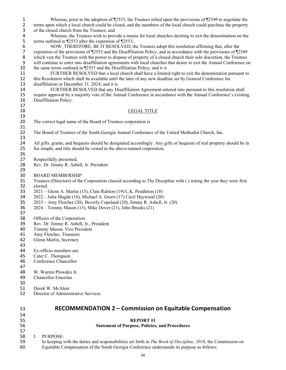| $\mathbf{1}$<br>$\overline{2}$<br>3       | Whereas, prior to the adoption of $\sqrt{2553}$ , the Trustees relied upon the provisions of $\sqrt{2549}$ to negotiate the<br>terms upon which a local church could be closed, and the members of the local church could purchase the property<br>of the closed church from the Trustees; and                                              |
|-------------------------------------------|---------------------------------------------------------------------------------------------------------------------------------------------------------------------------------------------------------------------------------------------------------------------------------------------------------------------------------------------|
| 4<br>5                                    | Whereas, the Trustees wish to provide a means for local churches desiring to exit the denomination on the<br>terms outlined in $\P$ 2553 after the expiration of $\P$ 2553;                                                                                                                                                                 |
| $\boldsymbol{6}$<br>$\boldsymbol{7}$<br>8 | NOW, THEREFORE, BE IT RESOLVED, the Trustees adopt this resolution affirming that, after the<br>expiration of the provisions of ¶2553 and the Disaffiliation Policy, and in accordance with the provisions of ¶2549<br>which vest the Trustees with the power to dispose of property of a closed church their sole discretion, the Trustees |
| 9                                         | will continue to enter into disaffiliation agreements with local churches that desire to exit the Annual Conference on                                                                                                                                                                                                                      |
| 10                                        | the same terms outlined in ¶2553 and the Disaffiliation Policy; and it is                                                                                                                                                                                                                                                                   |
| 11                                        | FURTHER RESOLVED that a local church shall have a limited right to exit the denomination pursuant to                                                                                                                                                                                                                                        |
| 12                                        | this Resolution which shall be available until the later of any new deadline set by General Conference for                                                                                                                                                                                                                                  |
| 13<br>14                                  | disaffiliation or December 31, 2024; and it is<br>FURTHER RESOLVED that any Disaffiliation Agreement entered into pursuant to this resolution shall                                                                                                                                                                                         |
| 15                                        | require approval by a majority vote of the Annual Conference in accordance with the Annual Conference's existing                                                                                                                                                                                                                            |
| 16                                        | Disaffiliation Policy.                                                                                                                                                                                                                                                                                                                      |
| 17                                        |                                                                                                                                                                                                                                                                                                                                             |
| 18                                        | <b>LEGAL TITLE</b>                                                                                                                                                                                                                                                                                                                          |
| 19<br>20                                  | The correct legal name of the Board of Trustees corporation is                                                                                                                                                                                                                                                                              |
| 21                                        |                                                                                                                                                                                                                                                                                                                                             |
| 22                                        | The Board of Trustees of the South Georgia Annual Conference of the United Methodist Church, Inc.                                                                                                                                                                                                                                           |
| 23                                        |                                                                                                                                                                                                                                                                                                                                             |
| 24                                        | All gifts, grants, and bequests should be designated accordingly. Any gifts or bequests of real property should be in                                                                                                                                                                                                                       |
| 25<br>26                                  | fee simple, and title should be vested in the above-named corporation.                                                                                                                                                                                                                                                                      |
| 27                                        | Respectfully presented,                                                                                                                                                                                                                                                                                                                     |
| 28                                        | Rev. Dr. Jimmy R. Asbell, Jr. President                                                                                                                                                                                                                                                                                                     |
| 29                                        |                                                                                                                                                                                                                                                                                                                                             |
| 30                                        | <b>BOARD MEMBERSHIP</b>                                                                                                                                                                                                                                                                                                                     |
| 31<br>32                                  | Trustees (Directors) of the Corporation classed according to The Discipline with () noting the year they were first<br>elected.                                                                                                                                                                                                             |
| 33                                        | 2021 – Glenn A. Martin (15), Clate Ralston (19) L.K. Pendleton (18)                                                                                                                                                                                                                                                                         |
| 34                                        | 2022 – Julia Magda (16), Michael A. Green (17) Cecil Haywood (20)                                                                                                                                                                                                                                                                           |
| 35                                        | 2023 – Amy Fletcher (20), Beverly Copeland (20), Jimmy R. Asbell, Jr. (20)                                                                                                                                                                                                                                                                  |
| 36                                        | 2024 – Tommy Mason (13), Mike Dover (21), John Brooks (21)                                                                                                                                                                                                                                                                                  |
| 37<br>38                                  | Officers of the Corporation:                                                                                                                                                                                                                                                                                                                |
| 39                                        | Rev. Dr. Jimmy R. Asbell, Jr., President                                                                                                                                                                                                                                                                                                    |
| 40                                        | Tommy Mason, Vice President                                                                                                                                                                                                                                                                                                                 |
| 41                                        | Amy Fletcher, Treasurer                                                                                                                                                                                                                                                                                                                     |
| 42                                        | Glenn Martin, Secretary                                                                                                                                                                                                                                                                                                                     |
| 43<br>44                                  | Ex-officio members are:                                                                                                                                                                                                                                                                                                                     |
| 45                                        | Cater C. Thompson                                                                                                                                                                                                                                                                                                                           |
| 46                                        | Conference Chancellor                                                                                                                                                                                                                                                                                                                       |
| 47                                        |                                                                                                                                                                                                                                                                                                                                             |
| 48                                        | W. Warren Plowden Jr.<br><b>Chancellor Emeritus</b>                                                                                                                                                                                                                                                                                         |
| 49<br>50                                  |                                                                                                                                                                                                                                                                                                                                             |
| 51                                        | Derek W. McAleer                                                                                                                                                                                                                                                                                                                            |
| 52                                        | Director of Administrative Services                                                                                                                                                                                                                                                                                                         |
|                                           |                                                                                                                                                                                                                                                                                                                                             |
| 53                                        | RECOMMENDATION 2 – Commission on Equitable Compensation                                                                                                                                                                                                                                                                                     |
| 54                                        |                                                                                                                                                                                                                                                                                                                                             |
| 55                                        | <b>REPORT#1</b>                                                                                                                                                                                                                                                                                                                             |
| 56<br>57                                  | <b>Statement of Purpose, Policies, and Procedures</b>                                                                                                                                                                                                                                                                                       |
| 58                                        | I.<br>PURPOSE:                                                                                                                                                                                                                                                                                                                              |
| 59<br>60                                  | In keeping with the duties and responsibilities set forth in <i>The Book of Discipline</i> , 2016, the Commission on<br>Equitable Compensation of the South Georgia Conference understands its purpose as follows:                                                                                                                          |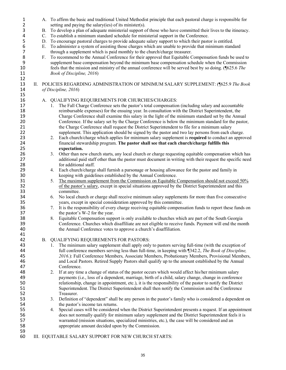| $\mathbf{1}$<br>2<br>3<br>4<br>5<br>6<br>7<br>8<br>9<br>10<br>11<br>12 | <b>B.</b><br>$\mathbf{C}$ .<br>D.<br>Е.<br>$F_{\cdot}$ |          | A. To affirm the basic and traditional United Methodist principle that each pastoral charge is responsible for<br>setting and paying the salary (ies) of its minister(s).<br>To develop a plan of adequate ministerial support of those who have committed their lives to the itineracy.<br>To establish a minimum standard schedule for ministerial support in the Conference.<br>To encourage pastoral charges to provide adequate salary support to which their pastor is entitled.<br>To administer a system of assisting those charges which are unable to provide that minimum standard<br>through a supplement which is paid monthly to the church/charge treasurer.<br>To recommend to the Annual Conference for their approval that Equitable Compensation funds be used to<br>supplement base compensation beyond the minimum base compensation schedule when the Commission<br>feels that the mission and ministry of the annual conference will be served best by so doing. (¶625.6 The<br>Book of Discipline, 2016) |
|------------------------------------------------------------------------|--------------------------------------------------------|----------|----------------------------------------------------------------------------------------------------------------------------------------------------------------------------------------------------------------------------------------------------------------------------------------------------------------------------------------------------------------------------------------------------------------------------------------------------------------------------------------------------------------------------------------------------------------------------------------------------------------------------------------------------------------------------------------------------------------------------------------------------------------------------------------------------------------------------------------------------------------------------------------------------------------------------------------------------------------------------------------------------------------------------------|
| 13<br>14<br>15                                                         |                                                        |          | II. POLICIES REGARDING ADMINISTRATION OF MINIMUM SALARY SUPPLEMENT: (¶625.9 The Book<br>of Discipline, 2016)                                                                                                                                                                                                                                                                                                                                                                                                                                                                                                                                                                                                                                                                                                                                                                                                                                                                                                                     |
| 16<br>17<br>18<br>19<br>20<br>21<br>22<br>23<br>24<br>25               |                                                        | 1.<br>2. | A. QUALIFYING REQUIREMENTS FOR CHURCHES/CHARGES:<br>The Fall Charge Conference sets the pastor's total compensation (including salary and accountable<br>reimbursable expenses) for the ensuing year. In consultation with the District Superintendent, the<br>Charge Conference shall examine this salary in the light of the minimum standard set by the Annual<br>Conference. If the salary set by the Charge Conference is below the minimum standard for the pastor,<br>the Charge Conference shall request the District Superintendent to file for a minimum salary<br>supplement. This application should be signed by the pastor and two lay persons from each charge.<br>Each church/charge which applies for minimum salary supplement is required to conduct an approved<br>financial stewardship program. The pastor shall see that each church/charge fulfills this<br>expectation.                                                                                                                                 |
| 26<br>27<br>28                                                         |                                                        | 3.       | Other than new church starts, any local church or charge requesting equitable compensation which has<br>additional paid staff other than the pastor must document in writing with their request the specific need<br>for additional staff.                                                                                                                                                                                                                                                                                                                                                                                                                                                                                                                                                                                                                                                                                                                                                                                       |
| 29<br>30<br>31                                                         |                                                        | 4.<br>5. | Each church/charge shall furnish a parsonage or housing allowance for the pastor and family in<br>keeping with guidelines established by the Annual Conference.<br>The maximum supplement from the Commission on Equitable Compensation should not exceed 50%                                                                                                                                                                                                                                                                                                                                                                                                                                                                                                                                                                                                                                                                                                                                                                    |
| 32<br>33<br>34<br>35<br>36                                             |                                                        | 6.<br>7. | of the pastor's salary, except in special situations approved by the District Superintendent and this<br>committee.<br>No local church or charge shall receive minimum salary supplements for more than five consecutive<br>years, except in special consideration approved by this committee.<br>It is the responsibility of every charge receiving equitable compensation funds to report these funds on                                                                                                                                                                                                                                                                                                                                                                                                                                                                                                                                                                                                                       |
| 37<br>38<br>39<br>40                                                   |                                                        | 8.       | the pastor's W-2 for the year.<br>Equitable Compensation support is only available to churches which are part of the South Georgia<br>Conference. Churches which disaffiliate are not eligible to receive funds. Payment will end the month<br>the Annual Conference votes to approve a church's disaffiliation.                                                                                                                                                                                                                                                                                                                                                                                                                                                                                                                                                                                                                                                                                                                 |
| 41<br>42<br>43<br>44<br>45<br>46<br>47                                 | <b>B.</b>                                              | 1.       | <b>QUALIFYING REQUIREMENTS FOR PASTORS:</b><br>The minimum salary supplement shall apply only to pastors serving full-time (with the exception of<br>full conference members serving less than full-time, in keeping with ¶342.2, The Book of Discipline,<br>2016.): Full Conference Members, Associate Members, Probationary Members, Provisional Members,<br>and Local Pastors. Retired Supply Pastors shall qualify up to the amount established by the Annual<br>Conference.                                                                                                                                                                                                                                                                                                                                                                                                                                                                                                                                                 |
| 48<br>49<br>50<br>51<br>52                                             |                                                        | 2.       | If at any time a change of status of the pastor occurs which would affect his/her minimum salary<br>payments (i.e., loss of a dependent, marriage, birth of a child, salary change, change in conference<br>relationship, change in appointment, etc.), it is the responsibility of the pastor to notify the District<br>Superintendent. The District Superintendent shall then notify the Commission and the Conference<br>Treasurer.                                                                                                                                                                                                                                                                                                                                                                                                                                                                                                                                                                                           |
| 53<br>54<br>55<br>56<br>57<br>58<br>59                                 |                                                        | 3.<br>4. | Definition of "dependent" shall be any person in the pastor's family who is considered a dependent on<br>the pastor's income tax returns.<br>Special cases will be considered when the District Superintendent presents a request. If an appointment<br>does not normally qualify for minimum salary supplement and the District Superintendent feels it is<br>warranted (mission situations, specialized ministries, etc.), the case will be considered and an<br>appropriate amount decided upon by the Commission.                                                                                                                                                                                                                                                                                                                                                                                                                                                                                                            |

III. EQUITABLE SALARY SUPPORT FOR NEW CHURCH STARTS: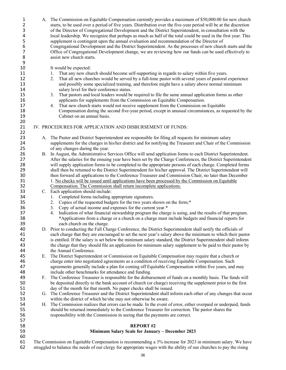| $\mathbf{1}$ |    | A. The Commission on Equitable Compensation currently provides a maximum of \$50,000.00 for new church           |  |  |  |
|--------------|----|------------------------------------------------------------------------------------------------------------------|--|--|--|
| 2            |    | starts, to be used over a period of five years. Distribution over the five-year period will be at the discretion |  |  |  |
| 3            |    | of the Director of Congregational Development and the District Superintendent, in consultation with the          |  |  |  |
| 4            |    | local leadership. We recognize that perhaps as much as half of the total could be used in the first year. This   |  |  |  |
| 5            |    | supplement is contingent upon the annual evaluation and recommendation of the Director of                        |  |  |  |
| 6            |    | Congregational Development and the District Superintendent. As the processes of new church starts and the        |  |  |  |
|              |    |                                                                                                                  |  |  |  |
| 7            |    | Office of Congregational Development change, we are reviewing how our funds can be used effectively to           |  |  |  |
| 8            |    | assist new church starts.                                                                                        |  |  |  |
| 9            |    |                                                                                                                  |  |  |  |
| 10           |    | It would be expected:                                                                                            |  |  |  |
| 11           |    | That any new church should become self-supporting in regards to salary within five years.<br>1.                  |  |  |  |
| 12           |    | That all new churches would be served by a full-time pastor with several years of pastoral experience<br>2.      |  |  |  |
| 13           |    | and possibly some specialized training, and therefore might have a salary above normal minimum                   |  |  |  |
| 14           |    | salary level for their conference status.                                                                        |  |  |  |
| 15           |    | That pastors and local leaders would be required to file the same annual application forms as other<br>3.        |  |  |  |
|              |    |                                                                                                                  |  |  |  |
| 16           |    | applicants for supplements from the Commission on Equitable Compensation.                                        |  |  |  |
| 17           |    | That new church starts would not receive supplement from the Commission on Equitable<br>4.                       |  |  |  |
| 18           |    | Compensation during the second five-year period, except in unusual circumstances, as requested by the            |  |  |  |
| 19           |    | Cabinet on an annual basis.                                                                                      |  |  |  |
| 20           |    |                                                                                                                  |  |  |  |
| 21           |    | IV. PROCEDURES FOR APPLICATION AND DISBURSEMENT OF FUNDS:                                                        |  |  |  |
| 22           |    |                                                                                                                  |  |  |  |
| 23           |    | A. The Pastor and District Superintendent are responsible for filing all requests for minimum salary             |  |  |  |
|              |    |                                                                                                                  |  |  |  |
| 24           |    | supplements for the charges in his/her district and for notifying the Treasurer and Chair of the Commission      |  |  |  |
| 25           |    | of any changes during the year.                                                                                  |  |  |  |
| 26           |    | B. In August, the Administrative Services Office will send application forms to each District Superintendent.    |  |  |  |
| 27           |    | After the salaries for the ensuing year have been set by the Charge Conferences, the District Superintendent     |  |  |  |
| 28           |    | will supply application forms to be completed to the appropriate persons of each charge. Completed forms         |  |  |  |
| 29           |    | shall then be returned to the District Superintendent for his/her approval. The District Superintendent will     |  |  |  |
| 30           |    | then forward all applications to the Conference Treasurer and Commission Chair, no later than December           |  |  |  |
| 31           |    | 1. No checks will be issued until applications have been processed by the Commission on Equitable                |  |  |  |
| 32           |    | Compensation. The Commission shall return incomplete applications.                                               |  |  |  |
| 33           |    | C. Each application should include:                                                                              |  |  |  |
|              |    |                                                                                                                  |  |  |  |
| 34           |    | Completed forms including appropriate signatures.<br>1.                                                          |  |  |  |
| 35           |    | Copies of the requested budgets for the two years shown on the form;*<br>2.                                      |  |  |  |
| 36           |    | Copy of actual income and expenses for the current year.*<br>3.                                                  |  |  |  |
| 37           |    | 4.<br>Indication of what financial stewardship program the charge is using, and the results of that program.     |  |  |  |
| 38           |    | *Applications from a charge or a church on a charge must include budgets and financial reports for               |  |  |  |
| 39           |    | each church on the charge.                                                                                       |  |  |  |
| 40           |    | D. Prior to conducting the Fall Charge Conference, the District Superintendent shall notify the officials of     |  |  |  |
| 41           |    | each charge that they are encouraged to set the next year's salary above the minimum to which their pastor       |  |  |  |
| 42           |    | is entitled. If the salary is set below the minimum salary standard, the District Superintendent shall inform    |  |  |  |
| 43           |    | the charge that they should file an application for minimum salary supplement to be paid to their pastor by      |  |  |  |
|              |    |                                                                                                                  |  |  |  |
| 44           |    | the Annual Conference.                                                                                           |  |  |  |
| 45           |    | E. The District Superintendent or Commission on Equitable Compensation may require that a church or              |  |  |  |
| 46           |    | charge enter into negotiated agreements as a condition of receiving Equitable Compensation. Such                 |  |  |  |
| 47           |    | agreements generally include a plan for coming off Equitable Compensation within five years, and may             |  |  |  |
| 48           |    | include other benchmarks for attendance and funding.                                                             |  |  |  |
| 49           | F. | The Conference Treasurer is responsible for the disbursement of funds on a monthly basis. The funds will         |  |  |  |
| 50           |    | be deposited directly to the bank account of church (or charge) receiving the supplement prior to the first      |  |  |  |
| 51           |    | day of the month for that month. No paper checks shall be issued.                                                |  |  |  |
| 52           |    |                                                                                                                  |  |  |  |
|              |    | G. The Conference Treasurer and the District Superintendent shall inform each other of any changes that occur    |  |  |  |
| 53           |    | within the district of which he/she may not otherwise be aware.                                                  |  |  |  |
| 54           | Н. | The Commission realizes that errors can be made. In the event of error, either overpaid or underpaid, funds      |  |  |  |
| 55           |    | should be returned immediately to the Conference Treasurer for correction. The pastor shares the                 |  |  |  |
| 56           |    | responsibility with the Commission in seeing that the payments are correct.                                      |  |  |  |
| 57           |    |                                                                                                                  |  |  |  |
| 58           |    | <b>REPORT#2</b>                                                                                                  |  |  |  |
| 59           |    | Minimum Salary Scale for January - December 2023                                                                 |  |  |  |
| 60           |    |                                                                                                                  |  |  |  |
| 61           |    | The Commission on Equitable Compensation is recommending a $3\%$ increase for $2023$ in minimum salary. We have  |  |  |  |

61 The Commission on Equitable Compensation is recommending a 3% increase for 2023 in minimum salary. We have<br>62 struggled to balance the needs of our clergy for appropriate wages with the ability of our churches to pay th struggled to balance the needs of our clergy for appropriate wages with the ability of our churches to pay the rising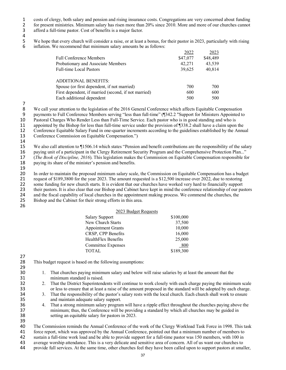1 costs of clergy, both salary and pension and rising insurance costs. Congregations are very concerned about funding<br>2 for present ministries. Minimum salary has risen more than 20% since 2010. More and more of our church

2 for present ministries. Minimum salary has risen more than 20% since 2010. More and more of our churches cannot afford a full-time pastor. Cost of benefits is a major factor. afford a full-time pastor. Cost of benefits is a major factor.

 $\frac{4}{5}$ 

5 We hope that every church will consider a raise, or at least a bonus, for their pastor in 2023, particularly with rising inflation. We recommend that minimum salary amounts be as follows: inflation. We recommend that minimum salary amounts be as follows:

|                                                      | 2022     | 2023     |
|------------------------------------------------------|----------|----------|
| <b>Full Conference Members</b>                       | \$47,077 | \$48,489 |
| Probationary and Associate Members                   | 42,271   | 43,539   |
| <b>Full-time Local Pastors</b>                       | 39,625   | 40,814   |
|                                                      |          |          |
| <b>ADDITIONAL BENEFITS:</b>                          |          |          |
| Spouse (or first dependent, if not married)          | 700      | 700      |
| First dependent, if married (second, if not married) | 600      | 600      |
| Each additional dependent                            | 500      | 500      |

7

8 We call your attention to the legislation of the 2016 General Conference which affects Equitable Compensation<br>9 nayments to Full Conference Members serving "less than full-time" (¶342.2 "Support for Ministers Appointed t

9 payments to Full Conference Members serving "less than full-time" (¶342.2 "Support for Ministers Appointed to

10 Pastoral Charges Who Render Less than Full-Time Service. Each pastor who is in good standing and who is

11 appointed by the Bishop for less than full-time service under the provision of ¶338.2 shall have a claim upon the<br>12 Conference Equitable Salary Fund in one-quarter increments according to the guidelines established by

12 Conference Equitable Salary Fund in one-quarter increments according to the guidelines established by the Annual Conference Commission on Equitable Compensation.")

13 Conference Commission on Equitable Compensation.")

14

15 We also call attention to ¶1506.14 which states "Pension and benefit contributions are the responsibility of the salary<br>16 paying unit of a participant in the Clergy Retirement Security Program and the Comprehensive Pro 16 paying unit of a participant in the Clergy Retirement Security Program and the Comprehensive Protection Plan..."<br>17 (*The Book of Discipline, 2016*). This legislation makes the Commission on Equitable Compensation respo 17 (*The Book of Discipline, 2016*). This legislation makes the Commission on Equitable Compensation responsible for paying its share of the minister's pension and benefits.

paying its share of the minister's pension and benefits.

19

20 In order to maintain the proposed minimum salary scale, the Commission on Equitable Compensation has a budget request of \$189,3800 for the year 2023. The amount requested is a \$12,500 increase over 2022, due to restorin

21 request of \$189,3800 for the year 2023. The amount requested is a \$12,500 increase over 2022, due to restoring

22 some funding for new church starts. It is evident that our churches have worked very hard to financially support<br>23 their pastors. It is also clear that our Bishop and Cabinet have kept in mind the conference relationsh

23 their pastors. It is also clear that our Bishop and Cabinet have kept in mind the conference relationship of our pastors and the fiscal capability of local churches in the appointment making process. We commend the chur 24 and the fiscal capability of local churches in the appointment making process. We commend the churches, the Bishop and the Cabinet for their strong efforts in this area.

Bishop and the Cabinet for their strong efforts in this area.

26

| 2023 Budget Requests      |           |
|---------------------------|-----------|
| <b>Salary Support</b>     | \$100,000 |
| New Church Starts         | 37,500    |
| <b>Appointment Grants</b> | 10,000    |
| CRSP, CPP Benefits        | 16,000    |
| HealthFlex Benefits       | 25,000    |
| Committee Expenses        | 800       |
| <b>TOTAL</b>              | \$189,300 |

27<br>28

29

This budget request is based on the following assumptions:

- 30 1. That churches paying minimum salary and below will raise salaries by at least the amount that the 31 minimum standard is raised.<br>32 2. That the District Superintend
- 32 2. That the District Superintendents will continue to work closely with each charge paying the minimum scale 33 or less to ensure that at least a raise of the amount proposed in the standard will be adopted by each charge.<br>34 3. That the responsibility of the pastor's salary rests with the local church. Each church shall work to
- 34 3. That the responsibility of the pastor's salary rests with the local church. Each church shall work to ensure 35 and maintain adequate salary support.
- 36 4. That a strong minimum salary program will have a ripple effect throughout the churches paying above the 37 minimum; thus, the Conference will be providing a standard by which all churches may be guided in setting an equitable salary for pastors in 2023. setting an equitable salary for pastors in 2023. 39

40 The Commission reminds the Annual Conference of the work of the Clergy Workload Task Force in 1998. This task force report, which was approved by the Annual Conference, pointed out that a minimum number of members to 41 force report, which was approved by the Annual Conference, pointed out that a minimum number of members to<br>42 sustain a full-time work load and be able to provide support for a full-time pastor was 150 members, with 100 sustain a full-time work load and be able to provide support for a full-time pastor was 150 members, with 100 in

43 average worship attendance. This is a very delicate and sensitive area of concern. All of us want our churches to<br>44 orion of full services. At the same time, other churches feel they have been called upon to support pa 44 provide full services. At the same time, other churches feel they have been called upon to support pastors at smaller,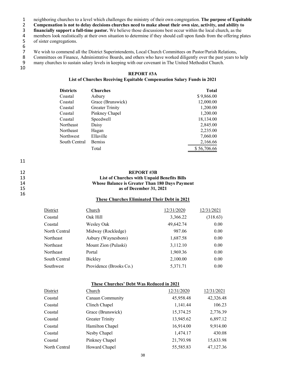1 neighboring churches to a level which challenges the ministry of their own congregation. **The purpose of Equitable** 

2 **Compensation is not to delay decisions churches need to make about their own size, activity, and ability to financially support a full-time pastor.** We believe those discussions best occur within the local church, as th

**financially support a full-time pastor.** We believe those discussions best occur within the local church, as the members look realistically at their own situation to determine if they should call upon funds from the offer

4 members look realistically at their own situation to determine if they should call upon funds from the offering plates of sister congregations. of sister congregations.

6<br>7

7 We wish to commend all the District Superintendents, Local Church Committees on Pastor/Parish Relations,<br>8 Committees on Finance, Administrative Boards, and others who have worked diligently over the past years to<br>9 many Committees on Finance, Administrative Boards, and others who have worked diligently over the past years to help many churches to sustain salary levels in keeping with our covenant in The United Methodist Church.

10

### **REPORT #3A**

**List of Churches Receiving Equitable Compensation Salary Funds in 2021** 

| <b>Districts</b> | <b>Churches</b>        | <b>Total</b> |
|------------------|------------------------|--------------|
| Coastal          | Asbury                 | \$9,866.00   |
| Coastal          | Grace (Brunswick)      | 12,000.00    |
| Coastal          | <b>Greater Trinity</b> | 1,200.00     |
| Coastal          | Pinkney Chapel         | 1,200.00     |
| Coastal          | Speedwell              | 18,134.00    |
| Northeast        | Daisy                  | 2,845.00     |
| Northeast        | Hagan                  | 2,235.00     |
| Northwest        | Ellaville              | 7,060.00     |
| South Central    | <b>Bemiss</b>          | 2,166.66     |
|                  | Total                  | \$56,706.66  |

11

### 16

#### 12 **REPORT #3B**  13 **List of Churches with Unpaid Benefits Bills**  14 **Whose Balance is Greater Than 180 Days Payment**  15 **as of December 31, 2021**

#### **These Churches Eliminated Their Debt in 2021**

| Church                  | 12/31/2020 | 12/31/2021 |
|-------------------------|------------|------------|
| Oak Hill                | 3,366.22   | (318.63)   |
| Wesley Oak              | 49,642.74  | 0.00       |
| Midway (Rockledge)      | 987.06     | 0.00       |
| Asbury (Waynesboro)     | 1,687.58   | 0.00       |
| Mount Zion (Pulaski)    | 3,112.10   | 0.00       |
| Portal                  | 1,969.36   | 0.00       |
| Bickley                 | 2,100.00   | 0.00       |
| Providence (Brooks Co.) | 5,371.71   | 0.00       |
|                         |            |            |

#### **These Churches' Debt Was Reduced in 2021**

| District      | Church                 | 12/31/2020 | 12/31/2021 |
|---------------|------------------------|------------|------------|
| Coastal       | Canaan Community       | 45,958.48  | 42,326.48  |
| Coastal       | Clinch Chapel          | 1,141.44   | 106.23     |
| Coastal       | Grace (Brunswick)      | 15,374.25  | 2,776.39   |
| Coastal       | <b>Greater Trinity</b> | 13,945.62  | 6,897.12   |
| Coastal       | Hamilton Chapel        | 16,914.00  | 9,914.00   |
| Coastal       | Nesby Chapel           | 1,474.17   | 430.08     |
| Coastal       | Pinkney Chapel         | 21,793.98  | 15,633.98  |
| North Central | Howard Chapel          | 55,585.83  | 47,127.36  |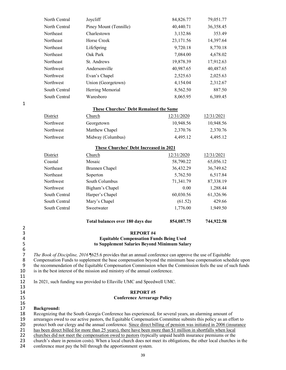|                | North Central                                                                                                                                                                                                        | Joycliff                                                                                                        | 84,826.77  | 79,051.77  |  |  |
|----------------|----------------------------------------------------------------------------------------------------------------------------------------------------------------------------------------------------------------------|-----------------------------------------------------------------------------------------------------------------|------------|------------|--|--|
|                | North Central                                                                                                                                                                                                        | Piney Mount (Tennille)                                                                                          | 40,440.71  | 36,358.45  |  |  |
|                | Northeast                                                                                                                                                                                                            | Charlestown                                                                                                     | 3,132.86   | 353.49     |  |  |
|                | Northeast                                                                                                                                                                                                            | <b>Horse Creek</b>                                                                                              | 23,171.56  | 14,397.64  |  |  |
|                | Northeast                                                                                                                                                                                                            | LifeSpring                                                                                                      | 9,720.18   | 8,770.18   |  |  |
|                | Northeast                                                                                                                                                                                                            | Oak Park                                                                                                        | 7,084.00   | 4,678.02   |  |  |
|                | Northeast                                                                                                                                                                                                            | St. Andrews                                                                                                     | 19,878.39  | 17,912.63  |  |  |
|                | Northwest                                                                                                                                                                                                            | Andersonville                                                                                                   | 40,987.65  | 40,487.65  |  |  |
|                | Northwest                                                                                                                                                                                                            | Evan's Chapel                                                                                                   | 2,525.63   | 2,025.63   |  |  |
|                | Northwest                                                                                                                                                                                                            | Union (Georgetown)                                                                                              | 4,154.04   | 2,312.67   |  |  |
|                | South Central                                                                                                                                                                                                        | Herring Memorial                                                                                                | 8,562.50   | 887.50     |  |  |
|                | South Central                                                                                                                                                                                                        | Waresboro                                                                                                       | 8,065.95   | 6,389.45   |  |  |
| 1              |                                                                                                                                                                                                                      |                                                                                                                 |            |            |  |  |
|                |                                                                                                                                                                                                                      | <b>These Churches' Debt Remained the Same</b>                                                                   |            |            |  |  |
|                | District                                                                                                                                                                                                             | Church                                                                                                          | 12/31/2020 | 12/31/2021 |  |  |
|                | Northwest                                                                                                                                                                                                            | Georgetown                                                                                                      | 10,948.56  | 10,948.56  |  |  |
|                | Northwest                                                                                                                                                                                                            | Matthew Chapel                                                                                                  | 2,370.76   | 2,370.76   |  |  |
|                | Northwest                                                                                                                                                                                                            | Midway (Columbus)                                                                                               | 4,495.12   | 4,495.12   |  |  |
|                |                                                                                                                                                                                                                      | These Churches' Debt Increased in 2021                                                                          |            |            |  |  |
|                | District                                                                                                                                                                                                             | Church                                                                                                          | 12/31/2020 | 12/31/2021 |  |  |
|                | Coastal                                                                                                                                                                                                              | Mosaic                                                                                                          | 58,790.22  | 65,056.12  |  |  |
|                | Northeast                                                                                                                                                                                                            | <b>Brannen Chapel</b>                                                                                           | 36,432.29  | 36,749.62  |  |  |
|                | Northeast                                                                                                                                                                                                            | Soperton                                                                                                        | 5,762.50   | 6,517.84   |  |  |
|                | Northwest                                                                                                                                                                                                            | South Columbus                                                                                                  | 71,341.79  | 87,338.19  |  |  |
|                | Northwest                                                                                                                                                                                                            | Bigham's Chapel                                                                                                 | 0.00       | 1,288.44   |  |  |
|                | South Central                                                                                                                                                                                                        | Harper's Chapel                                                                                                 | 60,030.56  | 61,326.96  |  |  |
|                | South Central                                                                                                                                                                                                        | Mary's Chapel                                                                                                   | (61.52)    | 429.66     |  |  |
|                | South Central                                                                                                                                                                                                        | Sweetwater                                                                                                      | 1,776.00   | 1,949.50   |  |  |
|                |                                                                                                                                                                                                                      | Total balances over 180 days due                                                                                | 854,087.75 | 744,922.58 |  |  |
| 2<br>3         |                                                                                                                                                                                                                      | <b>REPORT#4</b>                                                                                                 |            |            |  |  |
| 4              |                                                                                                                                                                                                                      | <b>Equitable Compensation Funds Being Used</b>                                                                  |            |            |  |  |
| $\frac{5}{6}$  |                                                                                                                                                                                                                      | to Supplement Salaries Beyond Minimum Salary                                                                    |            |            |  |  |
| $\overline{7}$ |                                                                                                                                                                                                                      |                                                                                                                 |            |            |  |  |
| 8              | The Book of Discipline, 2016 [625.6 provides that an annual conference can approve the use of Equitable<br>Compensation Funds to supplement the base compensation beyond the minimum base compensation schedule upon |                                                                                                                 |            |            |  |  |
| 9              |                                                                                                                                                                                                                      | the recommendation of the Equitable Compensation Commission when the Commission feels the use of such funds     |            |            |  |  |
| 10             |                                                                                                                                                                                                                      | is in the best interest of the mission and ministry of the annual conference.                                   |            |            |  |  |
| 11<br>12<br>13 | In 2021, such funding was provided to Ellaville UMC and Speedwell UMC.                                                                                                                                               |                                                                                                                 |            |            |  |  |
| 14             |                                                                                                                                                                                                                      | <b>REPORT#5</b>                                                                                                 |            |            |  |  |
| 15             |                                                                                                                                                                                                                      | <b>Conference Arrearage Policy</b>                                                                              |            |            |  |  |
| 16<br>17       | <b>Background:</b>                                                                                                                                                                                                   |                                                                                                                 |            |            |  |  |
| 18             |                                                                                                                                                                                                                      | Recognizing that the South Georgia Conference has experienced, for several years, an alarming amount of         |            |            |  |  |
| 19             |                                                                                                                                                                                                                      | arrearages owed to our active pastors, the Equitable Compensation Committee submits this policy as an effort to |            |            |  |  |

21 has been direct billed for more than 25 years), there have been more than \$1 million in shortfalls when local<br>22 churches did not meet the compensation owed to pastors (typically unpaid health insurance premiums or the

22 churches did not meet the compensation owed to pastors (typically unpaid health insurance premiums or the church's share in pension costs). When a local church does not meet its obligations, the other local churches

23 church's share in pension costs). When a local church does not meet its obligations, the other local churches in the conference must pay the bill through the apportionment system. conference must pay the bill through the apportionment system.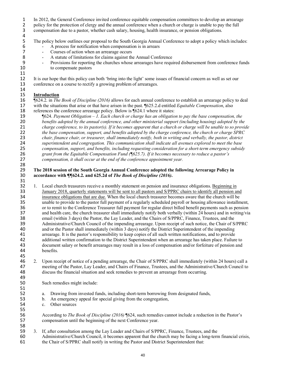1 In 2012, the General Conference invited conference equitable compensation committees to develop an arrearage 2 policy for the protection of clergy and the annual conference when a church or charge is unable to pay the full<br>3 compensation due to a pastor, whether cash salary, housing, health insurance, or pension obligations. 3 compensation due to a pastor, whether cash salary, housing, health insurance, or pension obligations.

5 The policy below outlines our proposal to the South Georgia Annual Conference to adopt a policy which includes:<br>6 A process for notification when compensation is in arrears

- 6 A process for notification when compensation is in arrears<br>7 Courses of action when an arrearage occurs
- 7 Courses of action when an arrearage occurs<br>8 A statute of limitations for claims against the
- 8 A statute of limitations for claims against the Annual Conference<br>9 Provisions for reporting the churches whose arrearages have required.
- 9 Provisions for reporting the churches whose arrearages have required disbursement from conference funds to compensate pastors

12 It is our hope that this policy can both 'bring into the light' some issues of financial concern as well as set our 13 conference on a course to rectify a growing problem of arrearages.

#### 14<br>15 15 **Introduction**

4<br>5

11<br>12

31

51<br>52

55

16 ¶624.2. in *The Book of Discipline (2016)* allows for each annual conference to establish an arrearage policy to deal 17 with the situations that arise or that have arisen in the past. ¶625.2.d entitled *Equitable Compensation*, also references the conference arrearage policy. Below is ¶624.1 where it states: 18 references the conference arrearage policy. Below is  $$624.1$  where it states:<br>19  $$624.1$  *Payment Obligation - 1. Each church or charge has an obligation* 

 ¶624. *Payment Obligation – 1. Each church or charge has an obligation to pay the base compensation, the benefits adopted by the annual conference, and other ministerial support (including housing) adopted by the charge conference, to its pastor(s). If it becomes apparent that a church or charge will be unable to so provide the base compensation, support, and benefits adopted by the charge conference, the church or charge SPRC chair, finance chair, or treasurer, shall immediately notify, both in writing and verbally, the pastor, district superintendent and congregation. This communication shall indicate all avenues explored to meet the base compensation, support, and benefits, including requesting consideration for a short-term emergency subsidy grant from the Equitable Compensation Fund (¶625.7). If it becomes necessary to reduce a pastor's*  compensation, it shall occur at the end of the conference appointment year. 28<br>29

#### 29 **The 2018 session of the South Georgia Annual Conference adopted the following Arrearage Policy in**  30 **accordance with ¶¶624.2. and 625.2d of** *The Book of Discipline (2016)***.**

- 32 1. Local church treasurers receive a monthly statement on pension and insurance obligations. Beginning in 33 January 2018, quarterly statements will be sent to all pastors and S/PPRC chairs to identify all pension and<br>34 insurance obligations that are due. When the local church treasurer becomes aware that the church will be insurance obligations that are due. When the local church treasurer becomes aware that the church will be 35 unable to provide to the pastor full payment of a regularly scheduled payroll or housing allowance installment,<br>36 or to remit to the Conference Treasurer full payment for regular direct billed benefit payments such as 36 or to remit to the Conference Treasurer full payment for regular direct billed benefit payments such as pension<br>37 and health care, the church treasurer shall immediately notify both verbally (within 24 hours) and in wr and health care, the church treasurer shall immediately notify both verbally (within 24 hours) and in writing/via 38 email (within 3 days) the Pastor, the Lay Leader, and the Chairs of S/PPRC, Finance, Trustees, and the Administrative/Church Council of the impending arrearage. Upon receipt of such notice, the Chair of S 39 Administrative/Church Council of the impending arrearage. Upon receipt of such notice, the Chair of S/PPRC 40 and/or the Pastor shall immediately (within 3 days) notify the District Superintendent of the impending 41 arrearage. It is the pastor's responsibility to keep copies of all such written notifications, and to provide 42 additional written confirmation to the District Superintendent when an arrearage has taken place. Failure to<br>43 document salary or benefit arrearages may result in a loss of compensation and/or forfeiture of pension and 43 document salary or benefit arrearages may result in a loss of compensation and/or forfeiture of pension and 44 benefits.
- 45<br>46 46 2. Upon receipt of notice of a pending arrearage, the Chair of S/PPRC shall immediately (within 24 hours) call a 47 meeting of the Pastor, Lay Leader, and Chairs of Finance, Trustees, and the Administrative/Church Council to discuss the financial situation and seek remedies to prevent an arrearage from occurring. discuss the financial situation and seek remedies to prevent an arrearage from occurring. 49

50 Such remedies might include:

- a. Drawing from invested funds, including short-term borrowing from designated funds,
- 53 b. An emergency appeal for special giving from the congregation,
- 54 c. Other sources

56 According to *The Book of Discipline (2016)* ¶624, such remedies cannot include a reduction in the Pastor's 57 compensation until the beginning of the next Conference year.

58<br>59 59 3. If, after consultation among the Lay Leader and Chairs of S/PPRC, Finance, Trustees, and the Administrative/Church Council, it becomes apparent that the church may be facing a long-term 60 Administrative/Church Council, it becomes apparent that the church may be facing a long-term financial crisis,<br>61 the Chair of S/PPRC shall notify in writing the Pastor and District Superintendent that: the Chair of S/PPRC shall notify in writing the Pastor and District Superintendent that: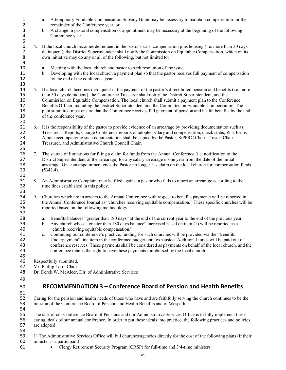- 1 a. A temporary Equitable Compensation Subsidy Grant may be necessary to maintain compensation for the 2 remainder of the Conference year, or<br>3 b. A change in pastoral compensation of
- 3 b. A change in pastoral compensation or appointment may be necessary at the beginning of the following Conference year.
- 6 4. If the local church becomes delinquent in the pastor's cash compensation plus housing (i.e. more than 30 days delinquent), the District Superintendent shall notify the Commission on Equitable Compensation, which on it 7 delinquent), the District Superintendent shall notify the Commission on Equitable Compensation, which on its<br>8 own initiative may do any or all of the following, but not limited to: own initiative may do any or all of the following, but not limited to:
	- a. Meeting with the local church and pastor to seek resolution of the issue.
- 11 b. Developing with the local church a payment plan so that the pastor receives full payment of compensation by the end of the conference year. by the end of the conference year.
- 14 5. If a local church becomes delinquent in the payment of the pastor's direct billed pension and benefits (i.e. more than 30 days delinquent), the Conference Treasurer shall notify the District Superintendent, and the 15 than 30 days delinquent), the Conference Treasurer shall notify the District Superintendent, and the 16 Commission on Equitable Compensation. The local church shall submit a payment plan to the Conference<br>17 Benefits Officer, including the District Superintendent and the Committee on Equitable Compensation. The 17 Benefits Officer, including the District Superintendent and the Committee on Equitable Compensation. The plan submitted must ensure that the Conference receives full payment of pension and health benefits by the  $\epsilon$ 18 plan submitted must ensure that the Conference receives full payment of pension and health benefits by the end<br>19 of the conference year. of the conference year. 20
- 21 6. It is the responsibility of the pastor to provide evidence of an arrearage by providing documentation such as:<br>22 Treasurer's Reports, Charge Conference reports of adopted salary and compensation, check stubs, W-2 fo 22 Treasurer's Reports, Charge Conference reports of adopted salary and compensation, check stubs, W-2 forms.<br>23 A note accompanying such documentation shall be signed by the Pastor, S/PPRC Chair, Trustee Chair, 23 A note accompanying such documentation shall be signed by the Pastor, S/PPRC Chair, Trustee Chair, 24 Treasurer, and Administrative/Church Council Chair. Treasurer, and Administrative/Church Council Chair.
- 25<br>26 26 7. The statute of limitations for filing a claim for funds from the Annual Conference (i.e. notification to the District Superintendent of the arrearage) for any salary arrearage is one year from the date of the initial 27 District Superintendent of the arrearage) for any salary arrearage is one year from the date of the initial arrearage. Once an appointment ends the Pastor no longer has claim on the local church for compensation 28 arrearage. Once an appointment ends the Pastor no longer has claim on the local church for compensation funds (¶342.4).  $($ ¶342.4).
- 30<br>31 31 8. An Administrative Complaint may be filed against a pastor who fails to report an arrearage according to the 32 time lines established in this policy.
- 33<br>34 34 9. Churches which are in arrears to the Annual Conference with respect to benefits payments will be reported in 35 the Annual Conference Journal as "churches receiving equitable compensation." These specific churches will be reported based on the following methodology: reported based on the following methodology: 37
- 38 a. Benefits balances "greater than 180 days" at the end of the current year to the end of the previous year.<br>39 b. Any church whose "greater than 180 days balance" increased based on item (1) will be reported as a
- b. Any church whose "greater than 180 days balance" increased based on item  $(1)$  will be reported as a 40 "church receiving equitable compensation."
- 41 c. Continuing our conference's practice, funding for such churches will be provided via the "Benefits 42 Underpayment'' line item in the conference budget until exhausted. Additional funds will be paid out of conference reserves. These payments shall be considered as payments on behalf of the local church, and 43 conference reserves. These payments shall be considered as payments on behalf of the local church, and the 44 conference retains the right to have these payments reimbursed by the local church.

45<br>46 Respectfully submitted,

- 
- 47 Mr. Phillip Lord, Chair<br>48 Dr. Derek W. McAleer, Dr. Derek W. McAleer, Dir. of Administrative Services
- 49

5

 $\frac{9}{10}$ 

13

- 
- 50 **RECOMMENDATION 3 Conference Board of Pension and Health Benefits**
- 51<br>52 52 Caring for the pension and health needs of those who have and are faithfully serving the church continues to be the mission of the Conference Board of Pension and Health Benefits and of Wespath. mission of the Conference Board of Pension and Health Benefits and of Wespath. 54

55 The task of our Conference Board of Pensions and our Administrative Services Office is to fully implement these caring ideals of our annual conference. In order to put these ideals into practice, the following practices 56 caring ideals of our annual conference. In order to put these ideals into practice, the following practices and policies are adopted: are adopted:

- 58<br>59 59 1) The Administrative Services Office will bill churches/agencies directly for the cost of the following plans (if their 60 minister is a participant):
- 61 Clergy Retirement Security Program (CRSP) for full-time and 3/4-time ministers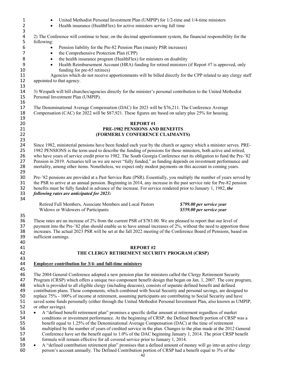| $\mathbf{1}$<br>2<br>3       | United Methodist Personal Investment Plan (UMPIP) for 1/2-time and 1/4-time ministers<br>$\bullet$<br>Health insurance (HealthFlex) for active ministers serving full time<br>$\bullet$                                                                                                                                                                                           |                                                        |  |  |  |  |  |
|------------------------------|-----------------------------------------------------------------------------------------------------------------------------------------------------------------------------------------------------------------------------------------------------------------------------------------------------------------------------------------------------------------------------------|--------------------------------------------------------|--|--|--|--|--|
| $\overline{\mathbf{4}}$<br>5 | 2) The Conference will continue to bear, on the decimal apportionment system, the financial responsibility for the<br>following:                                                                                                                                                                                                                                                  |                                                        |  |  |  |  |  |
| 6<br>$\overline{7}$          | Pension liability for the Pre-82 Pension Plan (mainly PSR increases)<br>the Comprehensive Protection Plan (CPP)<br>$\bullet$                                                                                                                                                                                                                                                      |                                                        |  |  |  |  |  |
| 8                            | the health insurance program (HealthFlex) for ministers on disability<br>$\bullet$                                                                                                                                                                                                                                                                                                |                                                        |  |  |  |  |  |
| 9                            | Health Reimbursement Account (HRA) funding for retired ministers (if Report #7 is approved, only<br>$\bullet$                                                                                                                                                                                                                                                                     |                                                        |  |  |  |  |  |
| 10<br>11                     | funding for pre-65 retirees)                                                                                                                                                                                                                                                                                                                                                      |                                                        |  |  |  |  |  |
| 12                           | Agencies which do not receive apportionments will be billed directly for the CPP related to any clergy staff<br>appointed to that agency.                                                                                                                                                                                                                                         |                                                        |  |  |  |  |  |
| 13                           |                                                                                                                                                                                                                                                                                                                                                                                   |                                                        |  |  |  |  |  |
| 14<br>15                     | 3) Wespath will bill churches/agencies directly for the minister's personal contribution to the United Methodist<br>Personal Investment Plan (UMPIP).                                                                                                                                                                                                                             |                                                        |  |  |  |  |  |
| 16<br>17                     | The Denominational Average Compensation (DAC) for 2023 will be \$76,211. The Conference Average                                                                                                                                                                                                                                                                                   |                                                        |  |  |  |  |  |
| 18<br>19                     | Compensation (CAC) for 2022 will be \$87,921. These figures are based on salary plus 25% for housing.                                                                                                                                                                                                                                                                             |                                                        |  |  |  |  |  |
| 20                           | <b>REPORT#1</b>                                                                                                                                                                                                                                                                                                                                                                   |                                                        |  |  |  |  |  |
| 21                           | PRE-1982 PENSIONS AND BENEFITS                                                                                                                                                                                                                                                                                                                                                    |                                                        |  |  |  |  |  |
| 22<br>23                     | (FORMERLY CONFERENCE CLAIMANTS)                                                                                                                                                                                                                                                                                                                                                   |                                                        |  |  |  |  |  |
| 24<br>25<br>26               | Since 1982, ministerial pensions have been funded each year by the church or agency which a minister serves. PRE-<br>1982 PENSIONS is the term used to describe the funding of pensions for those ministers, both active and retired,<br>who have years of service credit prior to 1982. The South Georgia Conference met its obligation to fund the Pre-'82                      |                                                        |  |  |  |  |  |
| 27<br>28<br>29               | Pension in 2019. Actuaries tell us we are never "fully funded," as funding depends on investment performance and<br>mortality, among other items. Nonetheless, we expect only modest payments on this account in coming years.                                                                                                                                                    |                                                        |  |  |  |  |  |
| 30<br>31                     | Pre-'82 pensions are provided at a Past Service Rate (PSR). Essentially, you multiply the number of years served by<br>the PSR to arrive at an annual pension. Beginning in 2014, any increase in the past service rate for Pre-82 pension                                                                                                                                        |                                                        |  |  |  |  |  |
| 32<br>33<br>34               | benefits must be fully funded in advance of the increase. For service rendered prior to January 1, 1982, the<br>following rates are anticipated for 2023:                                                                                                                                                                                                                         |                                                        |  |  |  |  |  |
| 35                           | Retired Full Members, Associate Members and Local Pastors<br>Widows or Widowers of Participants                                                                                                                                                                                                                                                                                   | \$799.00 per service year<br>\$559.00 per service year |  |  |  |  |  |
| 36<br>37<br>38<br>39<br>40   | These rates are an increase of 2% from the current PSR of \$783.00. We are pleased to report that our level of<br>payment into the Pre-'82 plan should enable us to have annual increases of 2%, without the need to apportion those<br>increases. The actual 2023 PSR will be set at the fall 2022 meeting of the Conference Board of Pensions, based on<br>sufficient earnings. |                                                        |  |  |  |  |  |
| 41                           | <b>REPORT#2</b>                                                                                                                                                                                                                                                                                                                                                                   |                                                        |  |  |  |  |  |
| 42                           | THE CLERGY RETIREMENT SECURITY PROGRAM (CRSP)                                                                                                                                                                                                                                                                                                                                     |                                                        |  |  |  |  |  |
| 43<br>44                     | <b>Employer contribution for 3/4- and full-time ministers</b>                                                                                                                                                                                                                                                                                                                     |                                                        |  |  |  |  |  |
| 45                           |                                                                                                                                                                                                                                                                                                                                                                                   |                                                        |  |  |  |  |  |
| 46                           | The 2004 General Conference adopted a new pension plan for ministers called the Clergy Retirement Security                                                                                                                                                                                                                                                                        |                                                        |  |  |  |  |  |
| 47<br>48                     | Program (CRSP) which offers a unique two component benefit design that began on Jan. 1, 2007. The core program,<br>which is provided to all eligible clergy (including deacons), consists of separate defined benefit and defined                                                                                                                                                 |                                                        |  |  |  |  |  |
| 49                           | contribution plans. These components, which combined with Social Security and personal savings, are designed to                                                                                                                                                                                                                                                                   |                                                        |  |  |  |  |  |
| 50                           | replace 75% - 100% of income at retirement, assuming participants are contributing to Social Security and have                                                                                                                                                                                                                                                                    |                                                        |  |  |  |  |  |
| 51                           | saved some funds personally (either through the United Methodist Personal Investment Plan, also known as UMPIP,                                                                                                                                                                                                                                                                   |                                                        |  |  |  |  |  |
| 52<br>53                     | or other savings).<br>A "defined benefit retirement plan" promises a specific dollar amount at retirement regardless of market<br>$\bullet$                                                                                                                                                                                                                                       |                                                        |  |  |  |  |  |
| 54                           | conditions or investment performance. At the beginning of CRSP, the Defined Benefit portion of CRSP was a                                                                                                                                                                                                                                                                         |                                                        |  |  |  |  |  |
| 55                           | benefit equal to 1.25% of the Denominational Average Compensation (DAC) at the time of retirement                                                                                                                                                                                                                                                                                 |                                                        |  |  |  |  |  |
| 56<br>57                     | multiplied by the number of years of credited service in the plan. Changes to the plan made at the 2012 General<br>Conference have set the benefit equal to 1.0% of the DAC beginning January 1, 2014. The prior CRSP benefit                                                                                                                                                     |                                                        |  |  |  |  |  |
| 58                           | formula will remain effective for all covered service prior to January 1, 2014.                                                                                                                                                                                                                                                                                                   |                                                        |  |  |  |  |  |
| 59                           | A "defined contribution retirement plan" promises that a defined amount of money will go into an active clergy<br>$\bullet$                                                                                                                                                                                                                                                       |                                                        |  |  |  |  |  |
| 60                           | person's account annually. The Defined Contribution portion of CRSP had a benefit equal to 3% of the                                                                                                                                                                                                                                                                              |                                                        |  |  |  |  |  |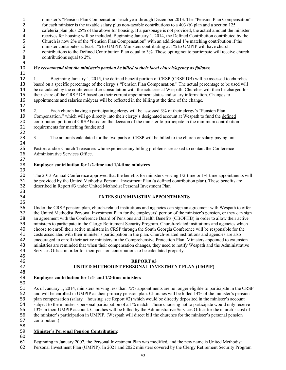1 minister's "Pension Plan Compensation" each year through December 2013. The "Pension Plan Compensation" 2 for each minister is the taxable salary plus non-taxable contributions to a 403 (b) plan and a section 125 cafeteria plan plus 25% of the above for housing. If a parsonage is not provided, the actual amount the n cafeteria plan plus 25% of the above for housing. If a parsonage is not provided, the actual amount the minister 4 receives for housing will be included. Beginning January 1, 2014, the Defined Contribution contributed by the<br>5 Church is now 2% of the "Pension Plan Compensation" with an additional 1% matching contribution if the 5 Church is now 2% of the "Pension Plan Compensation" with an additional 1% matching contribution if the minister contributes at least 1% to UMPIP. Ministers contributing at 1% to UMPIP will have church 6 minister contributes at least 1% to UMPIP. Ministers contributing at 1% to UMPIP will have church<br>7 contributions to the Defined Contribution Plan equal to 3%. Those opting not to participate will recei 7 contributions to the Defined Contribution Plan equal to 3%. Those opting not to participate will receive church<br>8 contributions equal to 2%. contributions equal to 2%.

9<br>10

#### 10 *We recommend that the minister's pension be billed to their local church/agency as follows:*

11<br>12 1. Beginning January 1, 2015, the defined benefit portion of CRSP (CRSP DB) will be assessed to churches 13 based on a specific percentage of the clergy's "Pension Plan Compensation." The actual percentage to be used will 14 be calculated by the conference after consultation with the actuaries at Wespath. Churches will then be charged for their share of the CRSP DB based on their current appointment status and salary information. Changes to 15 their share of the CRSP DB based on their current appointment status and salary information. Changes to 16 appointments and salaries midyear will be reflected in the billing at the time of the change.

17 18 2. Each church having a participating clergy will be assessed 3% of their clergy's "Pension Plan<br>19 Compensation," which will go directly into their clergy's designated account at Wespath to fund the de 19 Compensation," which will go directly into their clergy's designated account at Wespath to fund the defined<br>20 contribution portion of CRSP based on the decision of the minister to participate in the minimum contributio 20 contribution portion of CRSP based on the decision of the minister to participate in the minimum contribution 21 requirements for matching funds; and 22

23 3. The amounts calculated for the two parts of CRSP will be billed to the church or salary-paying unit. 24<br>25

25 Pastors and/or Church Treasurers who experience any billing problems are asked to contact the Conference<br>26 Administrative Services Office. Administrative Services Office.

#### 27<br>28 28 **Employer contribution for 1/2-time and 1/4-time ministers**

29<br>30 30 The 2013 Annual Conference approved that the benefits for ministers serving 1/2-time or 1/4-time appointments will<br>31 be provided by the United Methodist Personal Investment Plan (a defined contribution plan). These ben 31 be provided by the United Methodist Personal Investment Plan (a defined contribution plan). These benefits are 32 described in Report #3 under United Methodist Personal Investment Plan. 33<br>34

#### **EXTENSION MINISTRY APPOINTMENTS**

35<br>36 36 Under the CRSP pension plan, church-related institutions and agencies can sign an agreement with Wespath to offer<br>37 the United Methodist Personal Investment Plan for the employers' portion of the minister's pension, or the United Methodist Personal Investment Plan for the employers' portion of the minister's pension, or they can sign 38 an agreement with the Conference Board of Pensions and Health Benefits (CBOPHB) in order to allow their active<br>39 ministers to participate in the Clergy Retirement Security Program. Church-related institutions and agenc ministers to participate in the Clergy Retirement Security Program. Church-related institutions and agencies which 40 choose to enroll their active ministers in CRSP through the South Georgia Conference will be responsible for the 41 costs associated with their minister's participation in the plan. Church-related institutions and agencies are also 42 encouraged to enroll their active ministers in the Comprehensive Protection Plan. Ministers appointed to extension<br>43 ministries are reminded that when their compensation changes, they need to notify Wespath and the Adm 43 ministries are reminded that when their compensation changes, they need to notify Wespath and the Administrative 44 Services Office in order for their pension contributions to be calculated properly.

#### 46 **REPORT #3** 47 **UNITED METHODIST PERSONAL INVESTMENT PLAN (UMPIP)**

- 45<br>46
- 48<br>49

#### 49 **Employer contribution for 1/4- and 1/2-time ministers**

50<br>51 51 As of January 1, 2014, ministers serving less than 75% appointments are no longer eligible to participate in the CRSP<br>52 and will be enrolled in UMPIP as their primary pension plan. Churches will be billed 14% of the mi and will be enrolled in UMPIP as their primary pension plan. Churches will be billed 14% of the minister's pension plan compensation (salary + housing, see Report #2) which would be directly deposited in the minister's account subject to the minister's personal participation of a 1% match. Those choosing not to participate would only receive 13% in their UMPIP account. Churches will be billed by the Administrative Services Office for the church's cost of the minister's participation in UMPIP. (Wespath will direct bill the churches for the minister's personal pension contribution.)

#### 58<br>59 59 **Minister's Personal Pension Contribution**:

60

61 Beginning in January 2007, the Personal Investment Plan was modified, and the new name is United Methodist

62 Personal Investment Plan (UMPIP). In 2021 and 2022 ministers covered by the Clergy Retirement Security Program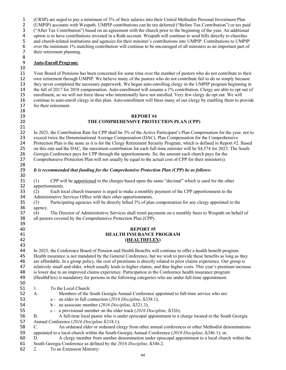(CRSP) are urged to pay a minimum of 3% of their salaries into their United Methodist Personal Investment Plan 2 (UMPIP) accounts with Wespath. UMPIP contributions can be tax deferred ("Before Tax Contribution") or tax paid<br>3 ("After Tax Contribution") based on an agreement with the church prior to the beginning of the year. An add ("After Tax Contribution") based on an agreement with the church prior to the beginning of the year. An additional 4 option is to have contributions invested in a Roth account. Wespath will continue to send bills directly to churches<br>5 and church-related institutions and agencies for their minister's contributions into UMPIP. Contribut 5 and church-related institutions and agencies for their minister's contributions into UMPIP. Contributions to UMPIP<br>6 over the minimum 1% matching contribution will continue to be encouraged of all ministers as an importa 6 over the minimum 1% matching contribution will continue to be encouraged of all ministers as an important part of their retirement planning. their retirement planning.

#### 8<br>9 **Auto-Enroll Program:**

11 Your Board of Pensions has been concerned for some time over the number of pastors who do not contribute to their<br>12 own retirement through UMPIP. We believe many of the pastors who do not contribute fail to do so simpl own retirement through UMPIP. We believe many of the pastors who do not contribute fail to do so simply because they never completed the necessary paperwork. We began auto-enrolling clergy in the UMPIP program beginning in 14 the fall of 2017 for 2018 compensation. Auto-enrollment will assume a 1% contribution. Clergy are able to opt out of enrollment, so we will not force those who intentionally have not enrolled. Very few clergy do opt out enrollment, so we will not force those who intentionally have not enrolled. Very few clergy do opt out. We will continue to auto-enroll clergy in this plan. Auto-enrollment will bless many of our clergy by enabling them to provide for their retirement. 18<br>19

#### 19 **REPORT #4**<br>20 **REPORT #4 THE COMPREHENSIVE PROTE** THE COMPREHENSIVE PROTECTION PLAN (CPP)

21<br>22 In 2023, the Contribution Rate for CPP shall be 3% of the Active Participant's Plan Compensation for the year, not to exceed twice the Denominational Average Compensation (DAC). Plan Compensation for the Comprehensive 24 Protection Plan is the same as it is for the Clergy Retirement Security Program, which is defined in Report #2. Based<br>25 on this rate and the DAC, the maximum contribution for each full-time minister will be \$4.574 for on this rate and the DAC, the maximum contribution for each full-time minister will be \$4,574 for 2023. The South 26 Georgia Conference pays for CPP through the apportionments. So, the amount each church pays for the Comprehensive Protection Plan will not usually be equal to the actual cost of CPP for their minister(s).

Comprehensive Protection Plan will not usually be equal to the actual cost of CPP for their minister(s).

#### 28<br>29 *It is recommended that funding for the Comprehensive Protection Plan (CPP) be as follows:*

30<br>31 (1) CPP will be apportioned to the charges based upon the same "decimal" which is used for the other apportionments.

 (2) Each local church treasurer is urged to make a monthly payment of the CPP apportionment to the Administrative Services Office with their other apportionments.

 (3) Participating agencies will be directly billed 3% of plan compensation for any clergy appointed to the 36 agency.<br>37 (4)

 (4) The Director of Administrative Services shall remit payments on a monthly basis to Wespath on behalf of all pastors covered by the Comprehensive Protection Plan (CPP). 

#### **REPORT #5 HEALTH INSURANCE PROGRAM (HEALTHFLEX)**

 In 2023, the Conference Board of Pension and Health Benefits will continue to offer a health benefit program. Health insurance is not mandated by the General Conference, but we wish to provide these benefits as long as they are affordable. In a group policy, the cost of premiums is directly related to prior claims experience. Our group is 47 relatively small and older, which usually leads to higher claims, and thus higher costs. This year's premium increase<br>48 is lower due to an improved claims experience. Participation in the Conference health insurance pr 48 is lower due to an improved claims experience. Participation in the Conference health insurance program<br>49 (HealthFlex) is mandatory for persons in the following categories who are under full-time appointment: (HealthFlex) is mandatory for persons in the following categories who are under full-time appointment:

- 50<br>51 51 1. To the Local Church:<br>52 A. Members of the S
	- A. Members of the South Georgia Annual Conference appointed to full-time service who are:
- a an elder in full connection (*2016 Discipline*, &338.1);
- b an associate member (*2016 Discipline*, &321.3);
	-

55 c - a provisional member on the elder track (2016 Discipline, 8326);<br>56 B. A full-time local pastor who is under episcopal appointment to a c B. A full-time local pastor who is under episcopal appointment to a charge located in the South Georgia Annual Conference (*2016 Discipline* &318.1);

- C. An ordained elder or ordained clergy from other annual conferences or other Methodist denominations appointed to a local church within the South Georgia Annual Conference (*2016 Discipline*, &346.1); or,
- D. A clergy member from another denomination under episcopal appointment to a local church within the South Georgia Conference as defined by the *2016 Discipline*, &346.2.
- 2. To an Extension Ministry: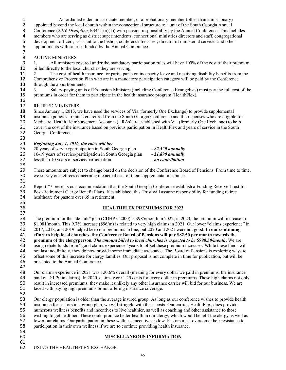1 An ordained elder, an associate member, or a probationary member (other than a missionary) 2 appointed beyond the local church within the connectional structure to a unit of the South Georgia Annual<br>2 Conference (2016 Discipline, 8344.1(a)(1)) with pension responsibility by the Annual Conference. This ine

3 Conference (2016 Discipline, &344.1(a)(1)) with pension responsibility by the Annual Conference. This includes members who are serving as district superintendents, connectional ministries directors and staff, congregatio 4 members who are serving as district superintendents, connectional ministries directors and staff, congregational<br>5 development officers, assistant to the bishop, conference treasurer, director of ministerial services and 5 development officers, assistant to the bishop, conference treasurer, director of ministerial services and other<br>6 appointments with salaries funded by the Annual Conference.

appointments with salaries funded by the Annual Conference. 7

#### 8 ACTIVE MINISTERS

- 9 1. All ministers covered under the mandatory participation rules will have 100% of the cost of their premium billed directly to the local churches they are serving. billed directly to the local churches they are serving.
- 11 2. The cost of health insurance for participants on incapacity leave and receiving disability benefits from the 12 Comprehensive Protection Plan who are in a mandatory participation category will be paid by the Conference<br>13 through the apportionments.
- 13 through the apportionments.<br>14 3. Salary-paying units
- 14 3. Salary-paying units of Extension Ministers (including Conference Evangelists) must pay the full cost of the 15 premiums in order for them to participate in the health insurance program (HealthFlex).

#### 17 RETIRED MINISTERS

- 18 Since January 1, 2013, we have used the services of Via (formerly One Exchange) to provide supplemental<br>19 insurance policies to ministers retired from the South Georgia Conference and their spouses who are eligible
- 19 insurance policies to ministers retired from the South Georgia Conference and their spouses who are eligible for 20 Medicare. Health Reimbursement Accounts (HRAs) are established with Via (formerly One Exchange) to help
- 21 cover the cost of the insurance based on previous participation in HealthFlex and years of service in the South<br>22 Georgia Conference.
- Georgia Conference.

16

#### 23 24 *Beginning July 1, 2016, the rates will be:*

| - - | $D_{\mathcal{L}}$ , $\mathcal{L}_{\mathcal{L}}$ , $\mathcal{L}_{\mathcal{L}}$ , $\mathcal{L}_{\mathcal{L}}$ , $\mathcal{L}_{\mathcal{L}}$ , $\mathcal{L}_{\mathcal{L}}$ , $\mathcal{L}_{\mathcal{L}}$ , $\mathcal{L}_{\mathcal{L}}$ , $\mathcal{L}_{\mathcal{L}}$ , $\mathcal{L}_{\mathcal{L}}$ , $\mathcal{L}_{\mathcal{L}}$ , $\mathcal{L}_{\mathcal{L}}$ , $\mathcal{L}_{\mathcal{L}}$ , $\mathcal{L}_{\mathcal{L}}$ , |                      |
|-----|---------------------------------------------------------------------------------------------------------------------------------------------------------------------------------------------------------------------------------------------------------------------------------------------------------------------------------------------------------------------------------------------------------------------------|----------------------|
| 25  | 20 years of service/participation in South Georgia plan                                                                                                                                                                                                                                                                                                                                                                   | $-$ \$2,520 annually |
| 26  | 10-19 years of service/participation in South Georgia plan                                                                                                                                                                                                                                                                                                                                                                | - \$1,890 annually   |
| 27  | less than 10 years of service/participation                                                                                                                                                                                                                                                                                                                                                                               | - no contribution    |
| 28  |                                                                                                                                                                                                                                                                                                                                                                                                                           |                      |

- 29 These amounts are subject to change based on the decision of the Conference Board of Pensions. From time to time, 30 we survey our retirees concerning the actual cost of their supplemental insurance. 31
- 32 Report #7 presents our recommendation that the South Georgia Conference establish a Funding Reserve Trust for 33 Post-Retirement Clergy Benefit Plans. If established, this Trust will assume responsibility for funding retiree healthcare for pastors over 65 in retirement.

#### 36 **HEALTHFLEX PREMIUMS FOR 2023**

37<br>38 The premium for the "default" plan (CDHP C2000) is \$985/month in 2022; in 2023, the premium will increase to 39  $$1,081/m$ onth. This 9.7% increase (\$96/m) is related to very high claims in 2021. Our lower "claims experience" in 2017, 2018, and 2019 helped keep our premiums in line, but 2020 and 2021 were not good. **In our continu** 40 2017, 2018, and 2019 helped keep our premiums in line, but 2020 and 2021 were not good. **In our continuing**  41 **effort to help local churches, the Conference Board of Pensions will pay \$82.50 per month towards the**  42 **premium of the clergyperson.** *The amount billed to local churches is expected to be \$998.50/month***.** We are 43 using rebate funds from "good claims experience" years to offset these premium increases. While these funds will 44 not last indefinitely, they do now provide some immediate assistance. The Board of Pensions is exploring ways to 45 offset some of this increase for clergy families. Our proposal is not complete in time for publication, but will be presented to the Annual Conference. presented to the Annual Conference.

47<br>48

35

48 Our claims experience in 2021 was 120.6% overall (meaning for every dollar we paid in premiums, the insurance paid out \$1.20 in claims). In 2020, claims were 1.25 cents for every dollar in premiums. These high claims no 49 paid out \$1.20 in claims). In 2020, claims were 1.25 cents for every dollar in premiums. These high claims not only<br>50 result in increased premiums, they make it unlikely any other insurance carrier will bid for our bus 50 result in increased premiums, they make it unlikely any other insurance carrier will bid for our business. We are 51 faced with paying high premiums or not offering insurance coverage.

52

53 Our clergy population is older than the average insured group. As long as our conference wishes to provide health 54 insurance for pastors in a group plan, we will struggle with these costs. Our carrier, HealthFlex, does provide<br>55 numerous wellness benefits and incentives to live healthier, as well as coaching and other assistance to numerous wellness benefits and incentives to live healthier, as well as coaching and other assistance to those 56 wishing to get healthier. These could produce better health in our clergy, which would benefit the clergy as well as 57 lower our claims. Our participation in these wellness incentives is low. Pastors must overcome their resistance to participation in their own wellness if we are to continue providing health insurance. participation in their own wellness if we are to continue providing health insurance. 59

#### 60 **MISCELLANEOUS INFORMATION**

61<br>62 USING THE HEALTHFLEX EXCHANGE: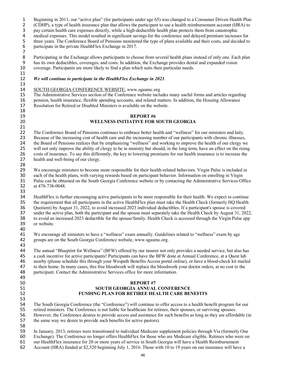1 Beginning in 2011, our "active plan" (for participants under age 65) was changed to a Consumer Driven Health Plan

2 (CDHP), a type of health insurance plan that allows the participant to use a health reimbursement account (HRA) to pay certain health care expenses directly, while a high-deductible health plan protects them from catastr

pay certain health care expenses directly, while a high-deductible health plan protects them from catastrophic

4 medical expenses. This model resulted in significant savings for the conference and delayed premium increases for<br>5 three years. The Conference Board of Pensions monitored the type of plans available and their costs, and 5 three years. The Conference Board of Pensions monitored the type of plans available and their costs, and decided to participate in the private HealthFlex Exchange in 2017.

participate in the private HealthFlex Exchange in 2017.

7 8 Participating in the Exchange allows participants to choose from several health plans instead of only one. Each plan<br>9 has its own deductibles, coverages, and costs. In addition, the Exchange provides dental and expanded 9 has its own deductibles, coverages, and costs. In addition, the Exchange provides dental and expanded vision coverage. Participants are more likely to find a plan which suits their particular needs. 10 coverage. Participants are more likely to find a plan which suits their particular needs.

#### 12 *We will continue to participate in the HealthFlex Exchange in 2023*.

14 SOUTH GEORGIA CONFERENCE WEBSITE: www.sgaumc.org<br>15 The Administrative Services section of the Conference website inclu The Administrative Services section of the Conference website includes many useful forms and articles regarding pension, health insurance, flexible spending accounts, and related matters. In addition, the Housing Allowance Resolution for Retired or Disabled Ministers is available on the website.

#### 19 **REPORT #6**<br>20 **REPORT #6 REPORT #6 REPORT #6 REPORT #6 REPORT #6 REPORT #6 REPORT #6 REPORT #6 REPORT #6** 20 **WELLNESS INITIATIVE FOR SOUTH GEORGIA**

21<br>22 22 The Conference Board of Pensions continues to embrace better health and "wellness" for our ministers and laity.<br>23 Because of the increasing cost of health care and the increasing number of our participants with chronic 23 Because of the increasing cost of health care and the increasing number of our participants with chronic illnesses, 24 the Board of Pensions realizes that by emphasizing "wellness" and working to improve the health of our clergy we<br>25 will not only improve the ability of clergy to be in ministry but should, in the long term, have an eff will not only improve the ability of clergy to be in ministry but should, in the long term, have an effect on the rising 26 costs of insurance. To say this differently, the key to lowering premiums for our health insurance is to increase the health and well-being of our clergy. health and well-being of our clergy.

28<br>29 29 We encourage ministers to become more responsible for their health-related behaviors. Virgin Pulse is included in 30 each of the health plans, with varying rewards based on participant behavior. Information on enrolling in Virgin<br>31 Pulse can be obtained on the South Georgia Conference website or by contacting the Administrative Servi 31 Pulse can be obtained on the South Georgia Conference website or by contacting the Administrative Services Office 32 at 478-738-0048.

33<br>34 HealthFlex is further encouraging active participants to be more responsible for their health. We expect to continue 35 the requirement that all participants in the active HealthFlex plan must take the Health Check (formerly HQ Health Outer 1.1 2022, 2.1 2022, 3.1 2022, 3.1 2022 individual deductibles. If a participant's spouse is covere 36 Quotient) by August 31, 2022, to avoid increased 2023 individual deductibles. If a participant's spouse is covered under the active plan, both the participant and the spouse must separately take the Health Check by Augu 37 under the active plan, both the participant and the spouse must separately take the Health Check by August 31, 2022, 38 to avoid an increased 2023 deductible for the spouse/family. Health Check is accessed through the Virgin Pulse app or website. or website.

40 41 We encourage all ministers to have a "wellness" exam annually. Guidelines related to "wellness" exam by age 42 groups are on the South Georgia Conference website, www.sgaumc.org. 43

44 The annual "Blueprint for Wellness" (BFW) offered by our insurer not only provides a needed service, but also has 45 a cash incentive for active participants! Participants can have the BFW done at Annual Conference, at a Quest lab 46 nearby (please schedule this through your Wespath Benefits Access portal online), or have a blood-check kit mailed 47 to their home. In many cases, this free bloodwork will replace the bloodwork your doctor orders, at no cost to the participant. Contact the Administrative Services office for more information. participant. Contact the Administrative Services office for more information. 49

#### 50 **REPORT #7**  51 **SOUTH GEORGIA ANNUAL CONFERENCE** 52 **FUNDING PLAN FOR RETIREE HEALTH CARE BENEFITS**

 The South Georgia Conference (the "Conference") will continue to offer access to a health benefit program for our retired ministers. The Conference is not liable for healthcare for retirees, their spouses, or surviving spouses. However, the Conference desires to provide access and assistance for such benefits as long as they are affordable (in the same way we desire to provide such benefits for active pastors).

58

53

11<br>12

13

18<br>19

59 In January, 2013, retirees were transitioned to individual Medicare supplement policies through Via (formerly One<br>50 Exchange). The Conference no longer offers HealthFlex for those who are Medicare eligible. Retirees wh

60 Exchange). The Conference no longer offers HealthFlex for those who are Medicare eligible. Retirees who were on 61 our HealthFlex insurance for 20 or more years of service in South Georgia will have a Health Reimburseme

61 our HealthFlex insurance for 20 or more years of service in South Georgia will have a Health Reimbursement 62 Account (HRA) funded at \$2,520 beginning July 1, 2016. Those with 10 to 19 years on our insurance will have a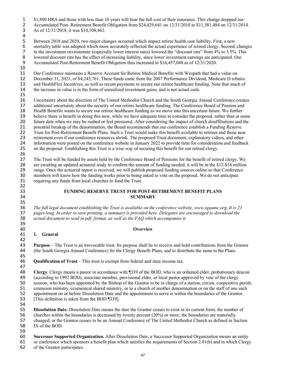- 1 \$1,890 HRA and those with less than 10 years will bear the full cost of their insurance. This change dropped our 2 Accumulated Post- Retirement Benefit Obligation from \$24,429,641 on 12/31/2010 to \$11,581,484 on 12/31/2014.<br>3 As of 12/31/2018, it was \$10,108,462. 3 As of 12/31/2018, it was \$10,108,462.
- $\frac{4}{5}$

5 Between 2018 and 2020, two major changes occurred which impact retiree health care liability. First, a new mortality table was adopted which more accurately reflected the actual experience of retired clergy. Second, 6 mortality table was adopted which more accurately reflected the actual experience of retired clergy. Second, changes in the investment environment (especially lower interest rates) lowered the "discount rate" from 4% to 7 in the investment environment (especially lower interest rates) lowered the "discount rate" from 4% to 3.5%. This<br>8 lowered discount rate has the effect of increasing liability, since lower investment earnings are antici 8 lowered discount rate has the effect of increasing liability, since lower investment earnings are anticipated. Our<br>9 Accumulated Post-Retirement Benefit Obligation thus increased to \$16,457,048 as of 12/31/2020. 9 Accumulated Post-Retirement Benefit Obligation thus increased to \$16,457,048 as of 12/31/2020.

10

11 Our Conference maintains a Reserve Account for Retiree Medical Benefits with Wespath that had a value on 12 December 31, 2021, of \$4,245,761. These funds came from the 2007 Performance Dividend, Medicare D reba December 31, 2021, of \$4,245,761. These funds came from the 2007 Performance Dividend, Medicare D rebates 13 and HealthFlex Incentives, as well as recent payments to secure our retiree healthcare funding. Note that much of 14 the increase in value is in the form of unrealized investment gains, and is not actual cash.

15

35<br>36

39

16 Uncertainty about the direction of The United Methodist Church and the South Georgia Annual Conference creates 17 additional uncertainty about the security of our retiree healthcare funding. The Conference Board of Pension and<br>18 Health Benefits wants to secure our retiree healthcare funding as we move into this uncertain future. W 18 Health Benefits wants to secure our retiree healthcare funding as we move into this uncertain future. We further<br>19 believe there is benefit in doing this now, while we have adequate time to consider the proposal, rathe 19 believe there is benefit in doing this now, while we have adequate time to consider the proposal, rather than at some future date when we may be rushed or feel pressured. After considering the impact of church disaffili future date when we may be rushed or feel pressured. After considering the impact of church disaffiliations and the 21 potential breakup of the denomination, the Board recommends that our conference establish a Funding Reserve<br>22 Trust for Post-Retirement Benefit Plans. Such a Trust would make this benefit available to retirees and thos 22 Trust for Post-Retirement Benefit Plans. Such a Trust would make this benefit available to retirees and those near<br>23 retirement even if our conference resources shrink. The proposed Trust document, explanatory videos, 23 retirement even if our conference resources shrink. The proposed Trust document, explanatory videos, and other 24 information were posted on the conference website in January 2022 to provide time for consideration and feedback<br>25 on the proposal. Establishing this Trust is a wise way of securing this benefit for our retired clergy. 25 on the proposal. Establishing this Trust is a wise way of securing this benefit for our retired clergy.

26<br>27 27 The Trust will be funded by assets held by the Conference Board of Pensions for the benefit of retired clergy. We are awaiting an updated actuarial study to confirm the amount of funding needed: it will be in the \$12-\$1 28 are awaiting an updated actuarial study to confirm the amount of funding needed: it will be in the \$12-\$16 million range. Once the actuarial report is received, we will publish proposed funding sources online so that Co range. Once the actuarial report is received, we will publish proposed funding sources online so that Conference 30 members will know how the funding works prior to being asked to vote on the proposal. We do not anticipate requiring any funds from local churches to fund the Trust. 31 requiring any funds from local churches to fund the Trust. 32

#### 33 **FUNDING RESERVE TRUST FOR POST-RETIREMENT BENEFIT PLANS** 34 **SUMMARY**

36 *The full legal document establishing the Trust is available on the conference website, www.sgaumc.org. It is 23*  37 *pages long. In order to save printing, a summary is provided here. Delegates are encouraged to download the*  38 *actual document to read in pdf. format, as well as the FAQ which accompanies it.* 

#### 40 **Overview**

#### 41 **1. General**

42<br>43 43 **Purpose** – The Trust is an irrevocable trust. Its purpose shall be to receive and hold contributions from the Grantor 44 (the South Georgia Annual Conference) for the Clergy Benefit Plans, and to distribute the same to the Plans.

45<br>46 **Qualification of Trust** – This trust is exempt from federal and state income tax.

47<br>48 48 **Clergy**. Clergy means a pastor in accordance with ¶339 of the BOD, who is an ordained elder, probationary deacon (according to 1992 BOD), associate member, provisional elder, or local pastor approved by vote of the cle (according to 1992 BOD), associate member, provisional elder, or local pastor approved by vote of the clergy 50 session, who has been appointed by the Bishop of the Grantor to be in charge of a station, circuit, cooperative parish, extension ministry, ecumenical shared ministry, or to a church of another denomination or on the st 51 extension ministry, ecumenical shared ministry, or to a church of another denomination or on the staff of one such appointment on or before Dissolution Date and the appointment to serve is within the boundaries of the G appointment on or before Dissolution Date and the appointment to serve is within the boundaries of the Grantor. 53 [This definition is taken from the BOD [339].

54<br>55 **Dissolution Date.** Dissolution Date means the date the Grantor ceases to exist in its current form; the number of 56 churches within the boundaries is decreased by twenty percent (20%) or more; the boundaries are materially 57 changed; or the Grantor ceases to be an Annual Conference of The United Methodist Church as defined in Section 58 IX of the BOD.

59<br>60

60 **Successor Supported Organization.** After Dissolution Date, a Successor Supported Organization means an entity<br>61 or conference which sponsors a benefit plan which satisfies the requirements of Section 2.01(b) and in wh

or conference which sponsors a benefit plan which satisfies the requirements of Section 2.01(b) and in which Clergy

62 of the Grantor participates.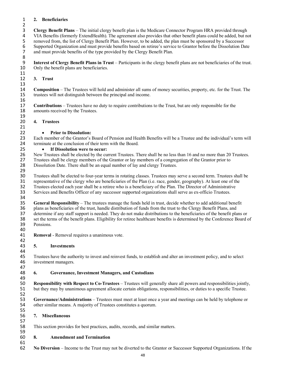#### **2. Beneficiaries**

 $\frac{2}{3}$ **3 Clergy Benefit Plans** – The initial clergy benefit plan is the Medicare Connector Program HRA provided through VIA Benefits (formerly ExtendHealth). The agreement also provides that other benefit plans could be added, b 4 VIA Benefits (formerly ExtendHealth). The agreement also provides that other benefit plans could be added, but not<br>5 removed from, the list of Clergy Benefit Plan. However, to be added, the plan must be sponsored by a Su 5 removed from, the list of Clergy Benefit Plan. However, to be added, the plan must be sponsored by a Successor<br>5 Supported Organization and must provide benefits based on retiree's service to Grantor before the Dissoluti 6 Supported Organization and must provide benefits based on retiree's service to Grantor before the Dissolution Date<br>7 and must provide benefits of the type provided by the Clergy Benefit Plan. and must provide benefits of the type provided by the Clergy Benefit Plan. 8<br>9

 **Interest of Clergy Benefit Plans in Trust** – Participants in the clergy benefit plans are not beneficiaries of the trust. Only the benefit plans are beneficiaries.

#### 11<br>12 **3. Trust**

19<br>20

**Composition** – The Trustees will hold and administer all sums of money securities, property, etc. for the Trust. The trustees will not distinguish between the principal and income. trustees will not distinguish between the principal and income.

**Contributions** – Trustees have no duty to require contributions to the Trust, but are only responsible for the amounts received by the Trustees. amounts received by the Trustees.

#### **4. Trustees**

#### • **Prior to Dissolution:**

 Each member of the Grantor's Board of Pension and Health Benefits will be a Trustee and the individual's term will 24 terminate at the conclusion of their term with the Board.<br>25 • If Dissolution were to occur:

#### • **If Dissolution were to occur:**

26 New Trustees shall be elected by the current Trustees. There shall be no less than 16 and no more than 20 Trustees.<br>27 Trustees shall be clergy members of the Grantor or lay members of a congregation of the Grantor prio 27 Trustees shall be clergy members of the Grantor or lay members of a congregation of the Grantor prior to 28 Dissolution Date. There shall be an equal number of lay and clergy Trustees. Dissolution Date. There shall be an equal number of lay and clergy Trustees.

 Trustees shall be elected to four-year terms in rotating classes. Trustees may serve a second term. Trustees shall be representative of the clergy who are beneficiaries of the Plan (i.e. race, gender, geography). At least one of the Trustees elected each year shall be a retiree who is a beneficiary of the Plan. The Director of Administrative Services and Benefits Officer of any successor supported organizations shall serve as ex-officio Trustees.

34<br>35 **General Responsibility** – The trustees manage the funds held in trust, decide whether to add additional benefit 36 plans as beneficiaries of the trust, handle distribution of funds from the trust to the Clergy Benefit Plans, and<br>37 determine if any staff support is needed. They do not make distributions to the beneficiaries of the b determine if any staff support is needed. They do not make distributions to the beneficiaries of the benefit plans or 38 set the terms of the benefit plans. Eligibility for retiree healthcare benefits is determined by the Conference Board of<br>39 Pensions. Pensions. 

**Removal** - Removal requires a unanimous vote.

#### 42<br>43 **5. Investments**

 Trustees have the authority to invest and reinvest funds, to establish and alter an investment policy, and to select investment managers.

#### **6. Governance, Investment Managers, and Custodians**

 **Responsibility with Respect to Co-Trustees** – Trustees will generally share all powers and responsibilities jointly, but they may by unanimous agreement allocate certain obligations, responsibilities, or duties to a specific Trustee. 

 **Governance/Administrations** – Trustees must meet at least once a year and meetings can be held by telephone or other similar means. A majority of Trustees constitutes a quorum.

#### 55<br>56 **7. Miscellaneous**

57<br>58 This section provides for best practices, audits, records, and similar matters.

#### **8. Amendment and Termination**

**No Diversion** – Income to the Trust may not be diverted to the Grantor or Successor Supported Organizations. If the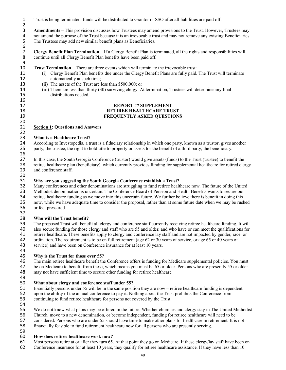Trust is being terminated, funds will be distributed to Grantor or SSO after all liabilities are paid off.

 **Amendments** – This provision discusses how Trustees may amend provisions to the Trust. However, Trustees may not amend the purpose of the Trust because it is an irrevocable trust and may not remove any existing Benefi 4 not amend the purpose of the Trust because it is an irrevocable trust and may not remove any existing Beneficiaries.<br>5 The Trustees may add new similar benefit plans as Beneficiaries. The Trustees may add new similar benefit plans as Beneficiaries.

 **Clergy Benefit Plan Termination** – If a Clergy Benefit Plan is terminated, all the rights and responsibilities will continue until all Clergy Benefit Plan benefits have been paid off.

- 10 **Trust Termination** There are three events which will terminate the irrevocable trust:<br>11 (i) Clergy Benefit Plan benefits due under the Clergy Benefit Plans are fully paid. (i) Clergy Benefit Plan benefits due under the Clergy Benefit Plans are fully paid. The Trust will terminate automatically at such time;
- (ii) The assets of the Trust are less than \$500,000; or
- (iii) There are less than thirty (30) surviving clergy. At termination, Trustees will determine any final distributions needed.

#### 17 **REPORT #7 SUPPLEMENT**<br>18 **RETIREE HEALTHCARE TRU RETIREE HEALTHCARE TRUST FREQUENTLY ASKED QUESTIONS**

#### **Section 1: Questions and Answers**

#### **What is a Healthcare Trust?**

24 According to Investopedia, a trust is a fiduciary relationship in which one party, known as a trustor, gives another party, the trustee, the right to hold title to property or assets for the benefit of a third party, th party, the trustee, the right to hold title to property or assets for the benefit of a third party, the beneficiary.

26<br>27 27 In this case, the South Georgia Conference (trustor) would give assets (funds) to the Trust (trustee) to benefit the retiree healthcare plan (beneficiary), which currently provides funding for supplemental healthcare fo retiree healthcare plan (beneficiary), which currently provides funding for supplemental healthcare for retired clergy and conference staff.

30<br>31 **Why are you suggesting the South Georgia Conference establish a Trust?** 

 Many conferences and other denominations are struggling to fund retiree healthcare now. The future of the United 33 Methodist denomination is uncertain. The Conference Board of Pension and Health Benefits wants to secure our<br>34 retiree healthcare funding as we move into this uncertain future. We further believe there is benefit in do retiree healthcare funding as we move into this uncertain future. We further believe there is benefit in doing this now, while we have adequate time to consider the proposal, rather than at some future date when we may be rushed

or feel pressured. 

 **Who will the Trust benefit?**  The proposed Trust will benefit all clergy and conference staff currently receiving retiree healthcare funding. It will also secure funding for those clergy and staff who are 55 and older, and who have or can meet the qualifications for retiree healthcare. These benefits apply to clergy and conference lay staff and are not impacted by gender, race, or 42 ordination. The requirement is to be on full retirement (age 62 or 30 years of service, or age 65 or 40 years of service) and have been on Conference insurance for at least 10 years. service) and have been on Conference insurance for at least 10 years.

 $\frac{2}{3}$ 

6<br>7

9<br>10

#### **Why is the Trust for those over 55?**

 The main retiree healthcare benefit the Conference offers is funding for Medicare supplemental policies. You must 47 be on Medicare to benefit from these, which means you must be 65 or older. Persons who are presently 55 or older may not have sufficient time to secure other funding for retiree healthcare. may not have sufficient time to secure other funding for retiree healthcare.

## **What about clergy and conference staff under 55?**

51 Essentially persons under 55 will be in the same position they are now – retiree healthcare funding is dependent upon the ability of the annual conference to pay it. Nothing about the Trust prohibits the Conference from upon the ability of the annual conference to pay it. Nothing about the Trust prohibits the Conference from

- continuing to fund retiree healthcare for persons not covered by the Trust.
- We do not know what plans may be offered in the future. Whether churches and clergy stay in The United Methodist
- Church, move to a new denomination, or become independent, funding for retiree healthcare will need to be
- considered. Persons who are under 55 should have time to make other plans for healthcare in retirement. It is not
- financially feasible to fund retirement healthcare now for all persons who are presently serving.

## 59<br>60

- **How does retiree healthcare work now?**  Most persons retire at or after they turn 65. At that point they go on Medicare. If these clergy/lay staff have been on
- Conference insurance for at least 10 years, they qualify for retiree healthcare assistance. If they have less than 10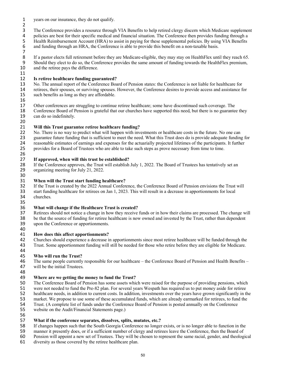1 years on our insurance, they do not qualify.

 $\frac{2}{3}$ 3 The Conference provides a resource through VIA Benefits to help retired clergy discern which Medicare supplement

4 policies are best for their specific medical and financial situation. The Conference then provides funding through a<br>5 Health Reimbursement Account (HRA) to assist in paying for these supplemental policies. By using VIA 5 Health Reimbursement Account (HRA) to assist in paying for these supplemental policies. By using VIA Benefits and funding through an HRA, the Conference is able to provide this benefit on a non-taxable basis.

and funding through an HRA, the Conference is able to provide this benefit on a non-taxable basis. 7

8 If a pastor elects full retirement before they are Medicare-eligible, they may stay on HealthFlex until they reach 65.<br>9 Should they elect to do so, the Conference provides the same amount of funding towards the HealthFl 9 Should they elect to do so, the Conference provides the same amount of funding towards the HealthFlex premium, 10 and the retiree pays the difference.

11<br>12 12 **Is retiree healthcare funding guaranteed?** 

13 No. The annual report of the Conference Board of Pension states: the Conference is not liable for healthcare for 14 retirees, their spouses, or surviving spouses. However, the Conference desires to provide access and assistance for such benefits as long as they are affordable. such benefits as long as they are affordable.

16

17 Other conferences are struggling to continue retiree healthcare; some have discontinued such coverage. The<br>18 Conference Board of Pension is grateful that our churches have supported this need, but there is no guarante 18 Conference Board of Pension is grateful that our churches have supported this need, but there is no guarantee they<br>19 can do so indefinitely. can do so indefinitely. 20

## 21 **Will this Trust guarantee retiree healthcare funding?**

No. There is no way to predict what will happen with investments or healthcare costs in the future. No one can 23 guarantee future funding that is sufficient to meet the need. What this Trust does do is provide adequate funding for 24 reasonable estimates of earnings and expenses for the actuarially projected lifetimes of the participants. It further<br>25 provides for a Board of Trustees who are able to take such steps as prove necessary from time to t 25 provides for a Board of Trustees who are able to take such steps as prove necessary from time to time.

### 26<br>27 27 **If approved, when will this trust be established?**

28 If the Conference approves, the Trust will establish July 1, 2022. The Board of Trustees has tentatively set an 29 organizing meeting for July 21, 2022.

#### 30<br>31 31 **When will the Trust start funding healthcare?**

32 If the Trust is created by the 2022 Annual Conference, the Conference Board of Pension envisions the Trust will 33 start funding healthcare for retirees on Jan 1, 2023. This will result in a decrease in apportionments for local churches.

35<br>36

## 36 **What will change if the Healthcare Trust is created?**

Retirees should not notice a change in how they receive funds or in how their claims are processed. The change will 38 be that the source of funding for retiree healthcare is now owned and invested by the Trust, rather than dependent upon the Conference or apportionments.

upon the Conference or apportionments. 40

#### 41 **How does this affect apportionments?**

42 Churches should experience a decrease in apportionments since most retiree healthcare will be funded through the 43 Trust. Some apportionment funding will still be needed for those who retire before they are eligible for Medicare.

44

#### 45 **Who will run the Trust?**

46 The same people currently responsible for our healthcare – the Conference Board of Pension and Health Benefits – 47 will be the initial Trustees.

48<br>49

#### 49 **Where are we getting the money to fund the Trust?**

50 The Conference Board of Pension has some assets which were raised for the purpose of providing pensions, which<br>51 were not needed to fund the Pre-82 plan. For several years Wespath has required us to put money aside for

- 51 were not needed to fund the Pre-82 plan. For several years Wespath has required us to put money aside for retiree<br>52 healthcare needs, in addition to current costs. In addition, investments over the years have grown sig
- 52 healthcare needs, in addition to current costs. In addition, investments over the years have grown significantly in the
- 53 market. We propose to use some of these accumulated funds, which are already earmarked for retirees, to fund the
- 54 Trust. (A complete list of funds under the Conference Board of Pension is posted annually on the Conference
- 55 website on the Audit/Financial Statements page.) 56

### 57 **What if the conference separates, dissolves, splits, mutates, etc.?**

58 If changes happen such that the South Georgia Conference no longer exists, or is no longer able to function in the

- 59 manner it presently does, or if a sufficient number of clergy and retirees leave the Conference, then the Board of<br>50 Pension will appoint a new set of Trustees. They will be chosen to represent the same racial, gender,
- 60 Pension will appoint a new set of Trustees. They will be chosen to represent the same racial, gender, and theological diversity as those covered by the retiree healthcare plan.
- diversity as those covered by the retiree healthcare plan.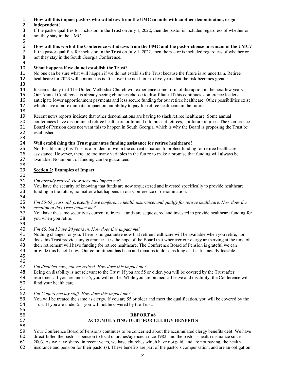#### **How will this impact pastors who withdraw from the UMC to unite with another denomination, or go**

2 **independent?**<br>3 If the pastor qu If the pastor qualifies for inclusion in the Trust on July 1, 2022, then the pastor is included regardless of whether or not they stay in the UMC.

 **How will this work if the Conference withdraws from the UMC and the pastor choose to remain in the UMC?**  If the pastor qualifies for inclusion in the Trust on July 1, 2022, then the pastor is included regardless of whether or not they stay in the South Georgia Conference.

#### 9<br>10 **What happens if we do not establish the Trust?**

11 No one can be sure what will happen if we do not establish the Trust because the future is so uncertain. Retiree healthcare for 2023 will continue as is. It is over the next four to five years that the risk becomes grea healthcare for 2023 will continue as is. It is over the next four to five years that the risk becomes greater. 

14 It seems likely that The United Methodist Church will experience some form of disruption in the next few years.<br>15 Our Annual Conference is already seeing churches choose to disaffiliate. If this continues, conference l

 Our Annual Conference is already seeing churches choose to disaffiliate. If this continues, conference leaders 16 anticipate lower apportionment payments and less secure funding for our retiree healthcare. Other possibilities exist<br>17 which have a more dramatic impact on our ability to pay for retiree healthcare in the future. which have a more dramatic impact on our ability to pay for retiree healthcare in the future.

18<br>19

19 Recent news reports indicate that other denominations are having to slash retiree healthcare. Some annual<br>20 conferences have discontinued retiree healthcare or limited it to present retirees, not future retirees. The C

 conferences have discontinued retiree healthcare or limited it to present retirees, not future retirees. The Conference 21 Board of Pension does not want this to happen in South Georgia, which is why the Board is proposing the Trust be established. established.

## 23<br>24

24 **Will establishing this Trust guarantee funding assistance for retiree healthcare?**<br>25 No. Establishing this Trust is a prudent move in the current situation to protect fundin No. Establishing this Trust is a prudent move in the current situation to protect funding for retiree healthcare 26 assistance. However, there are too many variables in the future to make a promise that funding will always be available. No amount of funding can be guaranteed. available. No amount of funding can be guaranteed.

#### 28<br>29 **Section 2: Examples of Impact**

30<br>31 *I'm already retired. How does this impact me?* 

 You have the security of knowing that funds are now sequestered and invested specifically to provide healthcare funding in the future, no matter what happens in our Conference or denomination. 

 *I'm 55-65 years old, presently have conference health insurance, and qualify for retiree healthcare. How does the creation of this Trust impact me?* 

 You have the same security as current retirees – funds are sequestered and invested to provide healthcare funding for you when you retire. 

#### *I'm 45, but I have 20 years in. How does this impact me?*

Nothing changes for you. There is no guarantee now that retiree healthcare will be available when you retire, nor

42 does this Trust provide any guarantee. It is the hope of the Board that wherever our clergy are serving at the time of their retirement will have funding for retiree healthcare. The Conference Board of Pension is gratef their retirement will have funding for retiree healthcare. The Conference Board of Pension is grateful we can

provide this benefit now. Our commitment has been and remains to do so as long as it is financially feasible.

 

- *I'm disabled now, not yet retired. How does this impact me?*
- 48 Being on disability is not relevant to the Trust. If you are 55 or older, you will be covered by the Trust after<br>49 retirement. If you are under 55, you will not be. While you are on medical leave and disability, the Co retirement. If you are under 55, you will not be. While you are on medical leave and disability, the Conference will fund your health care.
- 51<br>52 *I'm Conference lay staff. How does this impact me?*

 You will be treated the same as clergy. If you are 55 or older and meet the qualification, you will be covered by the Trust. If you are under 55, you will not be covered by the Trust. 

#### **REPORT #8 ACCUMULATING DEBT FOR CLERGY BENEFITS**

59 Your Conference Board of Pensions continues to be concerned about the accumulated clergy benefits debt. We have<br>60 direct-billed the pastor's pension to local churches/agencies since 1982, and the pastor's health insura

60 direct-billed the pastor's pension to local churches/agencies since 1982, and the pastor's health insurance since 61 2003. As we have shared in recent years, we have churches which have not paid, and are not paying, the

- 2003. As we have shared in recent years, we have churches which have not paid, and are not paying, the health
- insurance and pension for their pastor(s). These benefits are part of the pastor's compensation, and are an obligation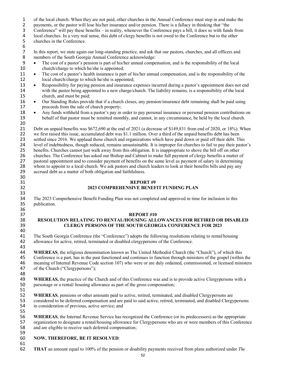- 1 of the local church. When they are not paid, other churches in the Annual Conference must step in and make the
- 2 payments, or the pastor will lose his/her insurance and/or pension. There is a fallacy in thinking that "the<br>3 Conference" will pay these benefits in reality, whenever the Conference pays a bill, it does so with func
- 3 Conference" will pay these benefits in reality, whenever the Conference pays a bill, it does so with funds from local churches. In a very real sense, this debt of clergy benefits is not owed to the Conference but to th
- 4 local churches. In a very real sense, this debt of clergy benefits is not owed to the Conference but to the other<br>5 churches in the Conference. churches in the Conference.
- 6<br>7

33<br>34

36<br>37

7 In this report, we state again our long-standing practice, and ask that our pastors, churches, and all officers and<br>8 members of the South Georgia Annual Conference acknowledge:

- 8 members of the South Georgia Annual Conference acknowledge:<br>9 The cost of a pastor's pension is part of his/her annual competent 9 • The cost of a pastor's pension is part of his/her annual compensation, and is the responsibility of the local church/charge to which he/she is appointed; church/charge to which he/she is appointed;
- 11 The cost of a pastor's health insurance is part of his/her annual compensation, and is the responsibility of the 12 local church/charge to which he/she is appointed;<br>13 • Responsibility for paying pension and insurance e
- Responsibility for paying pension and insurance expenses incurred during a pastor's appointment does not end 14 with the pastor being appointed to a new charge/church. The liability remains, is a responsibility of the local 15 church, and must be paid;
- 16 Our Standing Rules provide that if a church closes, any pension/insurance debt remaining shall be paid using proceeds from the sale of church property: proceeds from the sale of church property;
- 18 Any funds withheld from a pastor's pay in order to pay personal insurance or personal pension contributions on behalf of that pastor must be remitted monthly, and cannot, in any circumstance, be held by the local chur behalf of that pastor must be remitted monthly, and cannot, in any circumstance, be held by the local church. 20

21 Debt on unpaid benefits was \$672,690 at the end of 2021 (a decrease of \$149,831 from end of 2020, or 18%). When<br>22 we first raised this issue, accumulated debt was \$1.1 million. Over a third of the unpaid benefits debt we first raised this issue, accumulated debt was \$1.1 million. Over a third of the unpaid benefits debt has been 23 settled since 2016. We applaud those church and organizations which have paid down or paid off their debt. This 24 level of indebtedness, though reduced, remains unsustainable. It is improper for churches to fail to pay their pastor's benefits. Churches cannot just walk away from this obligation. It is inappropriate to shove the bil 25 benefits. Churches cannot just walk away from this obligation. It is inappropriate to shove the bill off on other 26 churches. The Conference has asked our Bishop and Cabinet to make full payment of clergy benefits a matter of 27 pastoral appointment and to consider payment of benefits on the same level as payment of salary in determining<br>28 whom to appoint to a local church. We ask pastors and church leaders to look at their benefits bills and 28 whom to appoint to a local church. We ask pastors and church leaders to look at their benefits bills and pay any accrued debt as a matter of both obligation and faithfulness. accrued debt as a matter of both obligation and faithfulness. 30<br>31

#### 31 **REPORT #9**  32 **2023 COMPREHENSIVE BENEFIT FUNDING PLAN**

The 2023 Comprehensive Benefit Funding Plan was not completed and approved in time for inclusion in this 35 publication.

#### 37 **REPORT #10**

#### 38 **RESOLUTION RELATING TO RENTAL/HOUSING ALLOWANCES FOR RETIRED OR DISABLED**  39 **CLERGY PERSONS OF THE SOUTH GEORGIA CONFERENCE FOR 2023**

40<br>41 The South Georgia Conference (the "Conference") adopts the following resolutions relating to rental/housing 42 allowance for active, retired, terminated or disabled clergypersons of the Conference.

43<br>44 44 **WHEREAS**, the religious denomination known as The United Methodist Church (the "Church"), of which this 45 Conference is a part, has in the past functioned and continues to function through ministers of the gospel (within the meaning of Internal Revenue Code section 107) who were or are duly ordained, commissioned, or licens 46 meaning of Internal Revenue Code section 107) who were or are duly ordained, commissioned, or licensed ministers 47 of the Church ("Clergypersons");

48<br>49 WHEREAS, the practice of the Church and of this Conference was and is to provide active Clergypersons with a 50 parsonage or a rental/ housing allowance as part of the gross compensation; 51

52 **WHEREAS**, pensions or other amounts paid to active, retired, terminated, and disabled Clergypersons are considered to be deferred compensation and are paid to said active, retired, terminated, and disabled Clergy considered to be deferred compensation and are paid to said active, retired, terminated, and disabled Clergypersons 54 in consideration of previous, active service; and 55

56 **WHEREAS**, the Internal Revenue Service has recognized the Conference (or its predecessors) as the appropriate 57 organization to designate a rental/housing allowance for Clergypersons who are or were members of this Conference<br>58 and are eligible to receive such deferred compensation: and are eligible to receive such deferred compensation; 59

#### 60 **NOW, THEREFORE, BE IT RESOLVED**: 61

62 **THAT** an amount equal to 100% of the pension or disability payments received from plans authorized under *The*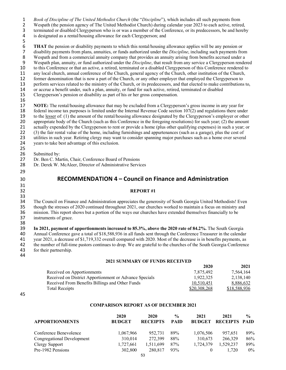1 *Book of Discipline of The United Methodist Church* (the "*Discipline*"), which includes all such payments from<br>2 Wespath (the pension agency of The United Methodist Church) during calendar year 2023 to each active, ret 2 Wespath (the pension agency of The United Methodist Church) during calendar year 2023 to each active, retired,<br>3 terminated or disabled Clergyperson who is or was a member of the Conference, or its predecessors, be and h 3 terminated or disabled Clergyperson who is or was a member of the Conference, or its predecessors, be and hereby<br>4 is designated as a rental/housing allowance for each Clergyperson; and is designated as a rental/housing allowance for each Clergyperson; and 5 **6 THAT** the pension or disability payments to which this rental/housing allowance applies will be any pension or disability payments from plans, annuities, or funds authorized under the *Discipline*, including such paymen 7 disability payments from plans, annuities, or funds authorized under the *Discipline*, including such payments from<br>8 Wespath and from a commercial annuity company that provides an annuity arising from benefits accrued u 8 Wespath and from a commercial annuity company that provides an annuity arising from benefits accrued under a<br>9 Wespath plan, annuity, or fund authorized under the *Discipline*, that result from any service a Clergyperson 9 Wespath plan, annuity, or fund authorized under the *Discipline*, that result from any service a Clergyperson rendered to to this Conference or that an active, a retired, terminated or a disabled Clergyperson of this Con 10 to this Conference or that an active, a retired, terminated or a disabled Clergyperson of this Conference rendered to 11 any local church, annual conference of the Church, general agency of the Church, other institution of the Church,<br>12 former denomination that is now a part of the Church, or any other employer that employed the Clergype former denomination that is now a part of the Church, or any other employer that employed the Clergyperson to 13 perform services related to the ministry of the Church, or its predecessors, and that elected to make contributions to, 14 or accrue a benefit under, such a plan, annuity, or fund for such active, retired, terminated or disabled<br>15 Clergyperson's pension or disability as part of his or her gross compensation. 15 Clergyperson's pension or disability as part of his or her gross compensation. 16<br>17 17 **NOTE:** The rental/housing allowance that may be excluded from a Clergyperson's gross income in any year for federal income tax purposes is limited under the Internal Revenue Code section 107(2) and regulations there un 18 federal income tax purposes is limited under the Internal Revenue Code section 107(2) and regulations there under<br>19 to the lesser of: (1) the amount of the rental/housing allowance designated by the Clergyperson's empl 19 to the <u>lesser</u> of: (1) the amount of the rental/housing allowance designated by the Clergyperson's employer or other<br>20 appropriate body of the Church (such as this Conference in the foregoing resolutions) for such yea appropriate body of the Church (such as this Conference in the foregoing resolutions) for such year; (2) the amount 21 actually expended by the Clergyperson to rent or provide a home (plus other qualifying expenses) in such a year; or (3) the fair rental value of the home, including furnishings and appurtenances (such as a garage), plus 22 (3) the fair rental value of the home, including furnishings and appurtenances (such as a garage), plus the cost of utilities in such year. Retiring clergy may want to consider spanning major purchases such as a home ov 23 utilities in such year. Retiring clergy may want to consider spanning major purchases such as a home over several years to take best advantage of this exclusion. years to take best advantage of this exclusion. 25 26 Submitted by:<br>27 Dr. Ben C. Ma Dr. Ben C. Martin, Chair, Conference Board of Pensions 28 Dr. Derek W. McAleer, Director of Administrative Services 29 30 **RECOMMENDATION 4 – Council on Finance and Administration** 31<br>32 32 **REPORT #1** 33<br>34 34 The Council on Finance and Administration appreciates the generosity of South Georgia United Methodists! Even<br>35 though the stresses of 2020 continued throughout 2021, our churches worked to maintain a focus on ministry though the stresses of 2020 continued throughout 2021, our churches worked to maintain a focus on ministry and 36 mission. This report shows but a portion of the ways our churches have extended themselves financially to be 37 instruments of grace. 38<br>39 39 **In 2021, payment of apportionments increased to 85.3%, above the 2020 rate of 84.2%.** The South Georgia 40 Annual Conference gave a total of \$18,588,936 in all funds sent through the Conference Treasurer in the calendar year 2021, a decrease of \$1,719,332 overall compared with 2020. Most of the decrease is in benefits paymen 41 year 2021, a decrease of \$1,719,332 overall compared with 2020. Most of the decrease is in benefits payments, as<br>42 the number of full-time pastors continues to drop. We are grateful to the churches of the South Georgia 42 the number of full-time pastors continues to drop. We are grateful to the churches of the South Georgia Conference 43 for their partnership. 44 **2021 SUMMARY OF FUNDS RECEIVED 2020 2021**

| Received on Apportionments                             | 7.875.492    | 7.564.164           |
|--------------------------------------------------------|--------------|---------------------|
| Received on District Apportionment or Advance Specials | 1,922,325    | 2,138,140           |
| Received From Benefits Billings and Other Funds        | 10.510.451   | 8,886,632           |
| Total Receipts                                         | \$20,308,268 | <u>\$18,588,936</u> |

45

#### **COMPARISON REPORT AS OF DECEMBER 2021**

|                            | 2020          | 2020            | $\frac{0}{0}$ | 2021          | 2021                 | $\frac{0}{0}$ |
|----------------------------|---------------|-----------------|---------------|---------------|----------------------|---------------|
| <b>APPORTIONMENTS</b>      | <b>BUDGET</b> | <b>RECEIPTS</b> | <b>PAID</b>   | <b>BUDGET</b> | <b>RECEIPTS PAID</b> |               |
| Conference Benevolence     | 1,067,966     | 952.731         | 89%           | 1,076,506     | 957,651              | 89%           |
| Congregational Development | 310.014       | 272.399         | 88%           | 310,673       | 266,329              | 86%           |
| Clergy Support             | 1,727,661     | 1,511,699       | 87%           | 1,724,379     | 1.529.237            | 89%           |
| Pre-1982 Pensions          | 302,800       | 280.817         | 93%           | $\theta$      | 1.720                | 0%            |
|                            |               |                 |               |               |                      |               |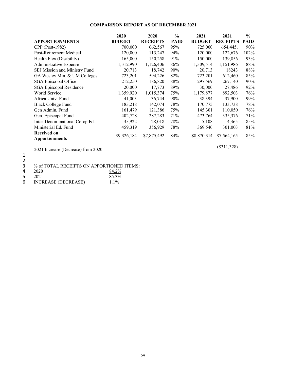#### **COMPARISON REPORT AS OF DECEMBER 2021**

|                                | 2020          | 2020            | $\frac{6}{6}$ | 2021          | 2021            | $\frac{6}{6}$ |
|--------------------------------|---------------|-----------------|---------------|---------------|-----------------|---------------|
| <b>APPORTIONMENTS</b>          | <b>BUDGET</b> | <b>RECEIPTS</b> | <b>PAID</b>   | <b>BUDGET</b> | <b>RECEIPTS</b> | <b>PAID</b>   |
| CPP (Post-1982)                | 700,000       | 662,567         | 95%           | 725,000       | 654,445,        | 90%           |
| Post-Retirement Medical        | 120,000       | 113,247         | 94%           | 120,000       | 122,676         | 102%          |
| Health Flex (Disability)       | 165,000       | 150,258         | 91%           | 150,000       | 139,856         | 93%           |
| Administrative Expense         | 1,312,990     | 1,126,406       | 86%           | 1,309,514     | 1,151,986       | 88%           |
| SEJ Mission and Ministry Fund  | 20,713        | 18,742          | 90%           | 20,713        | 18243           | 88%           |
| GA Wesley Min. & UM Colleges   | 723,201       | 594,226         | 82%           | 723,201       | 612,460         | 85%           |
| <b>SGA Episcopal Office</b>    | 212,250       | 186,820         | 88%           | 297,569       | 267,140         | 90%           |
| <b>SGA Episcopal Residence</b> | 20,000        | 17,773          | 89%           | 30,000        | 27,486          | 92%           |
| World Service                  | 1,359,920     | 1,015,374       | 75%           | 1,179,877     | 892,503         | 76%           |
| Africa Univ. Fund              | 41,003        | 36,744          | 90%           | 38,394        | 37,900          | 99%           |
| <b>Black College Fund</b>      | 183,218       | 142,074         | 78%           | 170,775       | 133,738         | 78%           |
| Gen Admin. Fund                | 161,479       | 121,386         | 75%           | 145,301       | 110,050         | 76%           |
| Gen. Episcopal Fund            | 402,728       | 287,283         | 71%           | 473,764       | 335,376         | 71%           |
| Inter-Denominational Co-op Fd. | 35,922        | 28,018          | 78%           | 5,108         | 4,365           | 85%           |
| Ministerial Ed. Fund           | 459,319       | 356,929         | 78%           | 369,540       | 301,003         | 81%           |
| <b>Received on</b>             |               | \$7,875,492     |               |               |                 |               |
| <b>Apportionments</b>          | \$9,326,184   |                 | 84%           | \$8,870,314   | \$7,564,165     | 85%           |

2021 Increase (Decrease) from 2020 (\$311,328)

1 2

|    |        | 3 % of TOTAL RECEIPTS ON APPORTIONED ITEMS: |
|----|--------|---------------------------------------------|
|    | 4 2020 | 84.2%                                       |
| 5. | 201    | 95.30/                                      |

| 5. | 2021                       | 85.3%   |
|----|----------------------------|---------|
| 6  | <b>INCREASE (DECREASE)</b> | $1.1\%$ |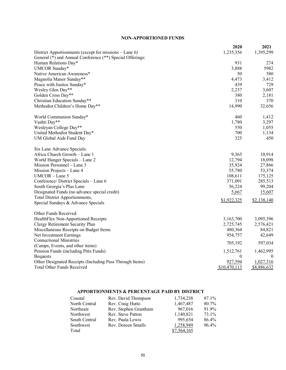#### **NON-APPORTIONED FUNDS**

|                                                           | 2020             | 2021        |
|-----------------------------------------------------------|------------------|-------------|
| District Apportionments (except for missions – Lane 6)    | 1,235,356        | 1,395,299   |
| General (*) and Annual Conference (**) Special Offerings: |                  |             |
| Human Relations Day*                                      | 931              | 274         |
| UMCOR Sunday*                                             | 3,888            | 5982        |
| Native American Awareness*                                | 50               | 580         |
| Magnolia Manor Sunday**                                   | 4,473            | 3,412       |
| Peace with Justice Sunday*                                | 439              | 729         |
| Wesley Glen Day**                                         | 2,237            | 3,607       |
| Golden Cross Day**                                        | 380              | 2,181       |
| Christian Education Sunday**                              | 310              | 370         |
| Methodist Children's Home Day**                           | 14,990           | 32,656      |
| World Communion Sunday*                                   | 460              | 1,412       |
| Vashti Day**                                              | 1,780            | 3,297       |
| Wesleyan College Day**                                    | 550              | 1,055       |
| United Methodist Student Day*                             | 700              | 1,134       |
| UM Global Aids Fund Day                                   | 325              | 450         |
| Six Lane Advance Specials:                                |                  |             |
| Africa Church Growth - Lane 1                             | 9,365            | 10,914      |
| World Hunger Specials – Lane 2                            | 12,794           | 18,098      |
| Mission Personnel - Lane 3                                | 35,924           | 27,866      |
| Mission Projects – Lane 4                                 | 55,780           | 53,374      |
| UMCOR - Lane 5                                            | 108,611          | 175,125     |
| Conference/District Specials - Lane 6                     | 371,091          | 285,513     |
| South Georgia's Plus Lane                                 | 56,224           | 99,204      |
| Designated Funds (no advance special credit)              | 5,667            | 15,607      |
| Total District Apportionments,                            |                  |             |
| Special Sundays & Advance Specials                        | \$1,922,325      | \$2,138,140 |
| Other Funds Received:                                     |                  |             |
| HealthFlex Non-Apportioned Receipts                       | 3,163,700        | 3,095,396   |
| Clergy Retirement Security Plan                           | 2,725,745        | 2,576,421   |
| Miscellaneous Receipts on Budget Items                    | 480,364          | 84,821      |
| Net Investment Earnings                                   | 954,757          | 42,649      |
| <b>Connectional Ministries</b>                            | 705,192          | 597,034     |
| (Camps, Events, and other items)                          |                  |             |
| Pension Funds (including Pitts Funds)                     | 1,512,761        | 1,462,995   |
| <b>Bequests</b>                                           | $\boldsymbol{0}$ | $\theta$    |
| Other Designated Receipts (Including Pass Through Items)  | 927,594          | 1,027,316   |
| <b>Total Other Funds Received</b>                         | \$10,470,113     | \$8,886,632 |

#### **APPORTIONMENTS & PERCENTAGE PAID BY DISTRICT**

| Coastal       | Rev. David Thompson   | 1,734,238   | 87.1% |
|---------------|-----------------------|-------------|-------|
| North Central | Rev. Craig Hutto      | 1,467,487   | 80.7% |
| Northeast     | Rev. Stephen Grantham | 967,016     | 91.9% |
| Northwest     | Rev. Steve Patton     | 1,140,821   | 73.1% |
| South Central | Rev. Paula Lewis      | 995,654     | 86.4% |
| Southwest     | Rev. Doreen Smalls    | 1,258,949   | 96.4% |
| Total         |                       | \$7,564,165 |       |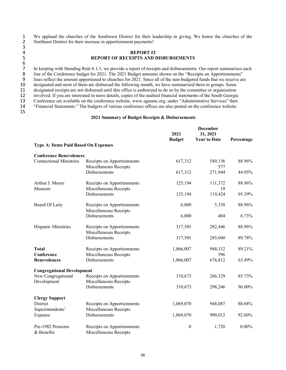1 We applaud the churches of the Southwest District for their leadership in giving. We honor the churches of the<br>2 Northeast District for their increase in apportionment payments! Northeast District for their increase in apportionment payments! 3

#### 4 **REPORT #2**  5 **REPORT OF RECEIPTS AND DISBURSEMENTS**

 $-5$ <br>  $6$ <br>  $7$ 7 In keeping with Standing Rule 6.1.1, we provide a report of receipts and disbursements. Our report summarizes each<br>8 Inne of the Conference budget for 2021. The 2021 Budget amounts shown on the "Receipts on Apportionment line of the Conference budget for 2021. The 2021 Budget amounts shown on the "Receipts on Apportionments" 9 lines reflect the amount apportioned to churches for 2021. Since all of the non-budgeted funds that we receive are<br>10 designated and most of them are disbursed the following month, we have summarized them in groups. Some designated and most of them are disbursed the following month, we have summarized them in groups. Some 11 designated receipts are not disbursed until this office is authorized to do so by the committee or organization<br>12 involved. If you are interested in more details, copies of the audited financial statements of the South 12 involved. If you are interested in more details, copies of the audited financial statements of the South Georgia<br>13 Conference are available on the conference website, www.sgaumc.org, under "Administrative Services" the 13 Conference are available on the conference website, www.sgaumc.org, under "Administrative Services" then 14 "Financial Statements." The budgets of various conference offices are also posted on the conference website. 15

| <b>Type A: Items Paid Based On Expenses</b>                      |                                                      | 2021<br><b>Budget</b> | <b>December</b><br>31, 2021<br><b>Year to Date</b> | Percentage |
|------------------------------------------------------------------|------------------------------------------------------|-----------------------|----------------------------------------------------|------------|
|                                                                  |                                                      |                       |                                                    |            |
| <b>Conference Benevolences</b><br><b>Connectional Ministries</b> | Receipts on Apportionments<br>Miscellaneous Receipts | 617,312               | 549,156<br>577                                     | 88.96%     |
|                                                                  | <b>Disbursements</b>                                 | 617,312               | 271,944                                            | 44.05%     |
| Arthur J. Moore<br>Museum                                        | Receipts on Apportionments<br>Miscellaneous Receipts | 125,194               | 111,372<br>19                                      | 88.96%     |
|                                                                  | <b>Disbursements</b>                                 | 125,194               | 119,424                                            | 95.39%     |
| <b>Board Of Laity</b>                                            | Receipts on Apportionments<br>Miscellaneous Receipts | 6,000                 | 5,338                                              | 88.96%     |
|                                                                  | <b>Disbursements</b>                                 | 6,000                 | 404                                                | 6.73%      |
| Hispanic Ministries                                              | Receipts on Apportionments<br>Miscellaneous Receipts | 317,501               | 282,446                                            | 88.96%     |
|                                                                  | <b>Disbursements</b>                                 | 317,501               | 285,040                                            | 89.78%     |
| <b>Total</b><br>Conference                                       | Receipts on Apportionments<br>Miscellaneous Receipts | 1,066,007             | 948,312<br>596                                     | 89.21%     |
| <b>Benevolences</b>                                              | <b>Disbursements</b>                                 | 1,066,007             | 676,812                                            | 63.49%     |
| <b>Congregational Development</b>                                |                                                      |                       |                                                    |            |
| New Congregational<br>Development                                | Receipts on Apportionments<br>Miscellaneous Receipts | 310,673               | 266,329                                            | 85.73%     |
|                                                                  | Disbursements                                        | 310,673               | 298,246                                            | 96.00%     |
| <b>Clergy Support</b>                                            |                                                      |                       |                                                    |            |
| <b>District</b><br>Superintendents'                              | Receipts on Apportionments<br>Miscellaneous Receipts | 1,069,070             | 948,087                                            | 88.68%     |
| Expense                                                          | <b>Disbursements</b>                                 | 1,069,070             | 990,012                                            | 92.60%     |
| Pre-1982 Pensions<br>& Benefits                                  | Receipts on Apportionments<br>Miscellaneous Receipts | $\boldsymbol{0}$      | 1,720                                              | $0.00\%$   |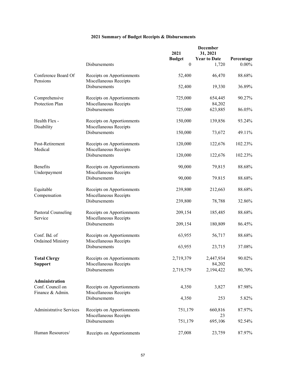|                                          |                                                      | 2021<br><b>Budget</b> | <b>December</b><br>31, 2021<br><b>Year to Date</b> | Percentage |
|------------------------------------------|------------------------------------------------------|-----------------------|----------------------------------------------------|------------|
|                                          | Disbursements                                        | $\theta$              | 1,720                                              | $0.00\%$   |
| Conference Board Of<br>Pensions          | Receipts on Apportionments<br>Miscellaneous Receipts | 52,400                | 46,470                                             | 88.68%     |
|                                          | Disbursements                                        | 52,400                | 19,330                                             | 36.89%     |
| Comprehensive<br>Protection Plan         | Receipts on Apportionments<br>Miscellaneous Receipts | 725,000               | 654,445<br>84,202                                  | 90.27%     |
|                                          | Disbursements                                        | 725,000               | 623,885                                            | 86.05%     |
| Health Flex -<br>Disability              | Receipts on Apportionments<br>Miscellaneous Receipts | 150,000               | 139,856                                            | 93.24%     |
|                                          | Disbursements                                        | 150,000               | 73,672                                             | 49.11%     |
| Post-Retirement<br>Medical               | Receipts on Apportionments<br>Miscellaneous Receipts | 120,000               | 122,676                                            | 102.23%    |
|                                          | Disbursements                                        | 120,000               | 122,676                                            | 102.23%    |
| <b>Benefits</b><br>Underpayment          | Receipts on Apportionments<br>Miscellaneous Receipts | 90,000                | 79,815                                             | 88.68%     |
|                                          | <b>Disbursements</b>                                 | 90,000                | 79.815                                             | 88.68%     |
| Equitable<br>Compensation                | Receipts on Apportionments<br>Miscellaneous Receipts | 239,800               | 212,663                                            | 88.68%     |
|                                          | Disbursements                                        | 239,800               | 78,788                                             | 32.86%     |
| Pastoral Counseling<br>Service           | Receipts on Apportionments<br>Miscellaneous Receipts | 209,154               | 185,485                                            | 88.68%     |
|                                          | Disbursements                                        | 209,154               | 180,809                                            | 86.45%     |
| Conf. Bd. of<br><b>Ordained Ministry</b> | Receipts on Apportionments<br>Miscellaneous Receipts | 63,955                | 56,717                                             | 88.68%     |
|                                          | <b>Disbursements</b>                                 | 63,955                | 23,715                                             | 37.08%     |
| <b>Total Clergy</b><br><b>Support</b>    | Receipts on Apportionments<br>Miscellaneous Receipts | 2,719,379             | 2,447,934<br>84,202                                | 90.02%     |
|                                          | Disbursements                                        | 2,719,379             | 2,194,422                                          | 80,70%     |
| Administration                           |                                                      |                       |                                                    |            |
| Conf. Council on<br>Finance & Admin.     | Receipts on Apportionments<br>Miscellaneous Receipts | 4,350                 | 3,827                                              | 87.98%     |
|                                          | Disbursements                                        | 4,350                 | 253                                                | 5.82%      |
| <b>Administrative Services</b>           | Receipts on Apportionments<br>Miscellaneous Receipts | 751,179               | 660,816<br>23                                      | 87.97%     |
|                                          | Disbursements                                        | 751,179               | 695,106                                            | 92.54%     |
| Human Resources/                         | Receipts on Apportionments                           | 27,008                | 23,759                                             | 87.97%     |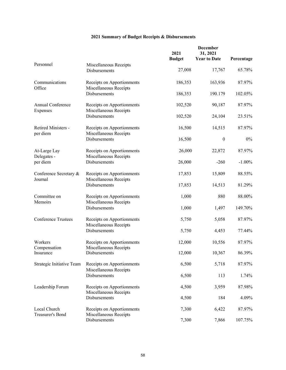|                                   |                                                                       | 2021<br><b>Budget</b> | December<br>31, 2021<br><b>Year to Date</b> | Percentage |
|-----------------------------------|-----------------------------------------------------------------------|-----------------------|---------------------------------------------|------------|
| Personnel                         | Miscellaneous Receipts                                                |                       |                                             |            |
|                                   | <b>Disbursements</b>                                                  | 27,008                | 17,767                                      | 65.78%     |
| Communications<br>Office          | Receipts on Apportionments<br>Miscellaneous Receipts                  | 186,353               | 163,936                                     | 87.97%     |
|                                   | Disbursements                                                         | 186,353               | 190.179                                     | 102.05%    |
| Annual Conference<br>Expenses     | Receipts on Apportionments<br>Miscellaneous Receipts                  | 102,520               | 90,187                                      | 87.97%     |
|                                   | Disbursements                                                         | 102,520               | 24,104                                      | 23.51%     |
| Retired Ministers -<br>per diem   | Receipts on Apportionments<br>Miscellaneous Receipts                  | 16,500                | 14,515                                      | 87.97%     |
|                                   | Disbursements                                                         | 16,500                | $\boldsymbol{0}$                            | $0\%$      |
| At-Large Lay<br>Delegates -       | Receipts on Apportionments<br>Miscellaneous Receipts                  | 26,000                | 22,872                                      | 87.97%     |
| per diem                          | Disbursements                                                         | 26,000                | $-260$                                      | $-1.00%$   |
| Conference Secretary &<br>Journal | Receipts on Apportionments<br>Miscellaneous Receipts<br>Disbursements | 17,853                | 15,809                                      | 88.55%     |
|                                   |                                                                       | 17,853                | 14,513                                      | 81.29%     |
| Committee on<br>Memoirs           | Receipts on Apportionments<br>Miscellaneous Receipts<br>Disbursements | 1,000                 | 880                                         | 88.00%     |
|                                   |                                                                       | 1,000                 | 1,497                                       | 149.70%    |
| <b>Conference Trustees</b>        | Receipts on Apportionments<br>Miscellaneous Receipts<br>Disbursements | 5,750                 | 5,058                                       | 87.97%     |
|                                   |                                                                       | 5,750                 | 4,453                                       | 77.44%     |
| Workers<br>Compensation           | Receipts on Apportionments<br>Miscellaneous Receipts                  | 12,000                | 10,556                                      | 87.97%     |
| Insurance                         | Disbursements                                                         | 12,000                | 10,367                                      | 86.39%     |
| Strategic Initiative Team         | Receipts on Apportionments<br>Miscellaneous Receipts                  | 6,500                 | 5,718                                       | 87.97%     |
|                                   | Disbursements                                                         | 6,500                 | 113                                         | 1.74%      |
| Leadership Forum                  | Receipts on Apportionments<br>Miscellaneous Receipts<br>Disbursements | 4,500                 | 3,959                                       | 87.98%     |
|                                   |                                                                       | 4,500                 | 184                                         | 4.09%      |
| Local Church<br>Treasurer's Bond  | Receipts on Apportionments<br>Miscellaneous Receipts                  | 7,300                 | 6,422                                       | 87.97%     |
|                                   | Disbursements                                                         | 7,300                 | 7,866                                       | 107.75%    |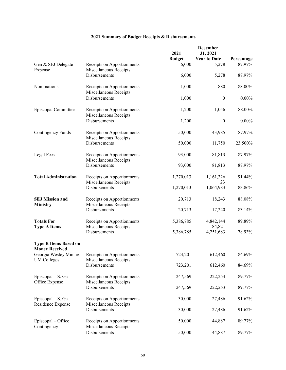|                                                       |                                                                            | 2021<br><b>Budget</b> | <b>December</b><br>31, 2021<br><b>Year to Date</b> | Percentage |
|-------------------------------------------------------|----------------------------------------------------------------------------|-----------------------|----------------------------------------------------|------------|
| Gen & SEJ Delegate                                    | Receipts on Apportionments                                                 | 6,000                 | 5,278                                              | 87.97%     |
| Expense                                               | Miscellaneous Receipts<br>Disbursements                                    | 6,000                 | 5,278                                              | 87.97%     |
| Nominations                                           | Receipts on Apportionments<br>Miscellaneous Receipts                       | 1,000                 | 880                                                | 88.00%     |
|                                                       | Disbursements                                                              | 1,000                 | $\boldsymbol{0}$                                   | $0.00\%$   |
| Episcopal Committee                                   | Receipts on Apportionments<br>Miscellaneous Receipts                       | 1,200                 | 1,056                                              | 88.00%     |
|                                                       | Disbursements                                                              | 1,200                 | $\boldsymbol{0}$                                   | $0.00\%$   |
| Contingency Funds                                     | Receipts on Apportionments<br>Miscellaneous Receipts                       | 50,000                | 43,985                                             | 87.97%     |
|                                                       | Disbursements                                                              | 50,000                | 11,750                                             | 23.500%    |
| Legal Fees                                            | Receipts on Apportionments<br>Miscellaneous Receipts                       | 93,000                | 81,813                                             | 87.97%     |
|                                                       | Disbursements                                                              | 93,000                | 81,813                                             | 87.97%     |
| <b>Total Administration</b>                           | Receipts on Apportionments<br>Miscellaneous Receipts                       | 1,270,013             | 1,161,326<br>23                                    | 91.44%     |
|                                                       | Disbursements                                                              | 1,270,013             | 1,064,983                                          | 83.86%     |
| <b>SEJ Mission and</b><br><b>Ministry</b>             | Receipts on Apportionments<br>Miscellaneous Receipts                       | 20,713                | 18,243                                             | 88.08%     |
|                                                       | Disbursements                                                              | 20,713                | 17,220                                             | 83.14%     |
| <b>Totals For</b><br><b>Type A Items</b>              | Receipts on Apportionments<br>Miscellaneous Receipts                       | 5,386,785             | 4,842,144<br>84,821                                | 89.89%     |
|                                                       | Disbursements                                                              | 5,386,785             | 4,251,683                                          | 78.93%     |
| <b>Type B Items Based on</b><br><b>Money Received</b> |                                                                            |                       |                                                    |            |
| <b>UM Colleges</b>                                    | Georgia Wesley Min. & Receipts on Apportionments<br>Miscellaneous Receipts | 723,201               | 612,460                                            | 84.69%     |
|                                                       | Disbursements                                                              | 723,201               | 612,460                                            | 84.69%     |
| Episcopal – S. Ga                                     | Receipts on Apportionments                                                 | 247,569               | 222,253                                            | 89.77%     |
| Office Expense                                        | Miscellaneous Receipts<br>Disbursements                                    | 247,569               | 222,253                                            | 89.77%     |
| Episcopal – S. Ga                                     | Receipts on Apportionments                                                 | 30,000                | 27,486                                             | 91.62%     |
| Residence Expense                                     | Miscellaneous Receipts<br>Disbursements                                    | 30,000                | 27,486                                             | 91.62%     |
| Episcopal – Office<br>Contingency                     | Receipts on Apportionments<br>Miscellaneous Receipts                       | 50,000                | 44,887                                             | 89.77%     |
|                                                       | Disbursements                                                              | 50,000                | 44,887                                             | 89.77%     |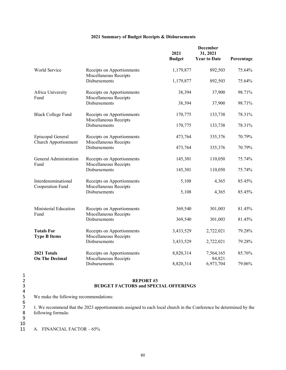|                                                  |                                                      | 2021<br><b>Budget</b> | 31, 2021<br><b>Year to Date</b> | Percentage |
|--------------------------------------------------|------------------------------------------------------|-----------------------|---------------------------------|------------|
| World Service                                    | Receipts on Apportionments<br>Miscellaneous Receipts | 1,179,877             | 892,503                         | 75.64%     |
|                                                  | Disbursements                                        | 1,179,877             | 892,503                         | 75.64%     |
| Africa University<br>Fund                        | Receipts on Apportionments<br>Miscellaneous Receipts | 38,394                | 37,900                          | 98.71%     |
|                                                  | Disbursements                                        | 38,394                | 37,900                          | 98.71%     |
| <b>Black College Fund</b>                        | Receipts on Apportionments<br>Miscellaneous Receipts | 170,775               | 133,738                         | 78.31%     |
|                                                  | Disbursements                                        | 170,775               | 133,738                         | 78.31%     |
| Episcopal General<br><b>Church Apportionment</b> | Receipts on Apportionments<br>Miscellaneous Receipts | 473,764               | 335,376                         | 70.79%     |
|                                                  | Disbursements                                        | 473,764               | 335,376                         | 70.79%     |
| General Administration<br>Fund                   | Receipts on Apportionments<br>Miscellaneous Receipts | 145,301               | 110,050                         | 75.74%     |
|                                                  | Disbursements                                        | 145,301               | 110,050                         | 75.74%     |
| Interdenominational                              | Receipts on Apportionments                           | 5,108                 | 4,365                           | 85.45%     |

**December** 

| Episcopal General                        | Receipts on Apportionments<br>Miscellaneous Receipts | 473,764   | 335,376             | 70.79% |
|------------------------------------------|------------------------------------------------------|-----------|---------------------|--------|
| Church Apportionment                     | Disbursements                                        | 473,764   | 335,376             | 70.79% |
| General Administration<br>Fund           | Receipts on Apportionments<br>Miscellaneous Receipts | 145,301   | 110,050             | 75.74% |
|                                          | Disbursements                                        | 145,301   | 110,050             | 75.74% |
| Interdenominational<br>Cooperation Fund  | Receipts on Apportionments<br>Miscellaneous Receipts | 5,108     | 4,365               | 85.45% |
|                                          | Disbursements                                        | 5,108     | 4,365               | 85.45% |
| Ministerial Education<br>Fund            | Receipts on Apportionments<br>Miscellaneous Receipts | 369,540   | 301,003             | 81.45% |
|                                          | Disbursements                                        | 369,540   | 301,003             | 81.45% |
| <b>Totals For</b><br><b>Type B Items</b> | Receipts on Apportionments<br>Miscellaneous Receipts | 3,433,529 | 2,722,021           | 79.28% |
|                                          | Disbursements                                        | 3,433,529 | 2,722,021           | 79.28% |
| 2021 Totals<br><b>On The Decimal</b>     | Receipts on Apportionments<br>Miscellaneous Receipts | 8,820,314 | 7,564,165<br>84,821 | 85.76% |
|                                          | Disbursements                                        | 8,820,314 | 6,973,704           | 79.06% |

 $\frac{1}{2}$ 4 6 9  $\begin{array}{c} 10 \\ 11 \end{array}$ 

A. FINANCIAL FACTOR - 65%

following formula:

We make the following recommendations:

2 **REPORT #3**  3 **BUDGET FACTORS and SPECIAL OFFERINGS**

1. We recommend that the 2023 apportionments assigned to each local church in the Conference be determined by the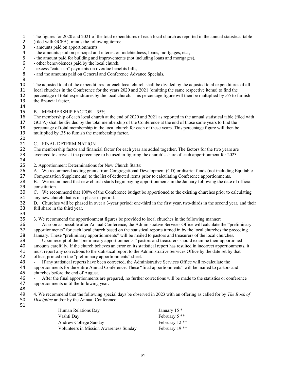- 1 The figures for 2020 and 2021 of the total expenditures of each local church as reported in the annual statistical table<br>2 (filed with GCFA), minus the following items:
- 2 (filed with GCFA), minus the following items:<br>3 amounts paid on apportionments.
- amounts paid on apportionments,
- 4 the amounts paid on principal and interest on indebtedness, loans, mortgages, etc.,
- 5 the amount paid for building and improvements (not including loans and mortgages),<br>6 other benevolences paid by the local church,
- 6 other benevolences paid by the local church,<br>7 excess "catch-up" payments on overdue bene
- 7 excess "catch-up" payments on overdue benefits bills,
- 8 and the amounts paid on General and Conference Advance Specials.
- $\frac{9}{10}$ 10 The adjusted total of the expenditures for each local church shall be divided by the adjusted total expenditures of all
- 11 local churches in the Conference for the years 2020 and 2021 (omitting the same respective items) to find the percentage of total expenditures by the local church. This percentage figure will then be multiplied by .65 t
- 12 percentage of total expenditures by the local church. This percentage figure will then be multiplied by .65 to furnish the financial factor. the financial factor.
- 

#### 14<br>15 B. MEMBERSHIP FACTOR - 35%

16 The membership of each local church at the end of 2020 and 2021 as reported in the annual statistical table (filed with 17 GCFA) shall be divided by the total membership of the Conference at the end of those same years to find the percentage of total membership in the local church for each of these years. This percentage figure will then be

- 18 percentage of total membership in the local church for each of these years. This percentage figure will then be 19 multiplied by .35 to furnish the membership factor.
- 20
- 21 C. FINAL DETERMINATION<br>22 The membership factor and finance The membership factor and financial factor for each year are added together. The factors for the two years are 23 averaged to arrive at the percentage to be used in figuring the church's share of each apportionment for 2023.
- 24<br>25 2. Apportionment Determinations for New Church Starts:
- 26 A. We recommend adding grants from Congregational Development (CD) or district funds (not including Equitable<br>27 Compensation Supplements) to the list of deducted items prior to calculating Conference apportionments. 27 Compensation Supplements) to the list of deducted items prior to calculating Conference apportionments.
- 28 B. We recommend that new church starts begin paying apportionments in the January following the date of official 29 constitution.
- 30 C. We recommend that 100% of the Conference budget be apportioned to the existing churches prior to calculating any new church that is in a phase-in period. any new church that is in a phase-in period.
- 32 D. Churches will be phased in over a 3-year period: one-third in the first year, two-thirds in the second year, and their 33 full share in the third year.
- 34<br>35
- 35 3. We recommend the apportionment figures be provided to local churches in the following manner:<br>36 As soon as possible after Annual Conference, the Administrative Services Office will calculate to
- 36 As soon as possible after Annual Conference, the Administrative Services Office will calculate the "preliminary<br>37 approximants" for each local church based on the statistical reports turned in by the local churches t apportionments" for each local church based on the statistical reports turned in by the local churches the preceding
- 38 January. These "preliminary apportionments" will be mailed to pastors and treasurers of the local churches.
- 39 Upon receipt of the "preliminary apportionments," pastors and treasurers should examine their apportioned
- 40 amounts carefully. If the church believes an error on its statistical report has resulted in incorrect apportionments, it 41 must report any corrections to the statistical report to the Administrative Services Office by the date set by that
- 42 office, printed on the "preliminary apportionments" sheet.<br>43 If any statistical reports have been corrected, the Adm If any statistical reports have been corrected, the Administrative Services Office will re-calculate the
- 44 apportionments for the entire Annual Conference. These "final apportionments" will be mailed to pastors and 45 churches before the end of August.<br>46 - After the final apportionments
- After the final apportionments are prepared, no further corrections will be made to the statistics or conference 47 apportionments until the following year.
- 48<br>49
- 49 4. We recommend that the following special days be observed in 2023 with an offering as called for by *The Book of*  50 *Discipline* and/or by the Annual Conference:
- 51

| Human Relations Dav                    | January 15 $*$            |
|----------------------------------------|---------------------------|
| Vashti Day                             | February $5$ **           |
| Andrew College Sunday                  | February 12 <sup>**</sup> |
| Volunteers in Mission Awareness Sunday | February $19$ **          |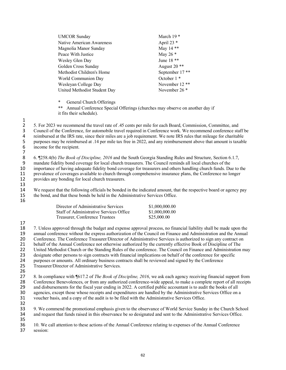| <b>UMCOR Sunday</b>              | March 19 <sup>*</sup>      |
|----------------------------------|----------------------------|
| <b>Native American Awareness</b> | April 23 *                 |
| Magnolia Manor Sunday            | May 14 **                  |
| Peace With Justice               | May 26 $*$                 |
| Wesley Glen Day                  | June 18 **                 |
| Golden Cross Sunday              | August 20 <sup>**</sup>    |
| Methodist Children's Home        | September 17 <sup>**</sup> |
| World Communion Day              | October $1 *$              |
| Wesleyan College Day             | November 12 <sup>**</sup>  |
| United Methodist Student Day     | November $26*$             |
|                                  |                            |

\* General Church Offerings

\*\* Annual Conference Special Offerings (churches may observe on another day if it fits their schedule).

 $\frac{1}{2}$ 

2 5. For 2023 we recommend the travel rate of .45 cents per mile for each Board, Commission, Committee, and<br>2 Council of the Conference, for automobile travel required in Conference work. We recommend conference sta 3 Council of the Conference, for automobile travel required in Conference work. We recommend conference staff be reimbursed at the IRS rate, since their miles are a job requirement. We note IRS rules that mileage for chari 4 reimbursed at the IRS rate, since their miles are a job requirement. We note IRS rules that mileage for charitable<br>5 purposes may be reimbursed at .14 per mile tax free in 2022, and any reimbursement above that amount is 5 purposes may be reimbursed at .14 per mile tax free in 2022, and any reimbursement above that amount is taxable income for the recipient. income for the recipient.

7 6. ¶258.4(b) *The Book of Discipline, 2016* and the South Georgia Standing Rules and Structure, Section 6.1.7, 9 mandate fidelity bond coverage for local church treasurers. The Council reminds all local churches of the importance of having adequate fidelity bond coverage for treasurers and others handling church funds. Du importance of having adequate fidelity bond coverage for treasurers and others handling church funds. Due to the prevalence of coverages available to church through comprehensive insurance plans, the Conference no longer provides any bonding for local church treasurers.

13<br>14 14 We request that the following officials be bonded in the indicated amount, that the respective board or agency pay<br>15 the bond, and that these bonds be held in the Administrative Services Office. the bond, and that these bonds be held in the Administrative Services Office. 16

| Director of Administrative Services     | \$1,000,000.00 |
|-----------------------------------------|----------------|
| Staff of Administrative Services Office | \$1,000,000.00 |
| Treasurer, Conference Trustees          | \$25,000.00    |

17

18 7. Unless approved through the budget and expense approval process, no financial liability shall be made upon the 19 annual conference without the express authorization of the Council on Finance and Administration and the Annual<br>20 Conference. The Conference Treasurer/Director of Administrative Services is authorized to sign any contr 20 Conference. The Conference Treasurer/Director of Administrative Services is authorized to sign any contract on<br>21 behalf of the Annual Conference not otherwise authorized by the currently effective Book of Discipline of 21 behalf of the Annual Conference not otherwise authorized by the currently effective Book of Discipline of The<br>22 United Methodist Church or the Standing Rules of the conference. The Council on Finance and Administration 22 United Methodist Church or the Standing Rules of the conference. The Council on Finance and Administration may<br>23 designate other persons to sign contracts with financial implications on behalf of the conference for spe 23 designate other persons to sign contracts with financial implications on behalf of the conference for specific 24 purposes or amounts. All ordinary business contracts shall be reviewed and signed by the Conference<br>25 Treasurer/Director of Administrative Services. Treasurer/Director of Administrative Services.

26

27 8. In compliance with ¶617.2 of *The Book of Discipline, 2016*, we ask each agency receiving financial support from<br>28 Conference Benevolences, or from any authorized conference-wide appeal, to make a complete report of 28 Conference Benevolences, or from any authorized conference-wide appeal, to make a complete report of all receipts<br>29 and disbursements for the fiscal vear ending in 2022. A certified public accountant is to audit the bo 29 and disbursements for the fiscal year ending in 2022. A certified public accountant is to audit the books of all<br>20 agencies, except those whose receipts and expenditures are handled by the Administrative Services Offic 30 agencies, except those whose receipts and expenditures are handled by the Administrative Services Office on a<br>31 voucher basis, and a copy of the audit is to be filed with the Administrative Services Office. voucher basis, and a copy of the audit is to be filed with the Administrative Services Office.

32<br>33 33 9. We commend the promotional emphasis given to the observance of World Service Sunday in the Church School and request that funds raised in this observance be so designated and sent to the Administrative Services Office. 35

36 10. We call attention to these actions of the Annual Conference relating to expenses of the Annual Conference session: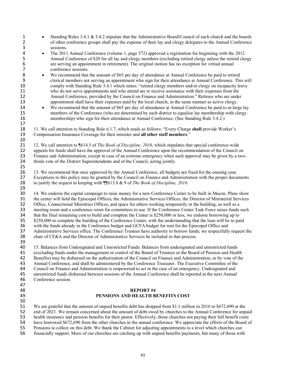- 1 Standing Rules 3.4.1 & 3.4.2 stipulate that the Administrative Board/Council of each church and the boards 2 of other conference groups shall pay the expense of their lay and clergy delegates to the Annual Conference sessions.
- <sup>4</sup> The 2011 Annual Conference (volume 1, page 572) approved a registration fee beginning with the 2012<br>4 **11** Annual Conference of \$20 for all lay and clergy members (excluding retired clergy unless the retired cle 5 Annual Conference of \$20 for all lay and clergy members (excluding retired clergy unless the retired clergy are serving an appointment in retirement). The original motion has no exception for virtual annual 6 are serving an appointment in retirement). The original motion has no exception for virtual annual 7 conference sessions.<br>8 • We recommend that
- We recommend that the amount of \$65 per day of attendance at Annual Conference be paid to retired 9 clerical members not serving an appointment who sign for their attendance at Annual Conference. This will<br>10 comply with Standing Rule 3.4.1 which states: "retired clergy members and/or clergy on incapacity leave comply with Standing Rule 3.4.1 which states: "retired clergy members and/or clergy on incapacity leave 11 who do not serve appointments and who attend are to receive assistance with their expenses from the 12 Annual Conference, provided by the Council on Finance and Administration." Retirees who are under<br>13 appointment shall have their expenses paid by the local church, in the same manner as active clergy. appointment shall have their expenses paid by the local church, in the same manner as active clergy.
- 14 We recommend that the amount of \$65 per day of attendance at Annual Conference be paid to at-large lay 15 members of the Conference (who are determined by each district to equalize lay membership with clergy membership) who sign for their attendance at Annual Conference. (See Standing Rule 3.4.2.) membership) who sign for their attendance at Annual Conference. (See Standing Rule 3.4.2.)
- 18 11. We call attention to Standing Rule 6.1.7, which reads as follows: "Every Charge **shall** provide Worker's 19 Compensation Insurance Coverage for their minister and **all other staff members**."
- 21 12. We call attention to ¶614.5 of *The Book of Discipline, 2016*, which stipulates that special conference-wide<br>22 appeals for funds shall have the approval of the Annual Conference upon the recommendation of the Counc 22 appeals for funds shall have the approval of the Annual Conference upon the recommendation of the Council on 23 Finance and Administration, except in case of an extreme emergency when such approval may be given by a two-24 thirds vote of the District Superintendents and of the Council, acting jointly.
- 25<br>26 26 13. We recommend that once approved by the Annual Conference, all budgets are fixed for the ensuing year. 27 Exceptions to this policy may be granted by the Council on Finance and Administration with the proper documents to justify the request in keeping with  $\P$ 613.8 & 9 of *The Book of Discipline, 2016*. 28 to justify the request in keeping with ¶¶613.8 & 9 of *The Book of Discipline, 2016*. 29
- 30 14. We endorse the capital campaign to raise money for a new Conference Center to be built in Macon. Plans show<br>31 the center will hold the Episcopal Offices, the Administrative Services Offices, the Director of Ministe 31 the center will hold the Episcopal Offices, the Administrative Services Offices, the Director of Ministerial Services 32 Office, Connectional Ministries Offices, and space for others working temporarily in the building, as well as a 33 meeting room and a conference room for committees to use. If the Conference Center Task Force raises funds such<br>34 that the final remaining cost to build and complete the Center is \$250,000 or less, we endorse borrowing that the final remaining cost to build and complete the Center is \$250,000 or less, we endorse borrowing up to 35 \$250,000 to complete the building of the Conference Center, with the understanding that the loan will be re-paid 36 with the funds already in the Conference budget and GCFA budget for rent for the Episcopal Office and<br>37 Administrative Services office. The Conference Trustees have authority to borrow funds: we respectfully 37 Administrative Services office. The Conference Trustees have authority to borrow funds; we respectfully request the chair of CF&A and the Director of Administrative Services be included in that process. chair of CF&A and the Director of Administrative Services be included in that process.
- 39<br>40 40 15. Balances from Undesignated and Unrestricted Funds: Balances from undesignated and unrestricted funds<br>41 (excluding funds under the management or control of the Board of Trustees or the Board of Pension and Healt 41 (excluding funds under the management or control of the Board of Trustees or the Board of Pension and Health 42 Benefits) may be disbursed on the authorization of the Council on Finance and Administration, or by vote of the<br>43 Annual Conference, and shall be administered by the Conference Treasurer. The Executive Committee of the 43 Annual Conference, and shall be administered by the Conference Treasurer. The Executive Committee of the 44 Council on Finance and Administration is empowered to act in the case of an emergency. Undesignated and 45 unrestricted funds disbursed between sessions of the Annual Conference shall be reported at the next Annual Conference session.

47

17

20

#### 48 **REPORT #4**<br>49 **PENSIONS AND HEALTH B** 49 **PENSIONS AND HEALTH BENEFITS COST**

- 50 51 We are grateful that the amount of unpaid benefits debt has dropped from \$1.1 million in 2016 to \$672,690 at the 52 end of 2021. We remain concerned about the amount of debt owed by churches to the Annual Conference for unpaid
- 53 health insurance and pension benefits for their pastor. Effectively, those churches not paying their full benefit costs
- 54 have borrowed \$672,690 from the other churches in the annual conference. We appreciate the efforts of the Board of<br>55 Pensions to collect on this debt. We thank the Cabinet for adjusting appointments to a level which ch 55 Pensions to collect on this debt. We thank the Cabinet for adjusting appointments to a level which churches can
- 56 financially support. More of our churches are catching up with unpaid benefits payments, but many of those with
	- 63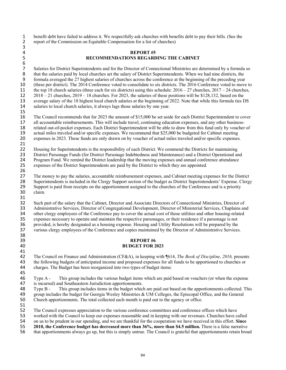1 benefit debt have failed to address it. We respectfully ask churches with benefits debt to pay their bills. (See the report of the Commission on Equitable Compensation for a list of churches) 2 report of the Commission on Equitable Compensation for a list of churches)

#### 4 **REPORT #5**<br>5 **RECOMMENDATIONS REGARD** 5 **RECOMMENDATIONS REGARDING THE CABINET**

6<br>7 7 Salaries for District Superintendents and for the Director of Connectional Ministries are determined by a formula so 8 that the salaries paid by local churches set the salary of District Superintendents. When we had nine districts, the 9 formula averaged the 27 highest salaries of churches across the conference at the beginning of the preceding year<br>10 (three per district). The 2014 Conference voted to consolidate to six districts. The 2016 Conference vo 10 (three per district). The 2014 Conference voted to consolidate to six districts. The 2016 Conference voted to move to 11 the top 18 church salaries (three each for six districts) using this schedule:  $2016 - 27$  churches,  $2017 - 24$  churches,  $2018 - 21$  churches,  $2019 - 18$  churches. For 2023, the salaries of these positions will be \$128, 12 2018 – 21 churches, 2019 – 18 churches. For 2023, the salaries of these positions will be \$128,132, based on the average salary of the 18 highest local church salaries at the beginning of 2022. Note that while this form 13 average salary of the 18 highest local church salaries at the beginning of 2022. Note that while this formula ties DS 14 salaries to local church salaries, it always lags those salaries by one year. 15

16 The Council recommends that for 2023 the amount of \$15,000 be set aside for each District Superintendent to cover 17 all accountable reimbursements. This will include travel, continuing education expenses, and any other business-<br>18 related out-of-pocket expenses. Each District Superintendent will be able to draw from this fund only b 18 related out-of-pocket expenses. Each District Superintendent will be able to draw from this fund only by voucher of 19 actual miles traveled and/or specific expenses. We recommend that \$25,000 be budgeted for Cabinet meeting<br>20 expenses in 2023. These funds are only drawn on by voucher of actual miles traveled and/or specific expenses expenses in 2023. These funds are only drawn on by voucher of actual miles traveled and/or specific expenses.

21<br>22

22 Housing for Superintendents is the responsibility of each District. We commend the Districts for maintaining<br>23 District Parsonage Funds (for District Parsonage Indebtedness and Maintenance) and a District Operational a 23 District Parsonage Funds (for District Parsonage Indebtedness and Maintenance) and a District Operational and<br>24 Program Fund. We remind the District leadership that the moving expenses and annual conference attendance

24 Program Fund. We remind the District leadership that the moving expenses and annual conference attendance<br>25 expenses of the District Superintendents are paid by the District to which they are appointed. 25 expenses of the District Superintendents are paid by the District to which they are appointed.

31

38

41

3

26<br>27 27 The money to pay the salaries, accountable reimbursement expenses, and Cabinet meeting expenses for the District 28 Superintendents is included in the Clergy Support section of the budget as District Superintendents' Expense. Clergy 29 Support is paid from receipts on the apportionment assigned to the churches of the Conference and is a priority 30 claim.

32 Such part of the salary that the Cabinet, Director and Associate Directors of Connectional Ministries, Director of 33 Administrative Services, Director of Congregational Development, Director of Ministerial Services, Chaplains and<br>34 other clergy employees of the Conference pay to cover the actual cost of those utilities and other hous 34 other clergy employees of the Conference pay to cover the actual cost of those utilities and other housing-related<br>35 expenses necessary to operate and maintain the respective parsonages, or their residence if a parsona 35 expenses necessary to operate and maintain the respective parsonages, or their residence if a parsonage is not<br>36 provided, is hereby designated as a housing expense. Housing and Utility Resolutions will be prepared by 36 provided, is hereby designated as a housing expense. Housing and Utility Resolutions will be prepared by the<br>37 various clergy employees of the Conference and copies maintained by the Director of Administrative Services various clergy employees of the Conference and copies maintained by the Director of Administrative Services.

#### 39 **REPORT #6**  40 **BUDGET FOR 2023**

42 The Council on Finance and Administration (CF&A), in keeping with ¶614, *The Book of Discipline, 2016*, presents<br>43 the following budgets of anticipated income and proposed expenses for all funds to be apportioned to ch the following budgets of anticipated income and proposed expenses for all funds to be apportioned to churches or 44 charges. The Budget has been reorganized into two types of budget items:

45<br>46 Type A - This group includes the various budget items which are paid based on vouchers (or when the expense 47 is incurred) and Southeastern Jurisdiction apportionments.<br>48 Type B - This group includes items in the budget which

48 Type B - This group includes items in the budget which are paid out based on the apportionments collected. This group includes the budget for Georgia Wesley Ministries & UM Colleges, the Enisconal Office, and the Gener 49 group includes the budget for Georgia Wesley Ministries & UM Colleges, the Episcopal Office, and the General 50 Church apportionments. The total collected each month is paid out to the agency or office.

51<br>52 The Council expresses appreciation to the various conference committees and conference offices which have

53 worked with the Council to keep our expenses reasonable and in keeping with our revenues. Churches have called

54 on us to be prudent in our spending, and we are thankful for the cooperation we have received in this effort. **Since** 2010, the Conference budget has decreased more than 36%, more than \$4.5 million. There is a false nar

- 55 **2010, the Conference budget has decreased more than 36%, more than \$4.5 million.** There is a false narrative
- 56 that apportionments always go up, but this is simply untrue. The Council is grateful that apportionments retain broad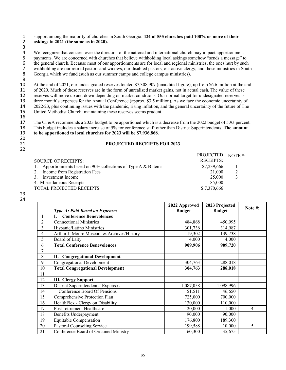1 support among the majority of churches in South Georgia. **424 of 555 churches paid 100% or more of their**  2 **askings in 2021 (the same as in 2020).**

3<br>4

4 We recognize that concern over the direction of the national and international church may impact apportionment<br>5 payments. We are concerned with churches that believe withholding local askings somehow "sends a message" t 5 payments. We are concerned with churches that believe withholding local askings somehow "sends a message" to the general church. Because most of our apportionments are for local and regional ministries, the ones hurt by 6 the general church. Because most of our apportionments are for local and regional ministries, the ones hurt by such withholding are our retired pastors and widows, our disabled pastors, our active clergy, and those minis 7 withholding are our retired pastors and widows, our disabled pastors, our active clergy, and those ministries in South 6 Georgia which we fund (such as our summer camps and college campus ministries). Georgia which we fund (such as our summer camps and college campus ministries).

 $\frac{9}{10}$ 10 At the end of 2021, our undesignated reserves totaled \$7,308,907 (unaudited figure), up from \$6.6 million at the end 11 of 2020. Much of these reserves are in the form of unrealized market gains, not in actual cash. The value of these reserves will move up and down depending on market conditions. Our normal target for undesignated reserv 12 reserves will move up and down depending on market conditions. Our normal target for undesignated reserves is<br>13 three month's expenses for the Annual Conference (approx. \$3.5 million). As we face the economic uncertain 13 three month's expenses for the Annual Conference (approx. \$3.5 million). As we face the economic uncertainty of 14 2022/23, plus continuing issues with the pandemic, rising inflation, and the general uncertainty of the future of The<br>15 United Methodist Church, maintaining these reserves seems prudent. United Methodist Church, maintaining these reserves seems prudent.

16

17 The CF&A recommends a 2023 budget to be apportioned which is a decrease from the 2022 budget of 5.93 percent.<br>18 This budget includes a salary increase of 5% for conference staff other than District Superintendents. The 18 This budget includes a salary increase of 5% for conference staff other than District Superintendents. **The amount** 

#### 19 **to be apportioned to local churches for 2023 will be \$7,936,868.**

- 20<br>21
- 22

#### **PROJECTED RECEIPTS FOR 2023**

| PROJECTED NOTE #: |
|-------------------|
| <b>RECEIPTS:</b>  |
| \$7,239,666       |
| 21,000            |
| 25,000            |
| 85,000            |
| \$7,370,666       |
|                   |

23 24

|                |                                           | 2022 Approved | 2023 Projected |                |
|----------------|-------------------------------------------|---------------|----------------|----------------|
|                | <b>Type A: Paid Based on Expenses</b>     | <b>Budget</b> | <b>Budget</b>  | Note #:        |
|                | <b>Conference Benevolences</b>            |               |                |                |
| 2              | <b>Connectional Ministries</b>            | 484,868       | 450,995        |                |
| 3              | Hispanic/Latino Ministries                | 301,736       | 314,987        |                |
| $\overline{4}$ | Arthur J. Moore Museum & Archives/History | 119,302       | 139,738        |                |
| 5              | Board of Laity                            | 4,000         | 4,000          |                |
| 6              | <b>Total Conference Benevolences</b>      | 909,906       | 909,720        |                |
| 7              |                                           |               |                |                |
| 8              | <b>Congregational Development</b><br>П.   |               |                |                |
| 9              | Congregational Development                | 304,763       | 288,018        |                |
| 10             | <b>Total Congregational Development</b>   | 304,763       | 288,018        |                |
| 11             |                                           |               |                |                |
| 12             | <b>III. Clergy Support</b>                |               |                |                |
| 13             | District Superintendents' Expenses        | 1,087,058     | 1,098,996      |                |
| 14             | Conference Board Of Pensions              | 51,511        | 46,650         |                |
| 15             | Comprehensive Protection Plan             | 725,000       | 700,000        |                |
| 16             | HealthFlex - Clergy on Disability         | 130,000       | 110,000        |                |
| 17             | Post-retirement Healthcare                | 120,000       | 11,000         | $\overline{4}$ |
| 18             | Benefits Underpayment                     | 90,000        | 90,000         |                |
| 19             | <b>Equitable Compensation</b>             | 176,800       | 189,300        |                |
| 20             | Pastoral Counseling Service               | 199,588       | 10,000         | 5              |
| 21             | Conference Board of Ordained Ministry     | 60,300        | 35,675         |                |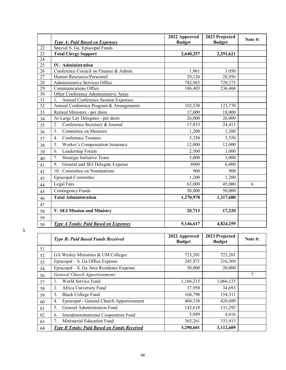|                 | <b>Type A: Paid Based on Expenses</b>        | 2022 Approved<br><b>Budget</b> | 2023 Projected<br><b>Budget</b> | Note #: |
|-----------------|----------------------------------------------|--------------------------------|---------------------------------|---------|
| $22\,$          | Special S. Ga. Episcopal Funds               |                                |                                 |         |
| $\overline{23}$ | <b>Total Clergy Support</b>                  | 2,640,257                      | 2,291,621                       |         |
| 24              |                                              |                                |                                 |         |
| $\overline{25}$ | <b>IV.</b> Administration                    |                                |                                 |         |
| 26              | Conference Council on Finance & Admin.       | 1,961                          | 3.050                           |         |
| $\overline{27}$ | Human Resources/Personnel                    | 29,126                         | 28,956                          |         |
| $28\,$          | Administrative Services Office               | 742,965                        | 729,373                         |         |
| 29              | <b>Communications Office</b>                 | 186,403                        | 236,468                         |         |
| 30              | Other Conference Administrative Areas        |                                |                                 |         |
| 31              | Annual Conference Session Expenses:          |                                |                                 |         |
| 32              | Annual Conference Program & Arrangements     | 102,520                        | 123,770                         |         |
| 33              | Retired Ministers - per diem                 | 17,000                         | 18,000                          |         |
| 34              | At-Large Lay Delegates - per diem            | 26,000                         | 26,000                          |         |
| 35              | Conference Secretary & Journal<br>2.         | 17,853                         | 24,413                          |         |
| 36              | Committee on Memoirs<br>3 <sub>1</sub>       | 1,200                          | 1,200                           |         |
| 37              | <b>Conference Trustees</b><br>4.             | 5,350                          | 5,350                           |         |
| 38              | Worker's Compensation Insurance<br>5.        | 12,000                         | 12,000                          |         |
| 39              | Leadership Forum<br>6.                       | 2,500                          | 3,000                           |         |
| 40              | <b>Strategic Initiative Team</b><br>7.       | 3,000                          | 3,000                           |         |
| 41              | General and SEJ Delegate Expense<br>9.       | 8000                           | 6,000                           |         |
| 42              | 10. Committee on Nominations                 | 900                            | 900                             |         |
| 43              | Episcopal Committee                          | 1,200                          | 1,200                           |         |
| 44              | Legal Fees                                   | 63,000                         | 45,000                          | 6       |
| 45              | Contingency Funds                            | 50,000                         | 50,000                          |         |
| 46              | <b>Total Administration</b>                  | 1,270,978                      | 1,317,680                       |         |
| 47              |                                              |                                |                                 |         |
| 58              | <b>V. SEJ Mission and Ministry</b>           | 20,713                         | 17,220                          |         |
| 59              |                                              |                                |                                 |         |
| 50              | <b>Type A Totals: Paid Based on Expenses</b> | 5,146,617                      | 4,824,259                       |         |

|    | <b>Type B: Paid Based Funds Received</b>           | 2022 Approved<br><b>Budget</b> | 2023 Projected<br><b>Budget</b> | Note #: |
|----|----------------------------------------------------|--------------------------------|---------------------------------|---------|
| 51 |                                                    |                                |                                 |         |
| 52 | GA Wesley Ministries & UM Colleges                 | 723,201                        | 723,201                         |         |
| 53 | Episcopal – S. Ga Office Expense                   | 245,971                        | 216,369                         |         |
| 54 | Episcopal – S. Ga Area Residence Expense           | 30,000                         | 20,000                          |         |
| 56 | <b>General Church Apportionments</b>               |                                |                                 | 7       |
| 57 | World Service Fund<br>$1_{-}$                      | 1,166,215                      | 1,066,125                       |         |
| 58 | 2.<br>Africa University Fund                       | 37,950                         | 34,693                          |         |
| 59 | <b>Black College Fund</b><br>3.                    | 168,798                        | 154,311                         |         |
| 60 | Episcopal - General Church Apportionment<br>4.     | 404,538                        | 428,089                         |         |
| 61 | General Administration Fund<br>5.                  | 143,618                        | 131,292                         |         |
| 62 | Interdenominational Cooperation Fund<br>6.         | 5,049                          | 4,616                           |         |
| 63 | Ministerial Education Fund<br>7.                   | 365,261                        | 333,913                         |         |
| 64 | <b>Type B Totals: Paid Based on Funds Received</b> | 3,290,601                      | 3,112,609                       |         |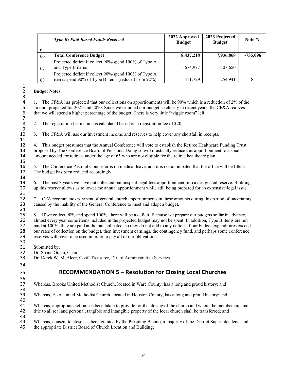|     | <b>Type B: Paid Based Funds Received</b>                                                                    | 2022 Approved<br><b>Budget</b> | 2023 Projected<br><b>Budget</b> | Note $#$ : |
|-----|-------------------------------------------------------------------------------------------------------------|--------------------------------|---------------------------------|------------|
| 65  |                                                                                                             |                                |                                 |            |
| 66  | <b>Total Conference Budget</b>                                                                              | 8,437,218                      | 7,936,868                       | $-735,096$ |
| -67 | Projected deficit if collect 90%/spend 100% of Type A<br>and Type B items                                   | $-674.977$                     | -507,650                        |            |
| 68  | Projected deficit if collect 90%/spend 100% of Type A<br>items/spend 90% of Type B items (reduced from 92%) | $-411,729$                     | $-254,941$                      | 8          |

#### 2 **Budget Notes**:

 $\frac{1}{2}$ 

3

7

 $\frac{9}{10}$ 

15

18

4 1. The CF&A has projected that our collections on apportionments will be 90% which is a reduction of 2% of the amount projected for 2021 and 2020. Since we trimmed our budget so closely in recent years, the CF&A realizes 5 amount projected for 2021 and 2020. Since we trimmed our budget so closely in recent years, the CF&A realizes that we will spend a higher percentage of the budget. There is very little "wiggle room" left. that we will spend a higher percentage of the budget. There is very little "wiggle room" left.

2. The registration fee income is calculated based on a registration fee of \$20.

10 3. The CF&A will use our investment income and reserves to help cover any shortfall in receipts.

11<br>12 12 4. This budget presumes that the Annual Conference will vote to establish the Retiree Healthcare Funding Trust 13 proposed by The Conference Board of Pensions. Doing so will drastically reduce this apportionment to a small<br>14 amount needed for retirees under the age of 65 who are not eligible for the retiree healthcare plan. amount needed for retirees under the age of 65 who are not eligible for the retiree healthcare plan.

16 5. The Conference Pastoral Counselor is on medical leave, and it is not anticipated that the office will be filled.<br>17 The budget has been reduced accordingly. The budget has been reduced accordingly.

19 6. The past 3 years we have put collected but unspent legal fees apportionment into a designated reserve. Building 20 up this reserve allows us to lower the annual apportionment while still being prepared for an expensi 20 up this reserve allows us to lower the annual apportionment while still being prepared for an expensive legal issue. 21

22 7. CFA recommends payment of general church apportionments in these amounts during this period of uncertainty<br>23 caused by the inability of the General Conference to meet and adopt a budget. caused by the inability of the General Conference to meet and adopt a budget. 24

25 8. If we collect 90% and spend 100%, there will be a deficit. Because we prepare our budgets so far in advance,<br>26 almost every year some items included in the projected budget may not be spent. In addition, Type B item 26 almost every year some items included in the projected budget may not be spent. In addition, Type B items are not 27 paid at 100%; they are paid at the rate collected, so they do not add to any deficit. If our budget expenditures exceed 28 our rates of collection on the budget, then investment earnings, the contingency fund, and perhaps some conference<br>29 reserves will have to be used in order to pay all of our obligations. reserves will have to be used in order to pay all of our obligations.

- 30
- 31 Submitted by,<br>32 Dr. Shane Gree Dr. Shane Green, Chair
- 33 Dr. Derek W. McAleer, Conf. Treasurer, Dir. of Administrative Services
- 34
- 

38

### 35 **RECOMMENDATION 5 – Resolution for Closing Local Churches**

36<br>37 Whereas, Brooks United Methodist Church, located in Ware County, has a long and proud history; and

39 Whereas, Elko United Methodist Church, located in Houston County, has a long and proud history; and 40

41 Whereas, appropriate action has been taken to provide for the closing of the church and where the membership and<br>42 title to all real and personal, tangible and intangible property of the local church shall be transferr 42 title to all real and personal, tangible and intangible property of the local church shall be transferred; and

43

44 Whereas, consent to close has been granted by the Presiding Bishop, a majority of the District Superintendents and<br>45 the appropriate District Board of Church Location and Building: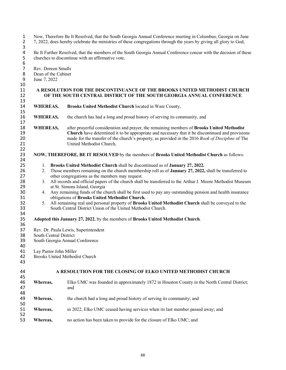1 Now, Therefore Be It Resolved, that the South Georgia Annual Conference meeting in Columbus, Georgia on June<br>2 7. 2022, does hereby celebrate the ministries of these congregations through the vears by giving all glory to 7, 2022, does hereby celebrate the ministries of these congregations through the years by giving all glory to God, 3<br>4 4 Be It Further Resolved, that the members of the South Georgia Annual Conference concur with the decision of these<br>5 churches to discontinue with an affirmative vote. churches to discontinue with an affirmative vote. 6<br>7 Rev. Doreen Smalls Dean of the Cabinet June 7, 2022 **A RESOLUTION FOR THE DISCONTINUANCE OF THE BROOKS UNITED METHODIST CHURCH OF THE SOUTH CENTRAL DISTRICT OF THE SOUTH GEORGIA ANNUAL CONFERENCE WHEREAS, Brooks United Methodist Church** located in Ware County, **WHEREAS,** the church has had a long and proud history of serving its community, and 17<br>18 **WHEREAS,** after prayerful consideration and prayer, the remaining members of **Brooks United Methodist Church** have determined it to be appropriate and necessary that it be discontinued and provisions made for the transfer of the church's property, as provided in the 2016 *Book of Discipline* of The United Methodist Church, **NOW, THEREFORE, BE IT RESOLVED** by the members of **Brooks United Methodist Church** as follows: 24<br>25 1. **Brooks United Methodist Church** shall be discontinued as of **January 27, 2022.** 26 2. Those members remaining on the church membership roll as of **January 27, 2022**, shall be transferred to other congregations as the members may request. other congregations as the members may request. 28 3. All records and official papers of the church shall be transferred to the Arthur J. Moore Methodist Museum at St. Simons Island, Georgia 30 4. Any remaining funds of the church shall be first used to pay any outstanding pension and health insurance<br>31 biligations of **Brooks United Methodist Church.**  obligations of **Brooks United Methodist Church.** 5. All remaining real and personal property of **Brooks United Methodist Church** shall be conveyed to the South Central District Union of the United Methodist Church. **Adopted this January 27, 2022**, by the members of **Brooks United Methodist Church**. 36<br>37 Rev. Dr. Paula Lewis, Superintendent South Central District South Georgia Annual Conference Lay Pastor John Miller Brooks United Methodist Church **A RESOLUTION FOR THE CLOSING OF ELKO UNITED METHODIST CHURCH Whereas,** Elko UMC was founded in approximately 1872 in Houston County in the North Central District; and 48<br>49 Whereas, the church had a long and proud history of serving its community; and **Whereas,** in 2022, Elko UMC ceased having services when its last member passed away; and **Whereas,** no action has been taken to provide for the closure of Elko UMC; and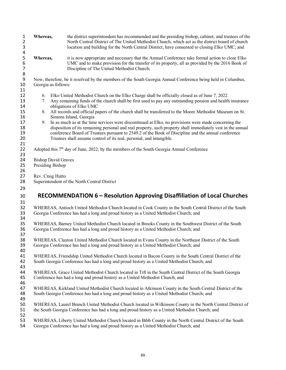1 **Whereas,** the district superintendent has recommended and the presiding bishop, cabinet, and trustees of the 2<br>2 North Central District of The United Methodist Church, which act as the district board of church 2 North Central District of The United Methodist Church, which act as the district board of church<br>3 location and building for the North Central District, have consented to closing Elko UMC; and location and building for the North Central District, have consented to closing Elko UMC; and 4<br>5<br>6 **Whereas.** it is now appropriate and necessary that the Annual Conference take formal action to close Elko 6 UMC and to make provision for the transfer of its property, all as provided by the 2016 Book of Discipline of The United Methodist Church; 8 9 Now, therefore, be it resolved by the members of the South Georgia Annual Conference being held in Columbus, Georgia as follows: 11<br>12 12 6. Elko United Methodist Church on the Elko Charge shall be officially closed as of June 7, 2022<br>13 7. Any remaining funds of the church shall be first used to pay any outstanding pension and health 13 7. Any remaining funds of the church shall be first used to pay any outstanding pension and health insurance 14 obligations of Elko UMC<br>15 8. All records and official pa 15 8. All records and official papers of the church shall be transferred to the Moore Methodist Museum on St. 16 Simons Island, Georgia 17 9. In as much as at the time services were discontinued at Elko, no provisions were made concerning the 18 disposition of its remaining personal and real property, such property shall immediately vest in the annual 19 conference Board of Trustees pursuant to 2549.2 of the Book of Discipline and the annual conference 20 Trustees shall assume control of its real, personal, and intangible. 21<br>22 Adopted this  $7<sup>th</sup>$  day of June, 2022, by the members of the South Georgia Annual Conference 23<br>24 24 Bishop David Graves<br>25 Presiding Bishop Presiding Bishop 26<br>27 Rev. Craig Hutto 28 Superintendent of the North Central District 29 30 **RECOMMENDATION 6 – Resolution Approving Disaffiliation of Local Churches** 31<br>32 32 WHEREAS, Antioch United Methodist Church located in Cook County in the South Central District of the South 33 Georgia Conference has had a long and proud history as a United Methodist Church; and 34<br>35 35 WHEREAS, Barney United Methodist Church located in Brooks County in the Southwest District of the South 36 Georgia Conference has had a long and proud history as a United Methodist Church; and 37<br>38 WHEREAS, Claxton United Methodist Church located in Evans County in the Northeast District of the South 39 Georgia Conference has had a long and proud history as a United Methodist Church; and 40<br>41 WHEREAS, Friendship United Methodist Church located in Bacon County in the South Central District of the 42 South Georgia Conference has had a long and proud history as a United Methodist Church; and 43<br>44 WHEREAS, Grace United Methodist Church located in Tift in the South Central District of the South Georgia 45 Conference has had a long and proud history as a United Methodist Church; and 46<br>47 WHEREAS, Kirkland United Methodist Church located in Atkinson County in the South Central District of the 48 South Georgia Conference has had a long and proud history as a United Methodist Church; and 49<br>50 50 WHEREAS, Laurel Branch United Methodist Church located in Wilkinson County in the North Central District of 51 the South Georgia Conference has had a long and proud history as a United Methodist Church; and 52<br>53 53 WHEREAS, Liberty United Methodist Church located in Bibb County in the North Central District of the South 54 Georgia Conference has had a long and proud history as a United Methodist Church; and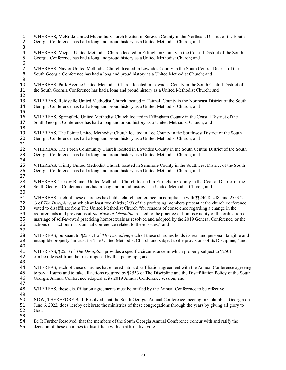1 WHEREAS, McBride United Methodist Church located in Screven County in the Northeast District of the South<br>2 Georgia Conference has had a long and proud history as a United Methodist Church: and Georgia Conference has had a long and proud history as a United Methodist Church; and 4 WHEREAS, Mizpah United Methodist Church located in Effingham County in the Coastal District of the South Georgia Conference has had a long and proud history as a United Methodist Church; and Georgia Conference has had a long and proud history as a United Methodist Church; and 6<br>7 WHEREAS, Naylor United Methodist Church located in Lowndes County in the South Central District of the South Georgia Conference has had a long and proud history as a United Methodist Church; and  $\frac{9}{10}$  WHEREAS, Park Avenue United Methodist Church located in Lowndes County in the South Central District of the South Georgia Conference has had a long and proud history as a United Methodist Church; and 12<br>13 WHEREAS, Reidsville United Methodist Church located in Tattnall County in the Northeast District of the South Georgia Conference has had a long and proud history as a United Methodist Church; and WHEREAS, Springfield United Methodist Church located in Effingham County in the Coastal District of the South Georgia Conference has had a long and proud history as a United Methodist Church; and 19 WHEREAS, The Pointe United Methodist Church located in Lee County in the Southwest District of the South 20 Georgia Conference has had a long and proud history as a United Methodist Church; and Georgia Conference has had a long and proud history as a United Methodist Church; and 21<br>22 22 WHEREAS, The Porch Community Church located in Lowndes County in the South Central District of the South Georgia Conference has had a long and proud history as a United Methodist Church; and Georgia Conference has had a long and proud history as a United Methodist Church; and 24<br>25 WHEREAS, Trinity United Methodist Church located in Seminole County in the Southwest District of the South Georgia Conference has had a long and proud history as a United Methodist Church; and WHEREAS, Turkey Branch United Methodist Church located in Effingham County in the Coastal District of the South Georgia Conference has had a long and proud history as a United Methodist Church; and 30<br>31 WHEREAS, each of these churches has held a church conference, in compliance with  $\P$ 246.8, 248, and 2553.2- .3 of *The Discipline*, at which at least two-thirds (2/3) of the professing members present at the church conference 33 voted to disaffiliate from The United Methodist Church "for reasons of conscience regarding a change in the<br>34 requirements and provisions of the Book of Discipline related to the practice of homosexuality or the ordina requirements and provisions of *the Book of Discipline* related to the practice of homosexuality or the ordination or 35 marriage of self-avowed practicing homosexuals as resolved and adopted by the 2019 General Conference, or the actions or inactions of its annual conference related to these issues:" and actions or inactions of its annual conference related to these issues;" and WHEREAS, pursuant to ¶2501.1 of *The Discipline*, each of these churches holds its real and personal, tangible and intangible property "in trust for The United Methodist Church and subject to the provisions of its Discipline;" and WHEREAS, ¶2553 of *The Discipline* provides a specific circumstance in which property subject to ¶2501.1 can be released from the trust imposed by that paragraph; and WHEREAS, each of these churches has entered into a disaffiliation agreement with the Annual Conference agreeing 45 to pay all sums and to take all actions required by ¶2553 of The Discipline and the Disaffiliation Policy of the South<br>46 Georgia Annual Conference adopted at its 2019 Annual Conference session; and Georgia Annual Conference adopted at its 2019 Annual Conference session; and 47<br>48 WHEREAS, these disaffiliation agreements must be ratified by the Annual Conference to be effective. NOW, THEREFORE Be It Resolved, that the South Georgia Annual Conference meeting in Columbus, Georgia on 51 June 6, 2022, does hereby celebrate the ministries of these congregations through the years by giving all glory to God, God. 54 Be It Further Resolved, that the members of the South Georgia Annual Conference concur with and ratify the<br>55 decision of these churches to disaffiliate with an affirmative vote. decision of these churches to disaffiliate with an affirmative vote.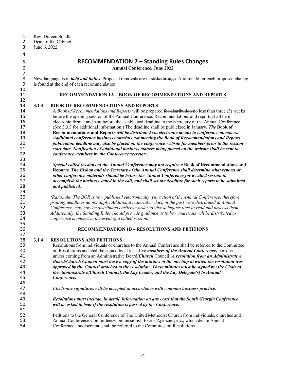Rev. Doreen Smalls 2 Dean of the Cabinet<br>3 June 6, 2022 June 6, 2022 **RECOMMENDATION 7 – Standing Rules Changes Annual Conference, June 2022** New language is in *bold and italics*. Proposed removals are in strikethrough. A rationale for each proposed change is found at the end of each recommendation. 10<br>11 **RECOMMENDATION 1A – BOOK OF RECOMMENDATIONS AND REPORTS 3.1.3 BOOK OF RECOMMENDATIONS AND REPORTS** A *Book of Recommendations and Reports* will be prepared for distribution no less than three (3) weeks before the opening session of the Annual Conference. Recommendations and reports shall be in electronic format and sent before the established deadline to the Secretary of the Annual Conference. (See 3.3.3 for additional information.) The deadline shall be publicized in January. *The* **Book of Recommendations and Reports** *will be distributed via electronic means to conference members. Additional conference business materials not meeting the Book of Recommendations and Reports publication deadline may also be placed on the conference website for members prior to the session start date. Notification of additional business matters being placed on the website shall be sent to conference members by the Conference secretary.* 23<br>24 *Special called sessions of the Annual Conference may not require a* **Book of Recommendations and Reports.** *The Bishop and the Secretary of the Annual Conference shall determine what reports or other conference materials should be before the Annual Conference for a called session to accomplish the business stated in the call, and shall set the deadline for such reports to be submitted and published. (Rationale: The BOR is now published electronically, per action of the Annual Conference, therefore printing deadlines do not apply. Additional materials, which in the past were distributed at Annual Conference, may now be distributed earlier in order to give delegates time to read and process them. Additionally, the Standing Rules should provide guidance as to how materials will be distributed to*  conference members in the event of a called session. **RECOMMENDATION 1B – RESOLUTIONS AND PETITIONS** 37<br>38 **3.1.4 RESOLUTIONS AND PETITIONS** Resolutions from individuals or churches to the Annual Conference shall be referred to the Committee on Resolutions and shall be signed by at least five *members of the Annual Conference,* persons unless coming from an Administrative Board/*Church* Council. *A resolution from an Administrative Board/Church Council must have a copy of the minutes of the meeting at which the resolution was approved by the Council attached to the resolution. These minutes must be signed by: the Chair of the Administrative/Church Council, the Lay Leader, and the Lay Delegate(s) to Annual Conference.* 46<br>47 *Electronic signatures will be accepted in accordance with common business practice. Resolutions must include, in detail, information on any costs that the South Georgia Conference will be asked to bear if the resolution is passed by the Conference.* Petitions to the General Conference of The United Methodist Church from individuals, churches and Annual Conference Committees/Commissions/ Boards/Agencies, etc., which desire Annual Conference endorsement, shall be referred to the Committee on Resolutions.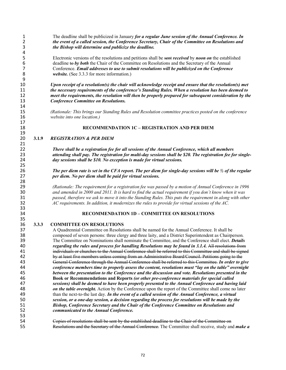| $\mathbf{1}$<br>2 |       | The deadline shall be publicized in January for a regular June session of the Annual Conference. In<br>the event of a called session, the Conference Secretary, Chair of the Committee on Resolutions and             |
|-------------------|-------|-----------------------------------------------------------------------------------------------------------------------------------------------------------------------------------------------------------------------|
| 3                 |       | the Bishop will determine and publicize the deadline.                                                                                                                                                                 |
| 4                 |       |                                                                                                                                                                                                                       |
| 5<br>6            |       | Electronic versions of the resolutions and petitions shall be sent <i>received</i> by <i>noon</i> on the established<br>deadline to by both the Chair of the Committee on Resolutions and the Secretary of the Annual |
| 7                 |       | Conference. Email addresses to use to submit resolutions will be publicized on the Conference                                                                                                                         |
| 8                 |       | <i>website.</i> (See 3.3.3 for more information.)                                                                                                                                                                     |
| 9                 |       |                                                                                                                                                                                                                       |
| 10                |       | Upon receipt of a resolution(s) the chair will acknowledge receipt and ensure that the resolution(s) met                                                                                                              |
| 11                |       | the necessary requirements of the conference's Standing Rules. When a resolution has been deemed to                                                                                                                   |
| 12                |       | meet the requirements, the resolution will then be properly prepared for subsequent consideration by the                                                                                                              |
| 13                |       | <b>Conference Committee on Resolutions.</b>                                                                                                                                                                           |
| 14                |       |                                                                                                                                                                                                                       |
| 15                |       | (Rationale: This brings our Standing Rules and Resolution committee practices posted on the conference                                                                                                                |
| 16                |       | website into one location.)                                                                                                                                                                                           |
| 17                |       |                                                                                                                                                                                                                       |
| 18                |       | <b>RECOMMENDATION 1C - REGISTRATION AND PER DIEM</b>                                                                                                                                                                  |
| 19                |       |                                                                                                                                                                                                                       |
| 20                | 3.1.9 | <b>REGISTRATION &amp; PER DIEM</b>                                                                                                                                                                                    |
| 21                |       |                                                                                                                                                                                                                       |
| 22<br>23          |       | There shall be a registration fee for all sessions of the Annual Conference, which all members                                                                                                                        |
| 24                |       | attending shall pay. The registration for multi-day sessions shall be \$20. The registration fee for single-<br>day sessions shall be \$10. No exception is made for virtual sessions.                                |
| 25                |       |                                                                                                                                                                                                                       |
| 26                |       | The per diem rate is set in the CFA report. The per diem for single-day sessions will be $\frac{1}{2}$ of the regular                                                                                                 |
| 27                |       | per diem. No per diem shall be paid for virtual sessions.                                                                                                                                                             |
| 28                |       |                                                                                                                                                                                                                       |
| 29                |       | (Rationale: The requirement for a registration fee was passed by a motion of Annual Conference in 1996                                                                                                                |
| 30                |       | and amended in 2000 and 2011. It is hard to find the actual requirement if you don't know when it was                                                                                                                 |
| 31                |       | passed, therefore we ask to move it into the Standing Rules. This puts the requirement in along with other                                                                                                            |
| 32                |       | AC requirements. In addition, it modernizes the rules to provide for virtual sessions of the AC.                                                                                                                      |
| 33                |       |                                                                                                                                                                                                                       |
| 34                |       | <b>RECOMMENDATION 1D - COMMITTEE ON RESOLUTIONS</b>                                                                                                                                                                   |
| 35                |       |                                                                                                                                                                                                                       |
| 36                | 3.3.3 | <b>COMMITTEE ON RESOLUTIONS</b>                                                                                                                                                                                       |
| 37<br>38          |       | A Quadrennial Committee on Resolutions shall be named for the Annual Conference. It shall be<br>composed of seven persons: three clergy and three laity, and a District Superintendent as Chairperson.                |
| 39                |       | The Committee on Nominations shall nominate the Committee, and the Conference shall elect. Details                                                                                                                    |
| 40                |       | regarding the rules and process for handling Resolutions may be found in 3.1.4. All resolutions from                                                                                                                  |
| 41                |       | individuals or churches to the Annual Conference shall be referred to this Committee and shall be signed                                                                                                              |
| 42                |       | by at least five members unless coming from an Administrative Board/Council. Petitions going to the                                                                                                                   |
| 43                |       | General Conference through the Annual Conference shall be referred to this Committee. In order to give                                                                                                                |
| 44                |       | conference members time to properly assess the content, resolutions must "lay on the table" overnight                                                                                                                 |
| 45                |       | between the presentation to the Conference and the discussion and vote. Resolutions presented in the                                                                                                                  |
| 46                |       | Book or Recommendations and Reports (or other pre-conference materials for special called                                                                                                                             |
| 47                |       | sessions) shall be deemed to have been properly presented to the Annual Conference and having laid                                                                                                                    |
| 48                |       | on the table overnight. Action by the Conference upon the report of the Committee shall come no later                                                                                                                 |
| 49                |       | than the next-to-the last day. In the event of a called session of the Annual Conference, a virtual                                                                                                                   |
| 50                |       | session, or a one-day session, a decision regarding the process for resolutions will be made by the                                                                                                                   |
| 51<br>52          |       | Bishop, Conference Secretary and the Chair of the Conference Committee on Resolutions and                                                                                                                             |
| 53                |       | communicated to the Annual Conference.                                                                                                                                                                                |
| 54                |       | Copies of resolutions shall be sent by the established deadline to the Chair of the Committee on                                                                                                                      |
| 55                |       | Resolutions and the Secretary of the Annual Conference. The Committee shall receive, study and <i>make a</i>                                                                                                          |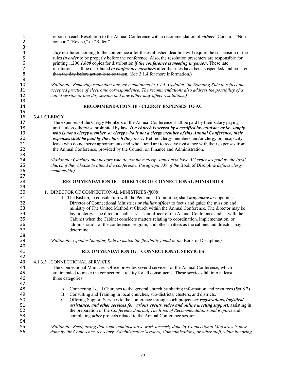| $\mathbf{1}$<br>$\overline{\mathbf{c}}$            | report on each Resolution to the Annual Conference with a recommendation of <i>either</i> : "Concur," "Non-<br>concur," "Revise," or "Refer."                                                                                                                                                                                                                                                                                                                                                                                                                                                                                                  |
|----------------------------------------------------|------------------------------------------------------------------------------------------------------------------------------------------------------------------------------------------------------------------------------------------------------------------------------------------------------------------------------------------------------------------------------------------------------------------------------------------------------------------------------------------------------------------------------------------------------------------------------------------------------------------------------------------------|
| 3<br>4<br>5<br>6<br>7<br>8                         | $Any$ resolution coming to the conference after the established deadline will require the suspension of the<br>rules in order to be properly before the conference. Also, the resolution presenters are responsible for<br>printing $\frac{1}{200}$ 1,000 copies for distribution <i>if the conference is meeting in person</i> . These late<br>resolutions shall be distributed to conference members after the rules have been suspended. and no later<br>than the day before action is to be taken. (See 3.1.4 for more information.)                                                                                                       |
| 9<br>10<br>11<br>12<br>13                          | (Rationale: Removing redundant language contained in 3.1.4. Updating the Standing Rule to reflect an<br>accepted practice of electronic correspondence. The recommendations also address the possibility of a<br>called session or one-day session and how either may affect resolutions.)                                                                                                                                                                                                                                                                                                                                                     |
| 14<br>15                                           | RECOMMENDATION 1E - CLERGY EXPENSES TO AC                                                                                                                                                                                                                                                                                                                                                                                                                                                                                                                                                                                                      |
| 16<br>17<br>18<br>19<br>20<br>21<br>22<br>23       | 3.4.1 CLERGY<br>The expenses of the Clergy Members of the Annual Conference shall be paid by their salary paying<br>unit, unless otherwise prohibited by law. If a church is served by a certified lay minister or lay supply<br>who is not a clergy member, or clergy who is not a clergy member of this Annual Conference, their<br>expenses shall be paid by the church they serve. Retired clergy members and/or clergy on incapacity<br>leave who do not serve appointments and who attend are to receive assistance with their expenses from<br>the Annual Conference, provided by the Council on Finance and Administration.            |
| 24<br>25<br>26<br>27                               | (Rationale: Clarifies that pastors who do not have clergy status also have AC expenses paid by the local<br>church if they choose to attend the conference. Paragraph 339 of the Book of Discipline defines clergy<br>membership)                                                                                                                                                                                                                                                                                                                                                                                                              |
| 28<br>29                                           | <b>RECOMMENDATION 1F - DIRECTOR OF CONNECTIONAL MINISTRIES</b>                                                                                                                                                                                                                                                                                                                                                                                                                                                                                                                                                                                 |
| 30<br>31<br>32<br>33<br>34<br>35<br>36<br>37<br>38 | 1. DIRECTOR OF CONNECTIONAL MINISTRIES (¶608)<br>1. The Bishop, in consultation with the Personnel Committee, shall may name or appoint a<br>Director of Connectional Ministries or similar officer to focus and guide the mission and<br>ministry of The United Methodist Church within the Annual Conference. The director may be<br>lay or clergy. The director shall serve as an officer of the Annual Conference and sit with the<br>Cabinet when the Cabinet considers matters relating to coordination, implementation, or<br>administration of the conference program, and other matters as the cabinet and director may<br>determine. |
| 39<br>40                                           | (Rationale: Updates Standing Rule to match the flexibility found in the Book of Discipline.)                                                                                                                                                                                                                                                                                                                                                                                                                                                                                                                                                   |
| 41                                                 | <b>RECOMMENDATION 1G - CONNECTIONAL SERVICES</b>                                                                                                                                                                                                                                                                                                                                                                                                                                                                                                                                                                                               |
| 42<br>43<br>44<br>45<br>46<br>47                   | 4.1.3.3 CONNECTIONAL SERVICES<br>The Connectional Ministries Office provides several services for the Annual Conference, which<br>are intended to make the connection a reality for all constituents. These services fall into at least<br>three categories:                                                                                                                                                                                                                                                                                                                                                                                   |
| 48<br>49<br>50<br>51<br>52<br>53<br>54             | A. Connecting Local Churches to the general church by sharing information and resources (¶608.2).<br>B. Consulting and Training in local churches, sub-districts, clusters, and districts.<br>C. Offering Support Services to the conference through such projects as registrations, logistical<br>assistance, and other services for various events, video and online meeting support, assisting in<br>the preparation of the Conference Journal, The Book of Recommendations and Reports and<br>completing other projects related to the Annual Conference session.                                                                          |
| 55<br>56                                           | (Rationale: Recognizing that some administrative work formerly done by Connectional Ministries is now<br>done by the Conference Secretary, Administrative Services, Communications, or other staff, while honoring                                                                                                                                                                                                                                                                                                                                                                                                                             |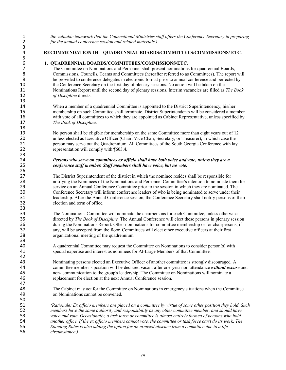*the valuable teamwork that the Connectional Ministries staff offers the Conference Secretary in preparing for the annual conference session and related materials.)*

**RECOMMENDATION 1H – QUADRENNIAL BOARDS/COMMITTEES/COMMISSIONS/ ETC**.

## **1. QUADRENNIAL BOARDS/COMMITTEES/COMMISSIONS/ETC**.

3<br>4

23<br>24

26<br>27

33<br>34

42<br>43

47<br>48

 The Committee on Nominations and Personnel shall present nominations for quadrennial Boards, Commissions, Councils, Teams and Committees (hereafter referred to as Committees). The report will 9 be provided to conference delegates in electronic format prior to annual conference and perfected by the Conference Secretary on the first day of plenary sessions. No action will be taken on the the Conference Secretary on the first day of plenary sessions. No action will be taken on the Nominations Report until the second day of plenary sessions. Interim vacancies are filled as *The Book*  of Discipline directs.

14 When a member of a quadrennial Committee is appointed to the District Superintendency, his/her<br>15 membership on such Committee shall terminate District Superintendents will be considered a mer membership on such Committee shall terminate. District Superintendents will be considered a member with vote of all committees to which they are appointed as Cabinet Representative, unless specified by *The Book of Discipline*.

 No person shall be eligible for membership on the same Committee more than eight years out of 12 unless elected as Executive Officer (Chair, Vice Chair, Secretary, or Treasurer), in which case the 21 person may serve out the Quadrennium. All Committees of the South Georgia Conference with lay representation will comply with  $\P603.4$ . representation will comply with ¶603.4.

#### *Persons who serve on committees ex officio shall have both voice and vote, unless they are a conference staff member. Staff members shall have voice, but no vote.*

 The District Superintendent of the district in which the nominee resides shall be responsible for notifying the Nominees of the Nominations and Personnel Committee's intention to nominate them for service on an Annual Conference Committee prior to the session in which they are nominated. The 30 Conference Secretary will inform conference leaders of who is being nominated to serve under their<br>31 leadership. After the Annual Conference session, the Conference Secretary shall notify persons of the leadership. After the Annual Conference session, the Conference Secretary shall notify persons of their election and term of office.

The Nominations Committee will nominate the chairpersons for each Committee, unless otherwise directed by *The Book of Discipline.* The Annual Conference will elect these persons in plenary session 36 during the Nominations Report. Other nominations for committee membership or for chairpersons, if any will be accepted from the floor. Committees will elect other executive officers at their first any, will be accepted from the floor. Committees will elect other executive officers at their first organizational meeting of the quadrennium.

 A quadrennial Committee may request the Committee on Nominations to consider person(s) with special expertise and interest as nominees for At-Large Members of that Committee.

Nominating persons elected an Executive Officer of another committee is strongly discouraged. A committee member's position will be declared vacant after one-year non-attendance *without excuse* and 45 non- communication to the group's leadership. The Committee on Nominations will nominate a replacement for election at the next Annual Conference session. replacement for election at the next Annual Conference session.

48 The Cabinet may act for the Committee on Nominations in emergency situations when the Committee on Nominations cannot be convened. on Nominations cannot be convened.

 *(Rationale: Ex officio members are placed on a committee by virtue of some other position they hold. Such members have the same authority and responsibility as any other committee member, and should have voice and vote. Occasionally, a task force or committee is almost entirely formed of persons who hold another office. If the ex officio members cannot vote, the committee or task force can't do its work. The Standing Rules is also adding the option for an excused absence from a committee due to a life circumstance.)*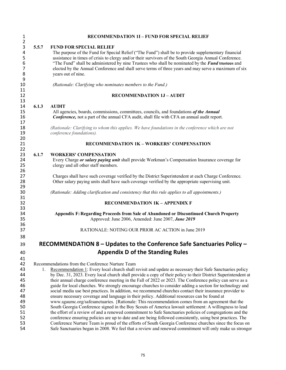| $\mathbf 1$                               |       | <b>RECOMMENDATION 1I - FUND FOR SPECIAL RELIEF</b>                                                                                                                                                                                                                                                                                                                                                                                                                                 |
|-------------------------------------------|-------|------------------------------------------------------------------------------------------------------------------------------------------------------------------------------------------------------------------------------------------------------------------------------------------------------------------------------------------------------------------------------------------------------------------------------------------------------------------------------------|
| $\sqrt{2}$                                |       |                                                                                                                                                                                                                                                                                                                                                                                                                                                                                    |
| $\mathsf 3$<br>4<br>5<br>6<br>7<br>8<br>9 | 5.5.7 | <b>FUND FOR SPECIAL RELIEF</b><br>The purpose of the Fund for Special Relief ("The Fund") shall be to provide supplementary financial<br>assistance in times of crisis to clergy and/or their survivors of the South Georgia Annual Conference.<br>"The Fund" shall be administered by nine Trustees who shall be nominated by the Fund trustees and<br>elected by the Annual Conference and shall serve terms of three years and may serve a maximum of six<br>years out of nine. |
| 10<br>11                                  |       | (Rationale: Clarifying who nominates members to the Fund.)                                                                                                                                                                                                                                                                                                                                                                                                                         |
| 12<br>13                                  |       | <b>RECOMMENDATION 1J - AUDIT</b>                                                                                                                                                                                                                                                                                                                                                                                                                                                   |
| 14                                        | 6.1.3 | <b>AUDIT</b>                                                                                                                                                                                                                                                                                                                                                                                                                                                                       |
| 15<br>16<br>17                            |       | All agencies, boards, commissions, committees, councils, and foundations of the Annual<br><b>Conference</b> , not a part of the annual CFA audit, shall file with CFA an annual audit report.                                                                                                                                                                                                                                                                                      |
| 18<br>19<br>20                            |       | (Rationale: Clarifying to whom this applies. We have foundations in the conference which are not<br>conference foundations).                                                                                                                                                                                                                                                                                                                                                       |
| 21<br>22                                  |       | <b>RECOMMENDATION 1K - WORKERS' COMPENSATION</b>                                                                                                                                                                                                                                                                                                                                                                                                                                   |
| 23                                        | 6.1.7 | <b>WORKERS' COMPENSATION</b>                                                                                                                                                                                                                                                                                                                                                                                                                                                       |
| 24<br>25<br>26                            |       | Every Charge or salary paying unit shall provide Workman's Compensation Insurance coverage for<br>clergy and all other staff members.                                                                                                                                                                                                                                                                                                                                              |
| 27<br>28<br>29                            |       | Charges shall have such coverage verified by the District Superintendent at each Charge Conference.<br>Other salary paying units shall have such coverage verified by the appropriate supervising unit.                                                                                                                                                                                                                                                                            |
| 30<br>31                                  |       | (Rationale: Adding clarification and consistency that this rule applies to all appointments.)                                                                                                                                                                                                                                                                                                                                                                                      |
| 32<br>33                                  |       | <b>RECOMMENDATION 1K - APPENDIX F</b>                                                                                                                                                                                                                                                                                                                                                                                                                                              |
| 34<br>35<br>36                            |       | Appendix F: Regarding Proceeds from Sale of Abandoned or Discontinued Church Property<br>Approved: June 2006, Amended: June 2007, June 2019                                                                                                                                                                                                                                                                                                                                        |
| 37<br>38                                  |       | RATIONALE: NOTING OUR PRIOR AC ACTION in June 2019                                                                                                                                                                                                                                                                                                                                                                                                                                 |
| 39                                        |       | RECOMMENDATION 8 - Updates to the Conference Safe Sanctuaries Policy -                                                                                                                                                                                                                                                                                                                                                                                                             |
| 40                                        |       | <b>Appendix D of the Standing Rules</b>                                                                                                                                                                                                                                                                                                                                                                                                                                            |
| 41                                        |       |                                                                                                                                                                                                                                                                                                                                                                                                                                                                                    |
| 42                                        |       | Recommendations from the Conference Nurture Team                                                                                                                                                                                                                                                                                                                                                                                                                                   |
| 43                                        | 1.    | Recommendation 1: Every local church shall revisit and update as necessary their Safe Sanctuaries policy                                                                                                                                                                                                                                                                                                                                                                           |
| 44                                        |       | by Dec. 31, 2023. Every local church shall provide a copy of their policy to their District Superintendent at                                                                                                                                                                                                                                                                                                                                                                      |
| 45                                        |       | their annual charge conference meeting in the Fall of 2022 or 2023. The Conference policy can serve as a                                                                                                                                                                                                                                                                                                                                                                           |
| 46                                        |       | guide for local churches. We strongly encourage churches to consider adding a section for technology and                                                                                                                                                                                                                                                                                                                                                                           |
| 47                                        |       | social media use best practices. In addition, we recommend churches contact their insurance provider to                                                                                                                                                                                                                                                                                                                                                                            |
| 48                                        |       | ensure necessary coverage and language in their policy. Additional resources can be found at                                                                                                                                                                                                                                                                                                                                                                                       |
| 49<br>50                                  |       | www.sgaumc.org/safesanctuaries. {Rationale: This recommendation comes from an agreement that the                                                                                                                                                                                                                                                                                                                                                                                   |
| 51                                        |       | South Georgia Conference signed in the Boy Scouts of America lawsuit settlement: A willingness to lead<br>the effort of a review of and a renewed commitment to Safe Sanctuaries policies of congregations and the                                                                                                                                                                                                                                                                 |
| 52                                        |       | conference ensuring policies are up to date and are being followed consistently, using best practices. The                                                                                                                                                                                                                                                                                                                                                                         |
| 53                                        |       | Conference Nurture Team is proud of the efforts of South Georgia Conference churches since the focus on                                                                                                                                                                                                                                                                                                                                                                            |
| 54                                        |       | Safe Sanctuaries began in 2008. We feel that a review and renewed commitment will only make us stronger                                                                                                                                                                                                                                                                                                                                                                            |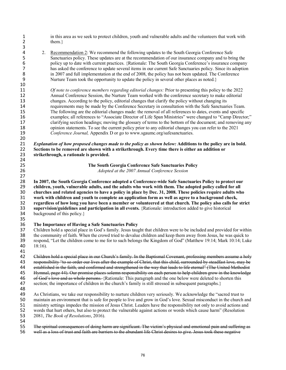1 in this area as we seek to protect children, youth and vulnerable adults and the volunteers that work with  $\frac{1}{2}$  $them.$ } 3<br>4 2. <u>Recommendation 2</u>: We recommend the following updates to the South Georgia Conference Safe<br>5 Sanctuaries policy. These updates are at the recommendation of our insurance company and to bri 5 Sanctuaries policy. These updates are at the recommendation of our insurance company and to bring the policy up to date with current practices. {Rationale: The South Georgia Conference's insurance company 6 policy up to date with current practices. {Rationale: The South Georgia Conference's insurance company 7 has asked the conference to update several items in our current Safe Sanctuaries policy. Since its adoption 8 in 2007 and full implementation at the end of 2008, the policy has not been updated. The Conference 9 Nurture Team took the opportunity to update the policy in several other places as noted.} 10 11 *Of note to conference members regarding editorial changes:* Prior to presenting this policy to the 2022<br>12 Annual Conference Session, the Nurture Team worked with the conference secretary to make editorial 12 Annual Conference Session, the Nurture Team worked with the conference secretary to make editorial<br>13 changes. According to the policy, editorial changes that clarify the policy without changing its 13 changes. According to the policy, editorial changes that clarify the policy without changing its 14 requirements may be made by the Conference Secretary in consultation with the Safe Sanctuaries Team.<br>15 The following are the editorial changes made: the removal of all references to dates events and specific 15 The following are the editorial changes made: the removal of all references to dates, events and specific 16 examples; all references to "Associate Director of Life Span Ministries" were changed to "Camp Director;" 17 clarifying section headings; moving the glossary of terms to the bottom of the document; and removing any<br>18 opinion statements. To see the current policy prior to any editorial changes you can refer to the 2021 18 opinion statements. To see the current policy prior to any editorial changes you can refer to the 2021 19 *Conference Journal,* Appendix D or go to www.sgaumc.org/safesanctuaries. 20 21 *Explanation of how proposed changes made to the policy as shown below:* **Additions to the policy are in bold.**  22 **Sections to be removed are shown with a strikethrough. Every time there is either an addition or**  23 **strikethrough, a rationale is provided.**  24<br>25 25 **The South Georgia Conference Safe Sanctuaries Policy**  26 *Adopted at the 2007 Annual Conference Session*  27 28 **In 2007, the South Georgia Conference adopted a Conference-wide Safe Sanctuaries Policy to protect our**  29 **children, youth, vulnerable adults, and the adults who work with them. The adopted policy called for all**  30 **churches and related agencies to have a policy in place by Dec. 31, 2008. These policies require adults who**  work with children and youth to complete an application form as well as agree to a background check, 32 **regardless of how long you have been a member or volunteered at that church. The policy also calls for strict**  33 **supervision/guidelines and participation in all events.** {Rationale: introduction added to give historical background of this policy.} background of this policy.} 35<br>36 36 **The Importance of Having a Safe Sanctuaries Policy** 37 Children hold a special place in God's family. Jesus taught that children were to be included and provided for within 38 the community of faith. When the crowd tried to devalue children and keep them away from Jesus, he was quick to 39 respond, "Let the children come to me for to such belongs the Kingdom of God" (Matthew 19:14; Mark 10:14; Luke 40 18:16). 41 42 Children hold a special place in our Church's family. In the Baptismal Covenant, professing members assume a holy<br>43 responsibility "to so order our lives after the example of Christ, that this child, surrounded by stea 43 responsibility "to so order our lives after the example of Christ, that this child, surrounded by steadfast love, may be<br>44 established in the faith, and confirmed and strengthened in the way that leads to life eternal" established in the faith, and confirmed and strengthened in the way that leads to life eternal" (The United Methodist 45 Hymnal, page 44). Our promise places solemn responsibility on each person to help children grow in the knowledge<br>46 of God's love and as whole persons. {Rationale: This paragraph and the one below were deleted to shorte of God's love and as whole persons. {Rationale: This paragraph and the one below were deleted to shorten this 47 section; the importance of children in the church's family is still stressed in subsequent paragraphs.} 48<br>49 49 As Christians, we take our responsibility to nurture children very seriously. We acknowledge the "sacred trust to 50 maintain an environment that is safe for people to live and grow in God's love. Sexual misconduct in the church and 51 ministry settings impedes the mission of Jesus Christ. Leaders have the responsibility not only to avoid actions and<br>52 words that hurt others, but also to protect the vulnerable against actions or words which cause har 52 words that hurt others, but also to protect the vulnerable against actions or words which cause harm" (Resolution 53 2081, The Book of Resolutions, 2016). 53 2081, *The Book of Resolutions*, 2016). 54<br>55 The spiritual consequences of doing harm are significant. The victim's physical and emotional pain and suffering as 56 well as a loss of trust and faith are barriers to the abundant life Christ desires to give. Jesus took these negative

76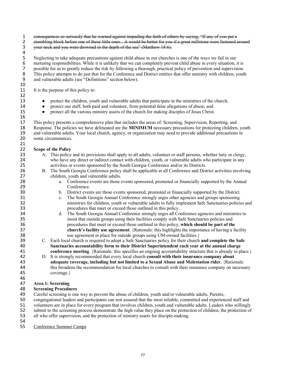1 consequences so seriously that he warned against impeding the faith of others by saying, "If any of you put a<br>2 stumbling block before one of these little ones...it would be better for you if a great millstone were faste 2 stumbling block before one of these little ones...it would be better for you if a great millstone were fastened around<br>3 vour neek and you were drowned in the depth of the sea" (Matthew 18:6). 3 your neck and you were drowned in the depth of the sea" (Matthew 18:6).

4<br>5 5 Neglecting to take adequate precautions against child abuse in our churches is one of the ways we fail in our nurturing responsibilities. While it is unlikely that we can completely prevent child abuse in every situation 6 nurturing responsibilities. While it is unlikely that we can completely prevent child abuse in every situation, it is possible for us to greatly reduce the risk by following a thorough, practical policy of prevention and 7 possible for us to greatly reduce the risk by following a thorough, practical policy of prevention and supervision. 8 This policy attempts to do just that for the Conference and District entities that offer ministry with children, youth 9 and vulnerable adults (see "Definitions" section below). 10

11 It is the purpose of this policy to:

- protect the children, youth and vulnerable adults that participate in the ministries of the church;
- 
- 14 protect our staff, both paid and volunteer, from potential false allegations of abuse; and<br>15 protect all the various ministry assets of the church for making disciples of Jesus Christ. • protect all the various ministry assets of the church for making disciples of Jesus Christ.

17 This policy presents a comprehensive plan that includes the areas of: Screening, Supervision, Reporting, and<br>18 Response. The policies we have delineated are the **MINIMUM** necessary precautions for protecting children. 18 Response. The policies we have delineated are the **MINIMUM** necessary precautions for protecting children, youth 19 and vulnerable adults. Your local church, agency, or organization may need to provide additional precautions in<br>20 some circumstances. some circumstances. 21<br>22

## 22 **Scope of the Policy**

12<br>13

16

- 23 A. This policy and its provisions shall apply to all adults, volunteer or staff persons, whether laity or clergy, who have any direct or indirect contact with children, youth, or vulnerable adults who participate in any 24 who have any direct or indirect contact with children, youth, or vulnerable adults who participate in any activities or events sponsored by the South Georgia Conference and/or its Districts. 25 activities or events sponsored by the South Georgia Conference and/or its Districts.
- 26 B. The South Georgia Conference policy shall be applicable at all Conference and District activities involving children, vouth and vulnerable adults. children, youth and vulnerable adults.
- 28 a. Conference events are those events sponsored, promoted or financially supported by the Annual 29 Conference.
- 30 b. District events are those events sponsored, promoted or financially supported by the District.<br>31 c. The South Georgia Annual Conference strongly urges other agencies and groups sponsoring
- 31 c. The South Georgia Annual Conference strongly urges other agencies and groups sponsoring 32 ministries for children, youth or vulnerable adults to fully implement Safe Sanctuaries policies and 33 **procedures that meet or exceed those outlined in this policy.**<br>34 **he South Georgia Annual Conference strongly urges all Co**
- 34 d. The South Georgia Annual Conference strongly urges all Conference agencies and ministries to 35 insist that outside groups using their facilities comply with Safe Sanctuaries policies and<br>36 or occodures that meet or exceed those outlined in this policy. which should be part of the 36 **hostor procedures that meet or exceed those outlined in this policy, which should be part of the <br>37 church's facility use agreement**. {Rationale: this highlights the importance of having a facility 37 **church's facility use agreement**. {Rationale: this highlights the importance of having a facility 38 use agreement in place for outside groups using UM-owned facilities.}
- 39 C. Each local church is required to adopt a Safe Sanctuaries policy for their church **and complete the Safe**  40 **Sanctuaries accountability form to their District Superintendent each year at the annual charge**  41 **conference meeting**. {Rationale: this specifies an ongoing accountability structure that is already in place.}
- 42 D. It is strongly recommended that every local church **consult with their insurance company about**  43 **adequate coverage, including but not limited to a Sexual Abuse and Molestation rider.** {Rationale: 44 this broadens the recommendation for local churches to consult with their insurance company on necessary 45 coverage.} 46

### 47 **Area 1: Screening**  48 **Screening Procedures**

Careful screening is one way to prevent the abuse of children, youth and/or vulnerable adults. Parents,

50 congregational leaders and participants can rest assured that the most reliable, committed and experienced staff and

51 volunteers are in place for every program that involves children, youth and vulnerable adults. Leaders who willingly<br>52 submit to the screening process demonstrate the high value they place on the protection of children

52 submit to the screening process demonstrate the high value they place on the protection of children, the protection of all who offer supervision, and the protection of ministry assets for disciple-making.

- all who offer supervision, and the protection of ministry assets for disciple-making.
- 54<br>55

Conference Summer Camps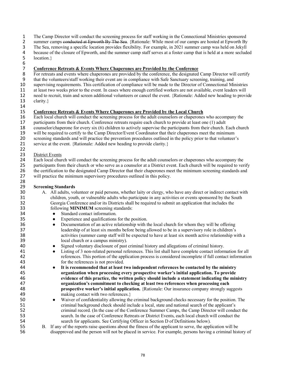1 The Camp Director will conduct the screening process for staff working in the Connectional Ministries sponsored<br>2 summer camps e<del>onducted at Epworth By The Sea</del>. {Rationale: While most of our camps are hosted at Epworth

- 2 summer camps conducted at Epworth By The Sea. {Rationale: While most of our camps are hosted at Epworth By<br>3 The Sea, removing a specific location provides flexibility. For example, in 2021 summer camp was held on Jekyll
- 3 The Sea, removing a specific location provides flexibility. For example, in 2021 summer camp was held on Jekyll 4 because of the closure of Epworth, and the summer camp staff serves at a foster camp that is held at a more secluded location.}
- 6<br>7

location.}

#### 7 **Conference Retreats & Events Where Chaperones are Provided by the Conference**

8 For retreats and events where chaperones are provided by the conference, the designated Camp Director will certify

- 9 that the volunteers/staff working their event are in compliance with Safe Sanctuary screening, training, and<br>10 supervising requirements. This certification of compliance will be made to the Director of Connectional Mi
- supervising requirements. This certification of compliance will be made to the Director of Connectional Ministries
- 11 at least two weeks prior to the event. In cases where enough certified workers are not available, event leaders will<br>12 need to recruit, train and screen additional volunteers or cancel the event. {Rationale: Added new
- 12 need to recruit, train and screen additional volunteers or cancel the event. {Rationale: Added new heading to provide clarity.} clarity.}
- 14<br>15

28

#### 15 **Conference Retreats & Events Where Chaperones are Provided by the Local Church**

16 Each local church will conduct the screening process for the adult counselors or chaperones who accompany the

17 participants from their church. Conference retreats require each church to provide at least one (1) adult<br>18 counselor/chaperone for every six (6) children to actively supervise the participants from their church.

18 counselor/chaperone for every six (6) children to actively supervise the participants from their church. Each church

19 will be required to certify to the Camp Director/Event Coordinator that their chaperones meet the minimum<br>20 screening standards and will practice the prevention procedures outlined in the policy prior to that volunteer

- screening standards and will practice the prevention procedures outlined in the policy prior to that volunteer's
- 21 service at the event. {Rationale: Added new heading to provide clarity.} 22

## 23 District Events<br>24 Each local chur

24 Each local church will conduct the screening process for the adult counselors or chaperones who accompany the participants from their church or who serve as a counselor at a District event. Each church will be required 25 participants from their church or who serve as a counselor at a District event. Each church will be required to verify 26 the certification to the designated Camp Director that their chaperones meet the minimum screening standards and<br>27 will practice the minimum supervisory procedures outlined in this policy. will practice the minimum supervisory procedures outlined in this policy.

#### 29 **Screening Standards**

- 30 A. All adults, volunteer or paid persons, whether laity or clergy, who have any direct or indirect contact with children, vouth, or vulnerable adults who participate in any activities or events sponsored by the South 31 children, youth, or vulnerable adults who participate in any activities or events sponsored by the South 32 Georgia Conference and/or its Districts shall be required to submit an application that includes the 33 following **MINIMUM** screening standards:<br>34 **Constanting Standard contact information**.
	- Standard contact information.
- 35 Experience and qualifications for the position.
- 36 **•** Documentation of an active relationship with the local church for whom they will be offering leadership of at least six months before being allowed to be in a supervisory role in children's leadership of at least six months before being allowed to be in a supervisory role in children's 38 activities (summer camp staff will be expected to have at least six month active relationship with a 39 local church or a campus ministry).
- 40 Signed voluntary disclosure of past criminal history and allegations of criminal history.
- 41 Listing of 3 non-related personal references. This list shall have complete contact information for all 42 references. This portion of the application process is considered incomplete if full contact information<br>43 for the references is not provided.
- 44 **It is recommended that at least two independent references be contacted by the ministry**  45 **organization when processing every prospective worker's initial application. To provide**  46 **evidence of this practice, the written policy should include a statement indicating the ministry**  47 **organization's commitment to checking at least two references when processing each 48 prospective worker's initial application.** {Rationale: Our insurance company strongly suggests making contact with two references } making contact with two references.}
- 50 Waiver of confidentiality allowing the criminal background checks necessary for the position. The 51 criminal background check should include a local, state and national search of the applicant's 52 criminal record. (In the case of the Conference Summer Camps, the Camp Director will conduct the 53 search. In the case of Conference Retreats or District Events, each local church will conduct the 54 search for applicants. See Certifying Officer in Section D of Definitions below).<br>55 B. If any of the reports raise questions about the fitness of the applicant to serve, the appl
- 55 B. If any of the reports raise questions about the fitness of the applicant to serve, the application will be 56 disapproved and the person will not be placed in service. For example, persons having a criminal history of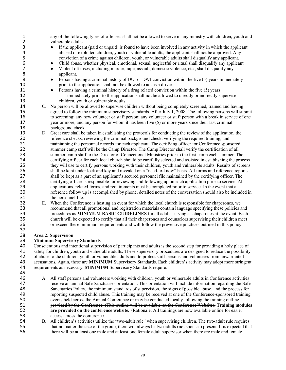| 1<br>$\overline{2}$ |    | any of the following types of offenses shall not be allowed to serve in any ministry with children, youth and<br>vulnerable adults:                                                                                 |
|---------------------|----|---------------------------------------------------------------------------------------------------------------------------------------------------------------------------------------------------------------------|
| 3                   |    | If the applicant (paid or unpaid) is found to have been involved in any activity in which the applicant<br>$\bullet$                                                                                                |
| 4                   |    | abused or exploited children, youth or vulnerable adults, the applicant shall not be approved. Any                                                                                                                  |
| 5                   |    | conviction of a crime against children, youth, or vulnerable adults shall disqualify any applicant.                                                                                                                 |
| 6                   |    | Child abuse, whether physical, emotional, sexual, neglectful or ritual shall disqualify any applicant.<br>$\bullet$                                                                                                 |
| 7                   |    | Violent offenses, including murder, rape, assault, domestic violence, etc., shall disqualify any<br>$\bullet$                                                                                                       |
| 8                   |    | applicant.                                                                                                                                                                                                          |
| 9                   |    | Persons having a criminal history of DUI or DWI conviction within the five (5) years immediately<br>$\bullet$                                                                                                       |
| 10                  |    | prior to the application shall not be allowed to act as a driver.                                                                                                                                                   |
| 11                  |    | Persons having a criminal history of a drug related conviction within the five (5) years<br>$\bullet$                                                                                                               |
| 12                  |    | immediately prior to the application shall not be allowed to directly or indirectly supervise                                                                                                                       |
| 13                  |    | children, youth or vulnerable adults.                                                                                                                                                                               |
| 14                  |    | C. No person will be allowed to supervise children without being completely screened, trained and having                                                                                                            |
| 15                  |    | agreed to follow the minimum supervisory standards. After July 1, 2008, The following persons will submit                                                                                                           |
| 16                  |    | to screening: any new volunteer or staff person; any volunteer or staff person with a break in service of one                                                                                                       |
| 17                  |    | year or more; and any person for whom it has been five (5) or more years since their last criminal                                                                                                                  |
| 18                  |    | background check.                                                                                                                                                                                                   |
| 19                  |    | D. Great care shall be taken in establishing the protocols for conducting the review of the application, the                                                                                                        |
| 20                  |    | reference checks, reviewing the criminal background check, verifying the required training, and                                                                                                                     |
| 21                  |    | maintaining the personnel records for each applicant. The certifying officer for Conference sponsored                                                                                                               |
| 22                  |    | summer camp staff will be the Camp Director. The Camp Director shall verify the certification of all                                                                                                                |
| 23                  |    | summer camp staff to the Director of Connectional Ministries prior to the first camp each summer. The                                                                                                               |
| 24                  |    | certifying officer for each local church should be carefully selected and assisted in establishing the process                                                                                                      |
| 25                  |    | they will use to certify persons working with their children, youth and vulnerable adults. Results of screens                                                                                                       |
| 26                  |    | shall be kept under lock and key and revealed on a "need-to-know" basis. All forms and reference reports                                                                                                            |
| 27<br>28            |    | shall be kept as a part of an applicant's secured personnel file maintained by the certifying officer. The                                                                                                          |
| 29                  |    | certifying officer is responsible for reviewing and following up on each application prior to service. All<br>applications, related forms, and requirements must be completed prior to service. In the event that a |
| 30                  |    | reference follow up is accomplished by phone, detailed notes of the conversation should also be included in                                                                                                         |
| 31                  |    | the personnel file.                                                                                                                                                                                                 |
| 32                  | E. | When the Conference is hosting an event for which the local church is responsible for chaperones, we                                                                                                                |
| 33                  |    | recommend that all promotional and registration materials contain language specifying these policies and                                                                                                            |
| 34                  |    | procedures as MINIMUM BASIC GUIDELINES for all adults serving as chaperones at the event. Each                                                                                                                      |
| 35                  |    | church will be expected to certify that all their chaperones and counselors supervising their children meet                                                                                                         |
| 36                  |    | or exceed these minimum requirements and will follow the preventive practices outlined in this policy.                                                                                                              |
| 37                  |    |                                                                                                                                                                                                                     |
| 38                  |    | <b>Area 2: Supervision</b>                                                                                                                                                                                          |
| 39                  |    | <b>Minimum Supervisory Standards</b>                                                                                                                                                                                |
|                     |    |                                                                                                                                                                                                                     |

 Conscientious and intentional supervision of participants and adults is the second step for providing a holy place of safety for children, youth and vulnerable adults. These supervisory procedures are designed to reduce the possibility 42 of abuse to the children, youth or vulnerable adults and to protect staff persons and volunteers from unwarranted<br>43 accusations. Again, these are **MINIMUM** Supervisory Standards. Each children's activity may adopt more accusations. Again, these are **MINIMUM** Supervisory Standards. Each children's activity may adopt more stringent requirements as necessary. **MINIMUM** Supervisory Standards require:

- 45<br>46
- A. All staff persons and volunteers working with children, youth or vulnerable adults in Conference activities 47 receive an annual Safe Sanctuaries orientation. This orientation will include information regarding the Safe<br>48 Sanctuaries Policy, the minimum standards of supervision, the signs of possible abuse, and the process for 48 Sanctuaries Policy, the minimum standards of supervision, the signs of possible abuse, and the process for<br>49 separation of the Conference sponsored training<br>49 reporting suspected child abuse. This training may be received at one of the Conference-sponsored training events held across the Annual Conference or may be conducted locally following the training outline provided by the Conference. (This outline will be available on the Conference Website). **Training modules are provided on the conference website.** {Rationale: All trainings are now available online for easier access across the conference.}
- 54 B. All children's activities utilize the "two-adult rule" when supervising children. The two-adult rule requires that no matter the size of the group, there will always be two adults (not spouses) present. It is expecte that no matter the size of the group, there will always be two adults (not spouses) present. It is expected that there will be at least one male and at least one female adult supervisor when there are male and female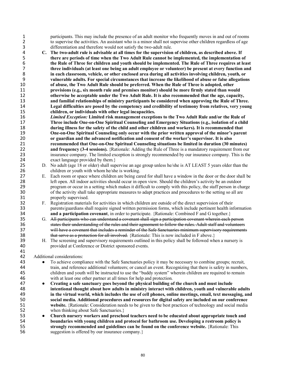1 participants. This may include the presence of an adult monitor who frequently moves in and out of rooms<br>2 to supervise the activities. An assistant who is a minor shall not supervise other children regardless of age 2 to supervise the activities. An assistant who is a minor shall not supervise other children regardless of age differentiation and therefore would not satisfy the two-adult rule. 3 differentiation and therefore would not satisfy the two-adult rule.<br>4 C. The two-adult rule is advisable at all times for the supervision

- **C. The two-adult rule is advisable at all times for the supervision of children, as described above. If there are periods of time when the Two Adult Rule cannot be implemented, the implementation of the Rule of Three for children and youth should be implemented. The Rule of Three requires at least three individuals (at least one being an adult employee or volunteer) be present at every function and in each classroom, vehicle, or other enclosed area during all activities involving children, youth, or vulnerable adults. For special circumstances that increase the likelihood of abuse or false allegations of abuse, the Two Adult Rule should be preferred. When the Rule of Three is adopted, other provisions (e.g., six month rule and premises monitor) should be more firmly stated than would otherwise be acceptable under the Two Adult Rule. It is also recommended that the age, capacity, and familial relationships of ministry participants be considered when approving the Rule of Three. Legal difficulties are posed by the competency and credibility of testimony from relatives, very young children, or individuals with other legal incapacities.**
- *Limited Exception:* **Limited risk management exceptions to the Two Adult Rule and/or the Rule of Three include One-on-One Spiritual Counseling and Emergency Situations (e.g., isolation of a child**  during illness for the safety of the child and other children and workers). It is recommended that **One-on-One Spiritual Counseling only occur with the prior written approval of the minor's parent or guardian and the advanced notification and consent of the worker's supervisor. It is also recommended that One-on-One Spiritual Counseling situations be limited in duration (30 minutes)**  and frequency (3-4 sessions). {Rationale: Adding the Rule of Three is a mandatory requirement from our 23 insurance company. The limited exception is strongly recommended by our insurance company. This is the exact language provided by them. 24 exact language provided by them.}<br>25 D. No adult (age 18 or older) shall sup
- D. No adult (age 18 or older) shall supervise an age group unless he/she is AT LEAST 5 years older than the 26 children or youth with whom he/she is working.<br>27 E. Each room or space where children are being can
- E. Each room or space where children are being cared for shall have a window in the door or the door shall be left open. All indoor activities should occur in open view. Should the children's activity be an outdoor program or occur in a setting which makes it difficult to comply with this policy, the staff person in charge of the activity shall take appropriate measures to adapt practices and procedures to the setting so all are properly supervised.
- F. Registration materials for activities in which children are outside of the direct supervision of their 33 parents/guardians shall require signed written permission forms, which include pertinent health information<br>34 **and a participation covenant** in order to participate. {Rationale: Combined F and G together.} and a participation covenant, in order to participate. {Rationale: Combined F and G together.}
- G. All participants who can understand a covenant shall sign a participation covenant wherein each person 36 states their understanding of the rules and their agreement to follow the rules. Adult staff and volunteers<br>37 will have a covenant that includes a reminder of the Safe Sanctuaries minimum supervisory requirements will have a covenant that includes a reminder of the Safe Sanctuaries minimum supervisory requirements 38 that serve as a protection for all involved. {Rationale: This is now included in F above.}
- H. The screening and supervisory requirements outlined in this policy shall be followed when a nursery is provided at Conference or District sponsored events.

42 Additional considerations:<br>43 • To achieve complete

- 43 To achieve compliance with the Safe Sanctuaries policy it may be necessary to combine groups; recruit, train, and reference additional volunteers; or cancel an event. Recognizing that there is safety in numbers train, and reference additional volunteers; or cancel an event. Recognizing that there is safety in numbers, 45 children and youth will be instructed to use the "buddy system" wherein children are required to remain<br>46 with at least one other partner at all times for help and protection. with at least one other partner at all times for help and protection.
- **Creating a safe sanctuary goes beyond the physical building of the church and must include intentional thought about how adults in ministry interact with children, youth and vulnerable adults in the virtual world, which includes the use of cell phones, online meetings, email, text messaging, and social media. Additional procedures and resources for digital safety are included on our conference website.** {Rationale: Consideration needs to be given to the best practices of technology and social media when thinking about Safe Sanctuaries.}
- **Church nursery workers and preschool teachers need to be educated about appropriate touch and boundaries with young children and protocol for bathroom use. Developing a restroom policy is strongly recommended and guidelines can be found on the conference website.** {Rationale: This suggestion is offered by our insurance company.}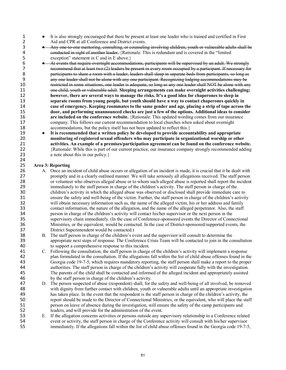- 1 **•** It is also strongly encouraged that there be present at least one leader who is trained and certified in First Aid and CPR at all Conference and District events. 2 Aid and CPR at all Conference and District events.<br>3 Any one to one mentoring, consulting, or counseline
- <sup>4</sup> Any one-to-one mentoring, consulting, or counseling involving children, youth or vulnerable adults shall be<br>4 conducted in sight of another leader. {Rationale: This is redundant and is covered in the "limited" 4 conducted in sight of another leader. {Rationale: This is redundant and is covered in the "limited exception" statement in C and in E above.}
- 5 exception" statement in C and in E above.}<br>6 **At events that require overnight accommod** 6 ● At events that require overnight accommodations, participants will be supervised by an adult. We strongly 7 recommend that at least two (2) leaders be present in every room occupied by a participant. If necessary for 8 participants to share a room with a leader, leaders shall sleep in separate beds from participants, so long as 9 any one leader shall not be alone with any one participant. Recognizing lodging accommodations may be<br>10 septimations, one leader is adequate, so long as any one leader shall NOT be alone with an restricted in some situations, one leader is adequate, so long as any one leader shall NOT be alone with any 11 one child, youth or vulnerable adult. **Sleeping arrangements can make overnight activities challenging;**  12 **however, there are several ways to manage the risks. It's a good idea for chaperones to sleep in**  13 **separate rooms from young people, but youth should have a way to contact chaperones quickly in**  14 **case of emergency. Keeping roommates to the same gender and age, placing a strip of tape across the**  15 **door, and performing unannounced checks are just a few of the options. Additional ideas to consider**  16 **are included on the conference website.** {Rationale: This updated wording comes from our insurance 17 company. This follows our current recommendation to local churches when asked about overnight<br>18 commodations, but the policy itself has not been updated to reflect this. accommodations, but the policy itself has not been updated to reflect this.}
- 19 **It is recommended that a written policy be developed to provide accountability and appropriate**  20 **monitoring of registered sexual offenders who may participate in organizational worship or other**  21 **activities. An example of a premises/participation agreement can be found on the conference website.**<br>22 **activities** *Rationale: While this is part of our current practice, our insurance company strongly recommended a* 22 {Rationale: While this is part of our current practice, our insurance company strongly recommended adding 23 a note about this in our policy.

#### 25 **Area 3: Reporting**

24<br>25

- 26 A. Once an incident of child abuse occurs or allegation of an incident is made, it is crucial that it be dealt with promptly and in a clearly outlined manner. We will take seriously all allegations received. The staff p 27 promptly and in a clearly outlined manner. We will take seriously all allegations received. The staff person 28 or volunteer who observes alleged abuse or to whom such alleged abuse is reported shall report the incident 29 immediately to the staff person in charge of the children's activity. The staff person in charge of the 30 children's activity in which the alleged abuse was observed or disclosed shall provide immediate care to<br>31 ensure the safety and well-being of the victim. Further, the staff person in charge of the children's activit 31 ensure the safety and well-being of the victim. Further, the staff person in charge of the children's activity 32 will obtain necessary information such as, the name of the alleged victim, his or her address and family 33 contact information, the nature of the allegation, and the name of the alleged perpetrator. Also, the staff<br>34 series in charge of the children's activity will contact his/her supervisor or the next person in the 34 person in charge of the children's activity will contact his/her supervisor or the next person in the 35 supervisory chain immediately. (In the case of Conference-sponsored events the Director of Connectional<br>36 Ministries, or the equivalent, would be contacted. In the case of District-sponsored/supported events, the 36 Ministries, or the equivalent, would be contacted. In the case of District-sponsored/supported events, the<br>37 District Superintendent would be contacted.) District Superintendent would be contacted.)
- 38 B. The staff person in charge of the children's event and the supervisor will consult to determine the 39 appropriate next steps of response. The Conference Crisis Team will be contacted to join in the consultation 40 to support a comprehensive response to this incident.
- 41 C. Following the consultation, the staff person in charge of the children's activity will implement a response 42 plan formulated in the consultation. If the allegations fall within the list of child abuse offenses found in the<br>43 Georgia code 19-7-5, which requires mandatory reporting, the staff person shall make a report to the p Georgia code 19-7-5, which requires mandatory reporting, the staff person shall make a report to the proper 44 authorities. The staff person in charge of the children's activity will cooperate fully with the investigation. 45 The parents of the child shall be contacted and informed of the alleged incident and appropriately assisted by the staff person in charge of the children's activity. by the staff person in charge of the children's activity.
- 47 D. The person suspected of abuse (respondent) shall, for the safety and well-being of all involved, be removed with dignity from further contact with children youth or vulnerable adults until an appropriate investigatio 48 with dignity from further contact with children, youth or vulnerable adults until an appropriate investigation<br>49 has taken place. In the event that the respondent is the staff person in charge of the children's activit has taken place. In the event that the respondent is the staff person in charge of the children's activity, the 50 report should be made to the Director of Connectional Ministries, or the equivalent, who will place the staff 51 person on leave of absence during the investigation, will ensure the safety of the camp participants and leaders, and will provide for the administration of the event. leaders, and will provide for the administration of the event.
- 53 E. If the allegation concerns activities or persons outside any supervisory relationship to a Conference related 54 event or activity, the staff person in charge of the Conference activity will consult with his/her supervisor<br>55 emmediately. If the allegations fall within the list of child abuse offenses found in the Georgia code 19immediately. If the allegations fall within the list of child abuse offenses found in the Georgia code 19-7-5,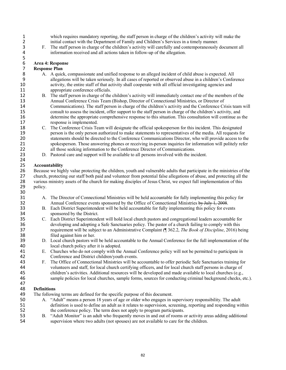1 which requires mandatory reporting, the staff person in charge of the children's activity will make the<br>2 initial contact with the Department of Family and Children's Services in a timely manner. 2 initial contact with the Department of Family and Children's Services in a timely manner.<br>
2 F. The staff person in charge of the children's activity will carefully and contemporaneously

3 F. The staff person in charge of the children's activity will carefully and contemporaneously document all information received and all actions taken in follow-up of the allegation.

## 6 **Area 4: Response**

#### **Response Plan**

5

- 8 A. A quick, compassionate and unified response to an alleged incident of child abuse is expected. All 9 allegations will be taken seriously. In all cases of reported or observed abuse in a children's Conference activity, the entire staff of that activity shall cooperate with all official investigating agencies and activity, the entire staff of that activity shall cooperate with all official investigating agencies and 11 appropriate conference officials.<br>12 B. The staff person in charge of the
- 12 B. The staff person in charge of the children's activity will immediately contact one of the members of the<br>13 Annual Conference Crisis Team (Bishop, Director of Connectional Ministries, or Director of 13 Annual Conference Crisis Team (Bishop, Director of Connectional Ministries, or Director of 14 Communications). The staff person in charge of the children's activity and the Conference Crisis team will<br>15 consult to assess the incident offer support to the staff person in charge of the children's activity and 15 consult to assess the incident, offer support to the staff person in charge of the children's activity, and 16 determine the appropriate comprehensive response to this situation. This consultation will continue as the
- 17 response is implemented.<br>18 C. The Conference Crisis Te 18 C. The Conference Crisis Team will designate the official spokesperson for this incident. This designated 19 person is the only person authorized to make statements to representatives of the media. All requests for 20 statements should be directed to the Conference Communications Director, who will provide access to the 21 spokesperson. Those answering phones or receiving in-person inquiries for information will politely refer<br>22 all those seeking information to the Conference Director of Communications. 22 all those seeking information to the Conference Director of Communications.<br>23 D. Pastoral care and support will be available to all persons involved with the inc
	- 23 D. Pastoral care and support will be available to all persons involved with the incident.

#### 24<br>25 25 **Accountability**

26 Because we highly value protecting the children, youth and vulnerable adults that participate in the ministries of the children children, children and volunteer from potential false allegations of abuse, and protecting 27 church, protecting our staff both paid and volunteer from potential false allegations of abuse, and protecting all the 28 various ministry assets of the church for making disciples of Jesus Christ, we expect full implementation of this 29 policy. 30<br>31

- 31 A. The Director of Connectional Ministries will be held accountable for fully implementing this policy for 32 Annual Conference events sponsored by the Office of Connectional Ministries by July 1, 2008.
- 33 B. Each District Superintendent will be held accountable for fully implementing this policy for events 34 sponsored by the District.<br>35 C. Each District Superintendent
- 35 C. Each District Superintendent will hold local church pastors and congregational leaders accountable for developing and adopting a Safe Sanctuaries policy. The pastor of a church failing to comply with this 36 developing and adopting a Safe Sanctuaries policy. The pastor of a church failing to comply with this requirement will be subject to an Administrative Complaint (¶ 362.2. The Book of Discipline. 2016) be 37 requirement will be subject to an Administrative Complaint (¶ 362.2, *The Book of Discipline*, 2016) being 38 filed against him or her.
- 39 D. Local church pastors will be held accountable to the Annual Conference for the full implementation of the 40 local church policy after it is adopted.
- 41 E. Churches who do not comply with the Annual Conference policy will not be permitted to participate in 42 Conference and District children/youth events.<br>43 F. The Office of Connectional Ministries will be a
- F. The Office of Connectional Ministries will be accountable to offer periodic Safe Sanctuaries training for 44 volunteers and staff, for local church certifying officers, and for local church staff persons in charge of 45 children's activities. Additional resources will be developed and made available to local churches (e.g., sample policies for local churches, sample forms, sources for conducting criminal background checks, e sample policies for local churches, sample forms, sources for conducting criminal background checks, etc.).

## 47<br>48

- 48 **Definitions**  The following terms are defined for the specific purpose of this document.
- 50 A. "Adult" means a person 18 years of age or older who engages in supervisory responsibility. The adult 51 definition is used to define an adult as it relates to supervision, screening, reporting and responding within the conference policy. The term does not apply to program participants. the conference policy. The term does not apply to program participants.
- 53 B. "Adult Monitor" is an adult who frequently moves in and out of rooms or activity areas adding additional 54 supervision where two adults (not spouses) are not available to care for the children.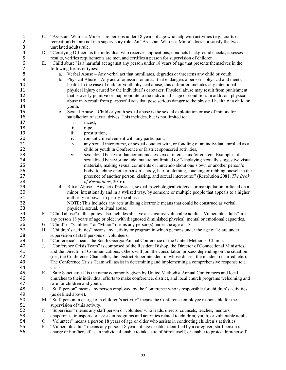| $\mathbf 1$    |    | C. "Assistant Who is a Minor" are persons under 18 years of age who help with activities (e.g., crafts or                                                                                       |
|----------------|----|-------------------------------------------------------------------------------------------------------------------------------------------------------------------------------------------------|
| $\overline{2}$ |    | recreation) but are not in a supervisory role. An "Assistant Who is a Minor" does not satisfy the two                                                                                           |
| 3              |    | unrelated adults rule.                                                                                                                                                                          |
| 4              |    | D. "Certifying Officer" is the individual who receives applications, conducts background checks, assesses                                                                                       |
| 5              |    | results, verifies requirements are met, and certifies a person for supervision of children.                                                                                                     |
| 6              | Е. | "Child abuse" is a harmful act against any person under 18 years of age that presents themselves in the                                                                                         |
| $\overline{7}$ |    | following forms or types:                                                                                                                                                                       |
| 8              |    | a. Verbal Abuse – Any verbal act that humiliates, degrades or threatens any child or youth.                                                                                                     |
| 9              |    | Physical Abuse – Any act of omission or an act that endangers a person's physical and mental<br>$\mathbf b$ .                                                                                   |
| 10             |    | health. In the case of child or youth physical abuse, this definition includes any intentional                                                                                                  |
| 11             |    | physical injury caused by the individual's caretaker. Physical abuse may result from punishment                                                                                                 |
| 12             |    | that is overly punitive or inappropriate to the individual's age or condition. In addition, physical                                                                                            |
| 13             |    | abuse may result from purposeful acts that pose serious danger to the physical health of a child or                                                                                             |
| 14             |    | youth.                                                                                                                                                                                          |
| 15             |    | Sexual Abuse – Child or youth sexual abuse is the sexual exploitation or use of minors for<br>$c_{\cdot}$                                                                                       |
| 16             |    | satisfaction of sexual drives. This includes, but is not limited to:                                                                                                                            |
| 17             |    | $\mathbf{i}$ .<br>incest,                                                                                                                                                                       |
| 18             |    | ii.<br>rape,                                                                                                                                                                                    |
| 19             |    | iii.<br>prostitution,                                                                                                                                                                           |
| 20             |    | romantic involvement with any participant,<br>iv.                                                                                                                                               |
| 21             |    | any sexual intercourse, or sexual conduct with, or fondling of an individual enrolled as a                                                                                                      |
| 22             |    | V.<br>child or youth in Conference or District sponsored activities,                                                                                                                            |
| 23             |    | sexualized behavior that communicates sexual interest and/or content. Examples of<br>vi.                                                                                                        |
| 24             |    | sexualized behavior include, but are not limited to: "displaying sexually suggestive visual                                                                                                     |
| 25             |    | materials, making sexual comments or innuendo about one's own or another person's                                                                                                               |
| 26             |    |                                                                                                                                                                                                 |
| 27             |    | body, touching another person's body, hair or clothing, touching or rubbing oneself in the                                                                                                      |
| 28             |    | presence of another person, kissing, and sexual intercourse" (Resolution 2081, The Book                                                                                                         |
| 29             |    | of Resolutions, 2016).<br>Ritual Abuse – Any act of physical, sexual, psychological violence or manipulation inflicted on a<br>d.                                                               |
| 30             |    | minor, intentionally and in a stylized way, by someone or multiple people that appeals to a higher                                                                                              |
| 31             |    | authority or power to justify the abuse.                                                                                                                                                        |
| 32             |    | NOTE: This includes any acts utilizing electronic means that could be construed as verbal,                                                                                                      |
| 33             |    | physical, sexual, or ritual abuse.                                                                                                                                                              |
| 34             | F. | "Child abuse" in this policy also includes abusive acts against vulnerable adults. "Vulnerable adults" are                                                                                      |
| 35             |    | any person 18 years of age or older with diagnosed diminished physical, mental or emotional capacities.                                                                                         |
| 36             |    | G. "Child" or "Children" or "Minor" means any person(s) under the age of 18.                                                                                                                    |
| 37             |    |                                                                                                                                                                                                 |
|                | Н. | "Children's activities" means any activity or program in which persons under the age of 18 are under                                                                                            |
| 38<br>39       |    | supervision of staff persons or volunteers.                                                                                                                                                     |
|                | I. | "Conference" means the South Georgia Annual Conference of the United Methodist Church.<br>"Conference Crisis Team" is composed of the Resident Bishop, the Director of Connectional Ministries, |
| 40             | J. |                                                                                                                                                                                                 |
| 41             |    | and the Director of Communications. Others will join the consultation process depending on the situation                                                                                        |
| 42             |    | (i.e., the Conference Chancellor, the District Superintendent in whose district the incident occurred, etc.).                                                                                   |
| 43             |    | The Conference Crisis Team will assist in determining and implementing a comprehensive response to a                                                                                            |
| 44             |    | crisis.                                                                                                                                                                                         |
| 45             |    | K. "Safe Sanctuaries" is the name commonly given by United Methodist Annual Conferences and local                                                                                               |
| 46             |    | churches to their individual efforts to make conference, district, and local church programs welcoming and                                                                                      |
| 47             |    | safe for children and youth.                                                                                                                                                                    |
| 48             | L. | "Staff person" means any person employed by the Conference who is responsible for children's activities                                                                                         |
| 49             |    | (as defined above).                                                                                                                                                                             |
| 50             |    | M. "Staff person in charge of a children's activity" means the Conference employee responsible for the                                                                                          |
| 51             |    | supervision of this activity.                                                                                                                                                                   |
| 52             |    | N. "Supervisor" means any staff person or volunteer who leads, directs, counsels, teaches, mentors,                                                                                             |
| 53             |    | chaperones, transports or assists in programs and activities related to children, youth, or vulnerable adults.                                                                                  |
| 54             | O. | "Volunteer" means a person 18 years of age or older who assists in conducting children's activities.                                                                                            |
| 55             | P. | "Vulnerable adult" means any person 18 years of age or older identified by a caregiver, staff person in                                                                                         |
| 56             |    | charge or him/herself as an individual unable to take care of him/herself, or unable to protect him/herself                                                                                     |